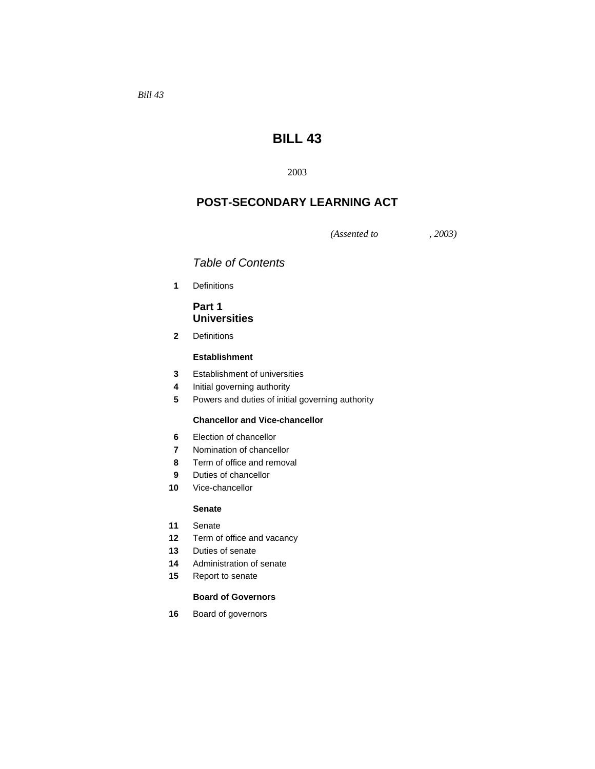# **BILL 43**

# **POST-SECONDARY LEARNING ACT**

*(Assented to , 2003)* 

# *Table of Contents*

Definitions

# **Part 1 Universities**

Definitions

# **Establishment**

- Establishment of universities
- Initial governing authority
- Powers and duties of initial governing authority

# **Chancellor and Vice-chancellor**

- Election of chancellor
- Nomination of chancellor
- Term of office and removal
- Duties of chancellor
- Vice-chancellor

# **Senate**

- Senate
- Term of office and vacancy
- Duties of senate
- Administration of senate
- Report to senate

#### **Board of Governors**

Board of governors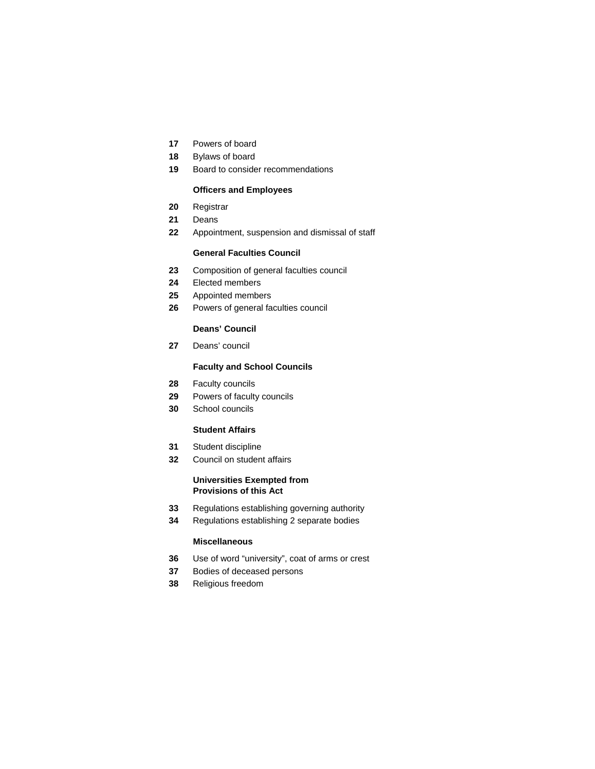- Powers of board
- Bylaws of board
- Board to consider recommendations

### **Officers and Employees**

- Registrar
- Deans
- Appointment, suspension and dismissal of staff

# **General Faculties Council**

- Composition of general faculties council
- Elected members
- Appointed members
- Powers of general faculties council

## **Deans' Council**

Deans' council

# **Faculty and School Councils**

- Faculty councils
- Powers of faculty councils
- School councils

### **Student Affairs**

- Student discipline
- Council on student affairs

# **Universities Exempted from Provisions of this Act**

- Regulations establishing governing authority
- Regulations establishing 2 separate bodies

# **Miscellaneous**

- Use of word "university", coat of arms or crest
- Bodies of deceased persons
- Religious freedom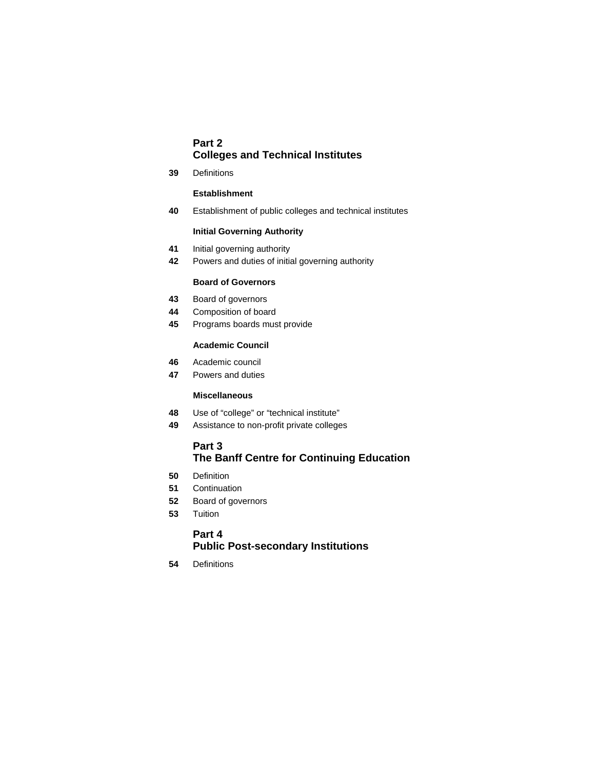# **Part 2 Colleges and Technical Institutes**

**39** Definitions

# **Establishment**

**40** Establishment of public colleges and technical institutes

# **Initial Governing Authority**

- **41** Initial governing authority
- **42** Powers and duties of initial governing authority

# **Board of Governors**

- **43** Board of governors
- **44** Composition of board
- **45** Programs boards must provide

# **Academic Council**

- **46** Academic council
- **47** Powers and duties

# **Miscellaneous**

- **48** Use of "college" or "technical institute"
- **49** Assistance to non-profit private colleges

# **Part 3**

# **The Banff Centre for Continuing Education**

- **50** Definition
- **51** Continuation
- **52** Board of governors
- **53** Tuition

# **Part 4 Public Post-secondary Institutions**

**54** Definitions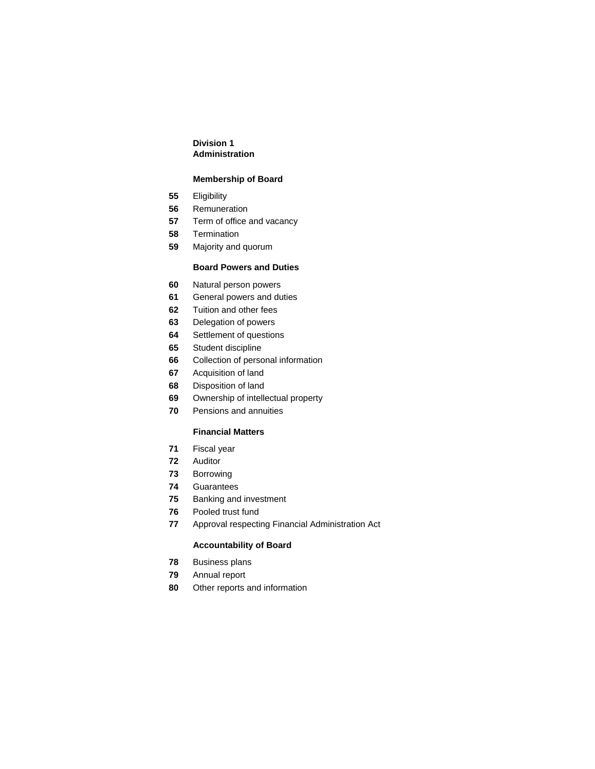# **Division 1 Administration**

# **Membership of Board**

- Eligibility
- Remuneration
- Term of office and vacancy
- Termination
- Majority and quorum

# **Board Powers and Duties**

- Natural person powers
- General powers and duties
- Tuition and other fees
- Delegation of powers
- Settlement of questions
- Student discipline
- Collection of personal information
- Acquisition of land
- Disposition of land
- Ownership of intellectual property
- Pensions and annuities

# **Financial Matters**

- Fiscal year
- Auditor
- Borrowing
- Guarantees
- Banking and investment
- Pooled trust fund
- Approval respecting Financial Administration Act

# **Accountability of Board**

- Business plans
- Annual report
- Other reports and information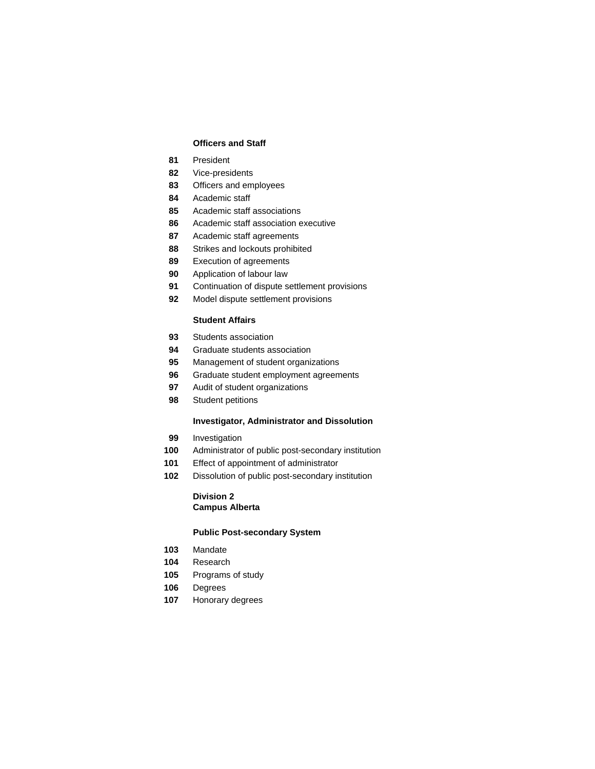# **Officers and Staff**

- President
- Vice-presidents
- Officers and employees
- Academic staff
- Academic staff associations
- Academic staff association executive
- Academic staff agreements
- Strikes and lockouts prohibited
- Execution of agreements
- Application of labour law
- Continuation of dispute settlement provisions
- Model dispute settlement provisions

# **Student Affairs**

- Students association
- Graduate students association
- Management of student organizations
- Graduate student employment agreements
- Audit of student organizations
- Student petitions

### **Investigator, Administrator and Dissolution**

- Investigation
- Administrator of public post-secondary institution
- Effect of appointment of administrator
- Dissolution of public post-secondary institution

# **Division 2 Campus Alberta**

#### **Public Post-secondary System**

- Mandate
- Research
- Programs of study
- Degrees
- Honorary degrees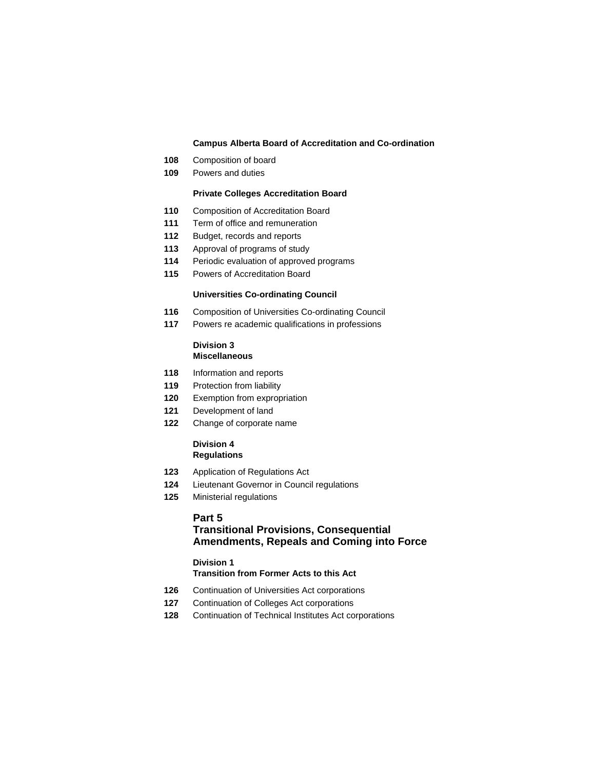# **Campus Alberta Board of Accreditation and Co-ordination**

- Composition of board
- Powers and duties

# **Private Colleges Accreditation Board**

- Composition of Accreditation Board
- Term of office and remuneration
- Budget, records and reports
- Approval of programs of study
- Periodic evaluation of approved programs
- Powers of Accreditation Board

# **Universities Co-ordinating Council**

- Composition of Universities Co-ordinating Council
- Powers re academic qualifications in professions

#### **Division 3 Miscellaneous**

- Information and reports
- Protection from liability
- Exemption from expropriation
- Development of land
- Change of corporate name

# **Division 4 Regulations**

- Application of Regulations Act
- Lieutenant Governor in Council regulations
- Ministerial regulations

# **Part 5**

# **Transitional Provisions, Consequential Amendments, Repeals and Coming into Force**

# **Division 1**

# **Transition from Former Acts to this Act**

- Continuation of Universities Act corporations
- Continuation of Colleges Act corporations
- Continuation of Technical Institutes Act corporations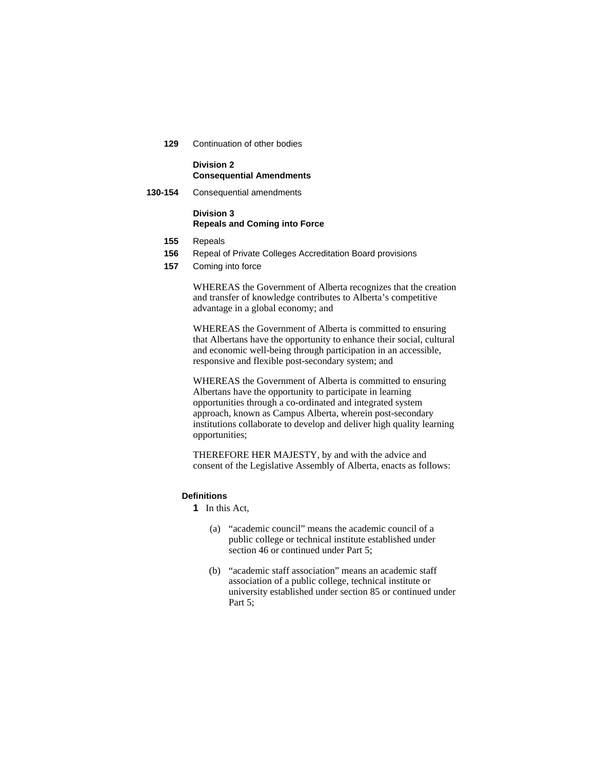**129** Continuation of other bodies

# **Division 2 Consequential Amendments**

**130-154** Consequential amendments

# **Division 3 Repeals and Coming into Force**

- **155** Repeals
- **156** Repeal of Private Colleges Accreditation Board provisions
- **157** Coming into force

WHEREAS the Government of Alberta recognizes that the creation and transfer of knowledge contributes to Alberta's competitive advantage in a global economy; and

WHEREAS the Government of Alberta is committed to ensuring that Albertans have the opportunity to enhance their social, cultural and economic well-being through participation in an accessible, responsive and flexible post-secondary system; and

WHEREAS the Government of Alberta is committed to ensuring Albertans have the opportunity to participate in learning opportunities through a co-ordinated and integrated system approach, known as Campus Alberta, wherein post-secondary institutions collaborate to develop and deliver high quality learning opportunities;

THEREFORE HER MAJESTY, by and with the advice and consent of the Legislative Assembly of Alberta, enacts as follows:

# **Definitions**

**1** In this Act,

- (a) "academic council" means the academic council of a public college or technical institute established under section 46 or continued under Part 5;
- (b) "academic staff association" means an academic staff association of a public college, technical institute or university established under section 85 or continued under Part 5: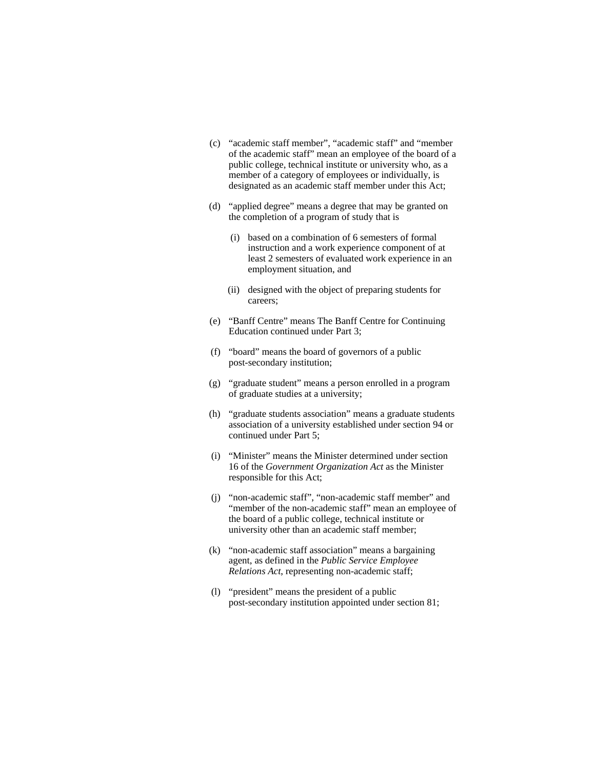- (c) "academic staff member", "academic staff" and "member of the academic staff" mean an employee of the board of a public college, technical institute or university who, as a member of a category of employees or individually, is designated as an academic staff member under this Act;
- (d) "applied degree" means a degree that may be granted on the completion of a program of study that is
	- (i) based on a combination of 6 semesters of formal instruction and a work experience component of at least 2 semesters of evaluated work experience in an employment situation, and
	- (ii) designed with the object of preparing students for careers;
- (e) "Banff Centre" means The Banff Centre for Continuing Education continued under Part 3;
- (f) "board" means the board of governors of a public post-secondary institution;
- (g) "graduate student" means a person enrolled in a program of graduate studies at a university;
- (h) "graduate students association" means a graduate students association of a university established under section 94 or continued under Part 5;
- (i) "Minister" means the Minister determined under section 16 of the *Government Organization Act* as the Minister responsible for this Act;
- (j) "non-academic staff", "non-academic staff member" and "member of the non-academic staff" mean an employee of the board of a public college, technical institute or university other than an academic staff member;
- (k) "non-academic staff association" means a bargaining agent, as defined in the *Public Service Employee Relations Act*, representing non-academic staff;
- (l) "president" means the president of a public post-secondary institution appointed under section 81;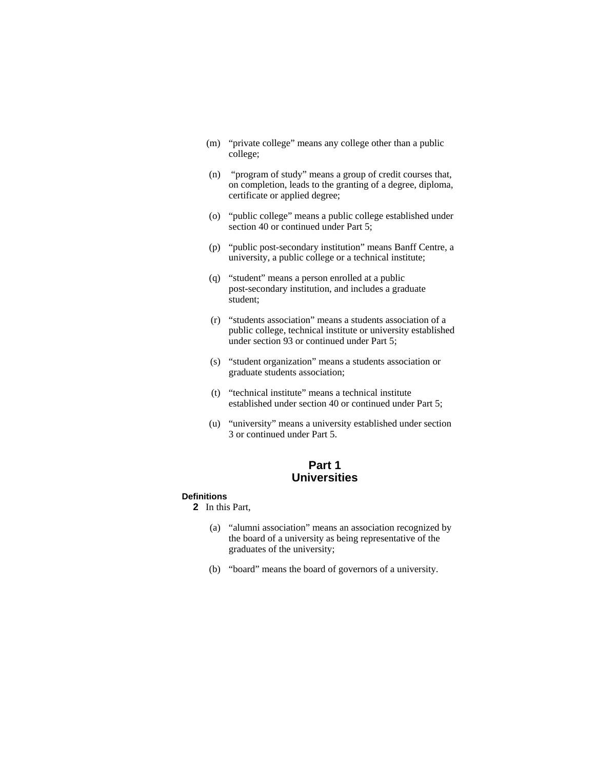- (m) "private college" means any college other than a public college;
- (n) "program of study" means a group of credit courses that, on completion, leads to the granting of a degree, diploma, certificate or applied degree;
- (o) "public college" means a public college established under section 40 or continued under Part 5;
- (p) "public post-secondary institution" means Banff Centre, a university, a public college or a technical institute;
- (q) "student" means a person enrolled at a public post-secondary institution, and includes a graduate student;
- (r) "students association" means a students association of a public college, technical institute or university established under section 93 or continued under Part 5;
- (s) "student organization" means a students association or graduate students association;
- (t) "technical institute" means a technical institute established under section 40 or continued under Part 5;
- (u) "university" means a university established under section 3 or continued under Part 5.

# **Part 1 Universities**

# **Definitions**

**2** In this Part,

- (a) "alumni association" means an association recognized by the board of a university as being representative of the graduates of the university;
- (b) "board" means the board of governors of a university.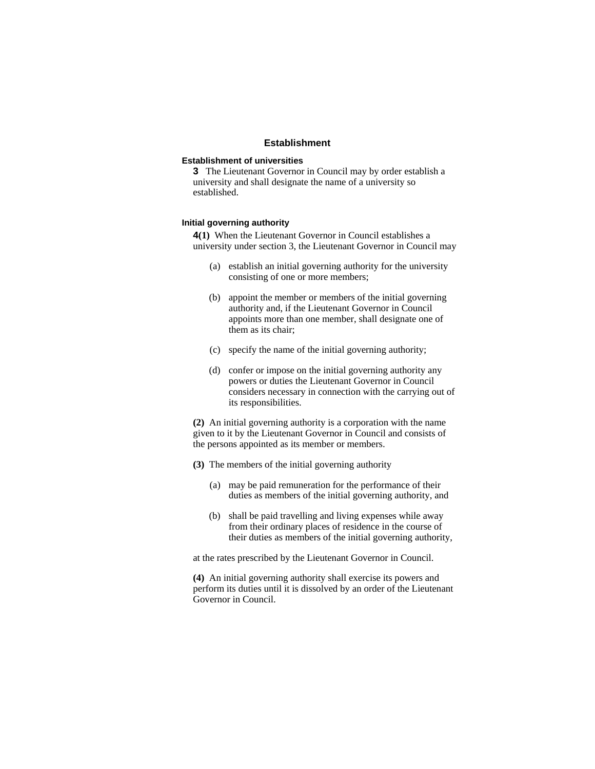# **Establishment**

#### **Establishment of universities**

**3** The Lieutenant Governor in Council may by order establish a university and shall designate the name of a university so established.

### **Initial governing authority**

**4(1)** When the Lieutenant Governor in Council establishes a university under section 3, the Lieutenant Governor in Council may

- (a) establish an initial governing authority for the university consisting of one or more members;
- (b) appoint the member or members of the initial governing authority and, if the Lieutenant Governor in Council appoints more than one member, shall designate one of them as its chair;
- (c) specify the name of the initial governing authority;
- (d) confer or impose on the initial governing authority any powers or duties the Lieutenant Governor in Council considers necessary in connection with the carrying out of its responsibilities.

**(2)** An initial governing authority is a corporation with the name given to it by the Lieutenant Governor in Council and consists of the persons appointed as its member or members.

- **(3)** The members of the initial governing authority
	- (a) may be paid remuneration for the performance of their duties as members of the initial governing authority, and
	- (b) shall be paid travelling and living expenses while away from their ordinary places of residence in the course of their duties as members of the initial governing authority,

at the rates prescribed by the Lieutenant Governor in Council.

**(4)** An initial governing authority shall exercise its powers and perform its duties until it is dissolved by an order of the Lieutenant Governor in Council.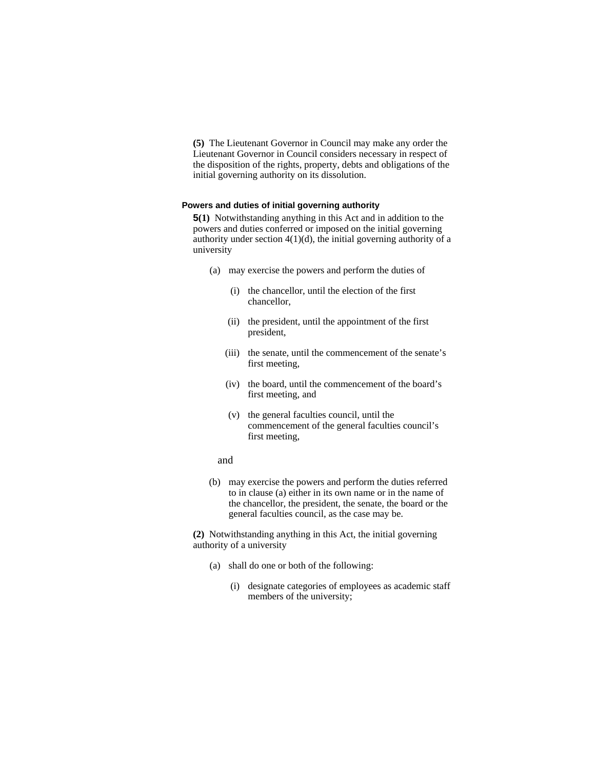**(5)** The Lieutenant Governor in Council may make any order the Lieutenant Governor in Council considers necessary in respect of the disposition of the rights, property, debts and obligations of the initial governing authority on its dissolution.

#### **Powers and duties of initial governing authority**

**5(1)** Notwithstanding anything in this Act and in addition to the powers and duties conferred or imposed on the initial governing authority under section  $4(1)(d)$ , the initial governing authority of a university

- (a) may exercise the powers and perform the duties of
	- (i) the chancellor, until the election of the first chancellor,
	- (ii) the president, until the appointment of the first president,
	- (iii) the senate, until the commencement of the senate's first meeting,
	- (iv) the board, until the commencement of the board's first meeting, and
	- (v) the general faculties council, until the commencement of the general faculties council's first meeting,
	- and
- (b) may exercise the powers and perform the duties referred to in clause (a) either in its own name or in the name of the chancellor, the president, the senate, the board or the general faculties council, as the case may be.

**(2)** Notwithstanding anything in this Act, the initial governing authority of a university

- (a) shall do one or both of the following:
	- (i) designate categories of employees as academic staff members of the university;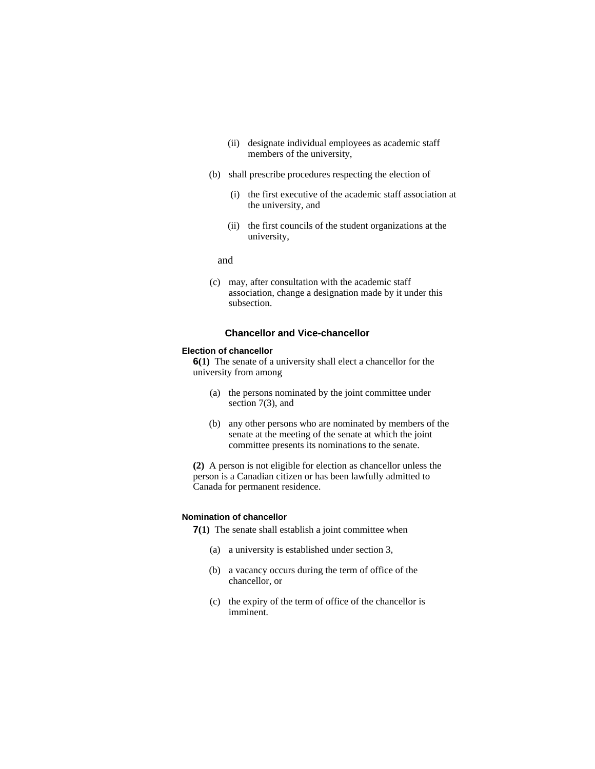- (ii) designate individual employees as academic staff members of the university,
- (b) shall prescribe procedures respecting the election of
	- (i) the first executive of the academic staff association at the university, and
	- (ii) the first councils of the student organizations at the university,

and

(c) may, after consultation with the academic staff association, change a designation made by it under this subsection.

## **Chancellor and Vice-chancellor**

#### **Election of chancellor**

**6(1)** The senate of a university shall elect a chancellor for the university from among

- (a) the persons nominated by the joint committee under section 7(3), and
- (b) any other persons who are nominated by members of the senate at the meeting of the senate at which the joint committee presents its nominations to the senate.

**(2)** A person is not eligible for election as chancellor unless the person is a Canadian citizen or has been lawfully admitted to Canada for permanent residence.

### **Nomination of chancellor**

**7(1)** The senate shall establish a joint committee when

- (a) a university is established under section 3,
- (b) a vacancy occurs during the term of office of the chancellor, or
- (c) the expiry of the term of office of the chancellor is imminent.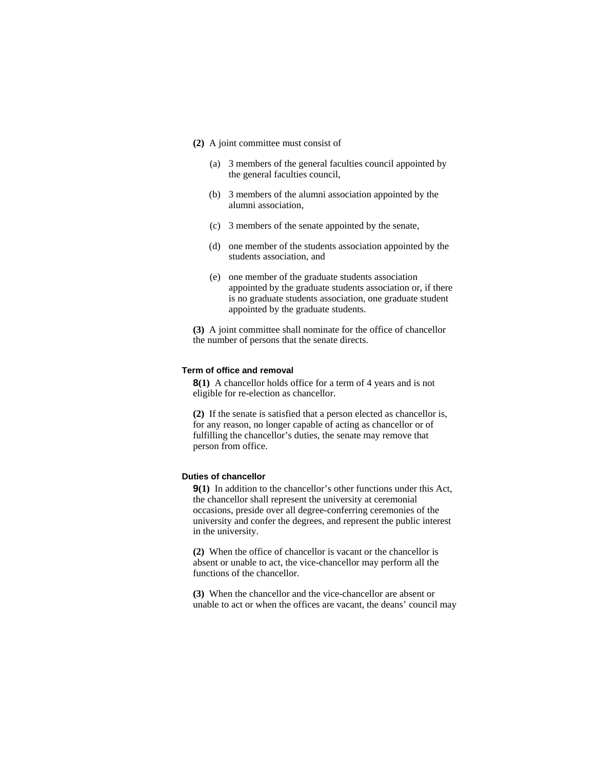- **(2)** A joint committee must consist of
	- (a) 3 members of the general faculties council appointed by the general faculties council,
	- (b) 3 members of the alumni association appointed by the alumni association,
	- (c) 3 members of the senate appointed by the senate,
	- (d) one member of the students association appointed by the students association, and
	- (e) one member of the graduate students association appointed by the graduate students association or, if there is no graduate students association, one graduate student appointed by the graduate students.

**(3)** A joint committee shall nominate for the office of chancellor the number of persons that the senate directs.

### **Term of office and removal**

**8(1)** A chancellor holds office for a term of 4 years and is not eligible for re-election as chancellor.

**(2)** If the senate is satisfied that a person elected as chancellor is, for any reason, no longer capable of acting as chancellor or of fulfilling the chancellor's duties, the senate may remove that person from office.

# **Duties of chancellor**

**9(1)** In addition to the chancellor's other functions under this Act, the chancellor shall represent the university at ceremonial occasions, preside over all degree-conferring ceremonies of the university and confer the degrees, and represent the public interest in the university.

**(2)** When the office of chancellor is vacant or the chancellor is absent or unable to act, the vice-chancellor may perform all the functions of the chancellor.

**(3)** When the chancellor and the vice-chancellor are absent or unable to act or when the offices are vacant, the deans' council may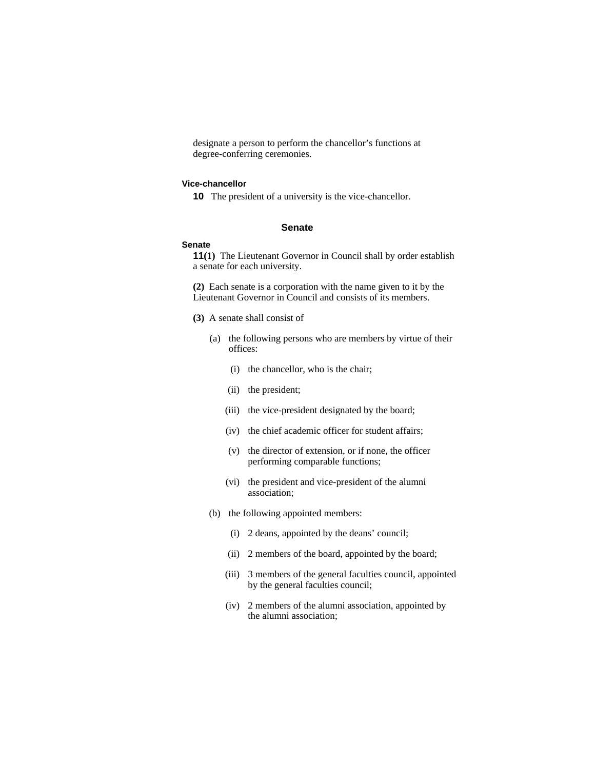designate a person to perform the chancellor's functions at degree-conferring ceremonies.

#### **Vice-chancellor**

**10** The president of a university is the vice-chancellor.

#### **Senate**

#### **Senate**

**11(1)** The Lieutenant Governor in Council shall by order establish a senate for each university.

**(2)** Each senate is a corporation with the name given to it by the Lieutenant Governor in Council and consists of its members.

- **(3)** A senate shall consist of
	- (a) the following persons who are members by virtue of their offices:
		- (i) the chancellor, who is the chair;
		- (ii) the president;
		- (iii) the vice-president designated by the board;
		- (iv) the chief academic officer for student affairs;
		- (v) the director of extension, or if none, the officer performing comparable functions;
		- (vi) the president and vice-president of the alumni association;
	- (b) the following appointed members:
		- (i) 2 deans, appointed by the deans' council;
		- (ii) 2 members of the board, appointed by the board;
		- (iii) 3 members of the general faculties council, appointed by the general faculties council;
		- (iv) 2 members of the alumni association, appointed by the alumni association;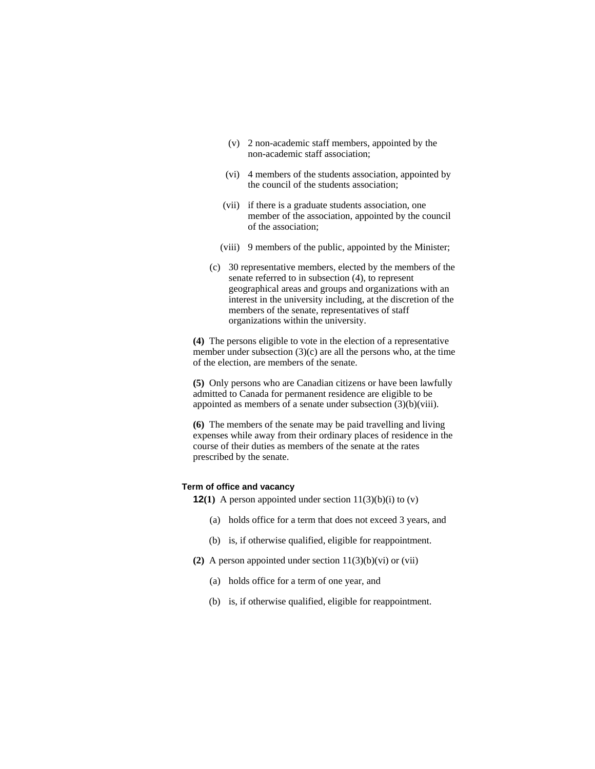- (v) 2 non-academic staff members, appointed by the non-academic staff association;
- (vi) 4 members of the students association, appointed by the council of the students association;
- (vii) if there is a graduate students association, one member of the association, appointed by the council of the association;
- (viii) 9 members of the public, appointed by the Minister;
- (c) 30 representative members, elected by the members of the senate referred to in subsection (4), to represent geographical areas and groups and organizations with an interest in the university including, at the discretion of the members of the senate, representatives of staff organizations within the university.

**(4)** The persons eligible to vote in the election of a representative member under subsection (3)(c) are all the persons who, at the time of the election, are members of the senate.

**(5)** Only persons who are Canadian citizens or have been lawfully admitted to Canada for permanent residence are eligible to be appointed as members of a senate under subsection (3)(b)(viii).

**(6)** The members of the senate may be paid travelling and living expenses while away from their ordinary places of residence in the course of their duties as members of the senate at the rates prescribed by the senate.

#### **Term of office and vacancy**

**12(1)** A person appointed under section  $11(3)(b)(i)$  to  $(v)$ 

- (a) holds office for a term that does not exceed 3 years, and
- (b) is, if otherwise qualified, eligible for reappointment.
- **(2)** A person appointed under section 11(3)(b)(vi) or (vii)
	- (a) holds office for a term of one year, and
	- (b) is, if otherwise qualified, eligible for reappointment.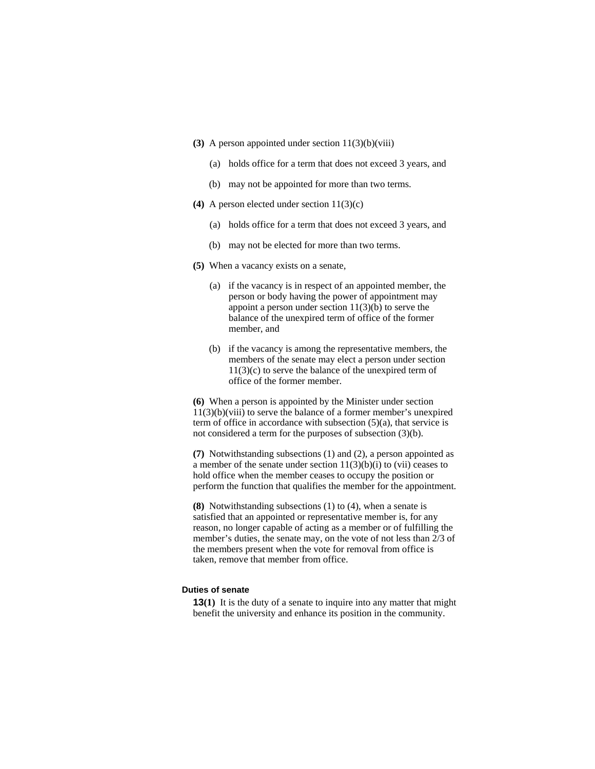- **(3)** A person appointed under section 11(3)(b)(viii)
	- (a) holds office for a term that does not exceed 3 years, and
	- (b) may not be appointed for more than two terms.
- **(4)** A person elected under section 11(3)(c)
	- (a) holds office for a term that does not exceed 3 years, and
	- (b) may not be elected for more than two terms.
- **(5)** When a vacancy exists on a senate,
	- (a) if the vacancy is in respect of an appointed member, the person or body having the power of appointment may appoint a person under section  $11(3)(b)$  to serve the balance of the unexpired term of office of the former member, and
	- (b) if the vacancy is among the representative members, the members of the senate may elect a person under section 11(3)(c) to serve the balance of the unexpired term of office of the former member.

**(6)** When a person is appointed by the Minister under section  $11(3)(b)(viii)$  to serve the balance of a former member's unexpired term of office in accordance with subsection (5)(a), that service is not considered a term for the purposes of subsection (3)(b).

**(7)** Notwithstanding subsections (1) and (2), a person appointed as a member of the senate under section  $11(3)(b)(i)$  to (vii) ceases to hold office when the member ceases to occupy the position or perform the function that qualifies the member for the appointment.

**(8)** Notwithstanding subsections (1) to (4), when a senate is satisfied that an appointed or representative member is, for any reason, no longer capable of acting as a member or of fulfilling the member's duties, the senate may, on the vote of not less than 2/3 of the members present when the vote for removal from office is taken, remove that member from office.

### **Duties of senate**

**13(1)** It is the duty of a senate to inquire into any matter that might benefit the university and enhance its position in the community.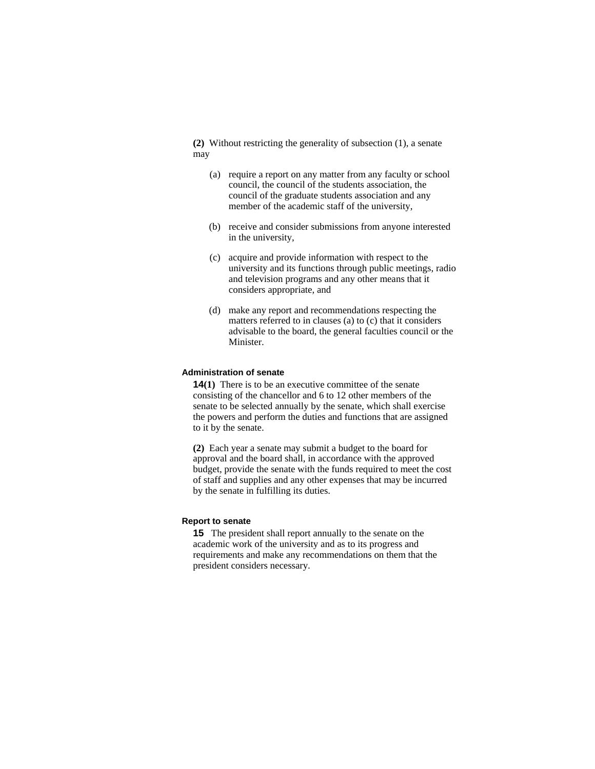**(2)** Without restricting the generality of subsection (1), a senate may

- (a) require a report on any matter from any faculty or school council, the council of the students association, the council of the graduate students association and any member of the academic staff of the university,
- (b) receive and consider submissions from anyone interested in the university,
- (c) acquire and provide information with respect to the university and its functions through public meetings, radio and television programs and any other means that it considers appropriate, and
- (d) make any report and recommendations respecting the matters referred to in clauses (a) to (c) that it considers advisable to the board, the general faculties council or the Minister.

#### **Administration of senate**

**14(1)** There is to be an executive committee of the senate consisting of the chancellor and 6 to 12 other members of the senate to be selected annually by the senate, which shall exercise the powers and perform the duties and functions that are assigned to it by the senate.

**(2)** Each year a senate may submit a budget to the board for approval and the board shall, in accordance with the approved budget, provide the senate with the funds required to meet the cost of staff and supplies and any other expenses that may be incurred by the senate in fulfilling its duties.

# **Report to senate**

**15** The president shall report annually to the senate on the academic work of the university and as to its progress and requirements and make any recommendations on them that the president considers necessary.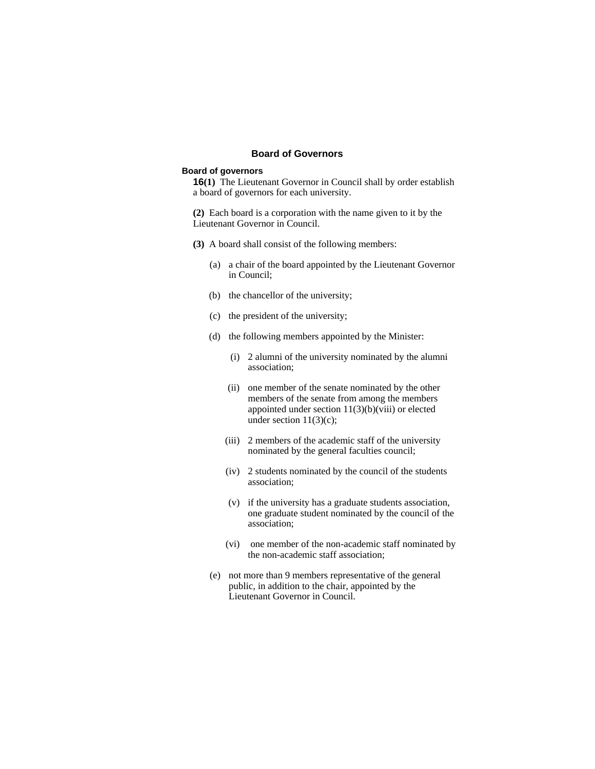# **Board of Governors**

## **Board of governors**

**16(1)** The Lieutenant Governor in Council shall by order establish a board of governors for each university.

**(2)** Each board is a corporation with the name given to it by the Lieutenant Governor in Council.

- **(3)** A board shall consist of the following members:
	- (a) a chair of the board appointed by the Lieutenant Governor in Council;
	- (b) the chancellor of the university;
	- (c) the president of the university;
	- (d) the following members appointed by the Minister:
		- (i) 2 alumni of the university nominated by the alumni association;
		- (ii) one member of the senate nominated by the other members of the senate from among the members appointed under section 11(3)(b)(viii) or elected under section  $11(3)(c)$ ;
		- (iii) 2 members of the academic staff of the university nominated by the general faculties council;
		- (iv) 2 students nominated by the council of the students association;
		- (v) if the university has a graduate students association, one graduate student nominated by the council of the association;
		- (vi) one member of the non-academic staff nominated by the non-academic staff association;
	- (e) not more than 9 members representative of the general public, in addition to the chair, appointed by the Lieutenant Governor in Council.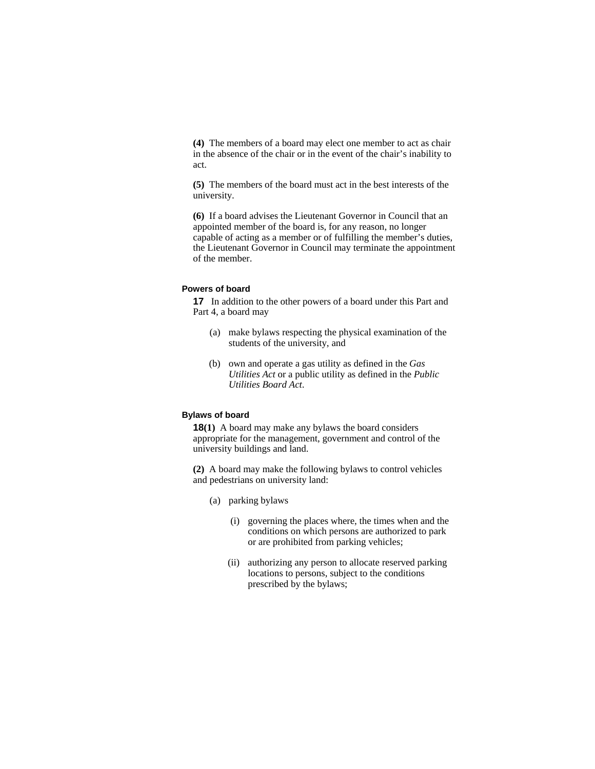**(4)** The members of a board may elect one member to act as chair in the absence of the chair or in the event of the chair's inability to act.

**(5)** The members of the board must act in the best interests of the university.

**(6)** If a board advises the Lieutenant Governor in Council that an appointed member of the board is, for any reason, no longer capable of acting as a member or of fulfilling the member's duties, the Lieutenant Governor in Council may terminate the appointment of the member.

# **Powers of board**

**17** In addition to the other powers of a board under this Part and Part 4, a board may

- (a) make bylaws respecting the physical examination of the students of the university, and
- (b) own and operate a gas utility as defined in the *Gas Utilities Act* or a public utility as defined in the *Public Utilities Board Act*.

### **Bylaws of board**

**18(1)** A board may make any bylaws the board considers appropriate for the management, government and control of the university buildings and land.

**(2)** A board may make the following bylaws to control vehicles and pedestrians on university land:

- (a) parking bylaws
	- (i) governing the places where, the times when and the conditions on which persons are authorized to park or are prohibited from parking vehicles;
	- (ii) authorizing any person to allocate reserved parking locations to persons, subject to the conditions prescribed by the bylaws;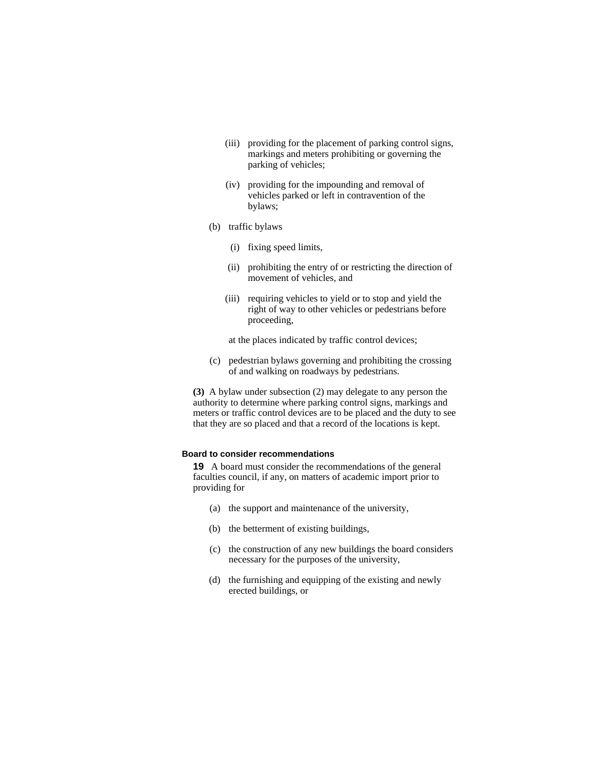- (iii) providing for the placement of parking control signs, markings and meters prohibiting or governing the parking of vehicles;
- (iv) providing for the impounding and removal of vehicles parked or left in contravention of the bylaws;
- (b) traffic bylaws
	- (i) fixing speed limits,
	- (ii) prohibiting the entry of or restricting the direction of movement of vehicles, and
	- (iii) requiring vehicles to yield or to stop and yield the right of way to other vehicles or pedestrians before proceeding,

at the places indicated by traffic control devices;

(c) pedestrian bylaws governing and prohibiting the crossing of and walking on roadways by pedestrians.

**(3)** A bylaw under subsection (2) may delegate to any person the authority to determine where parking control signs, markings and meters or traffic control devices are to be placed and the duty to see that they are so placed and that a record of the locations is kept.

# **Board to consider recommendations**

**19** A board must consider the recommendations of the general faculties council, if any, on matters of academic import prior to providing for

- (a) the support and maintenance of the university,
- (b) the betterment of existing buildings,
- (c) the construction of any new buildings the board considers necessary for the purposes of the university,
- (d) the furnishing and equipping of the existing and newly erected buildings, or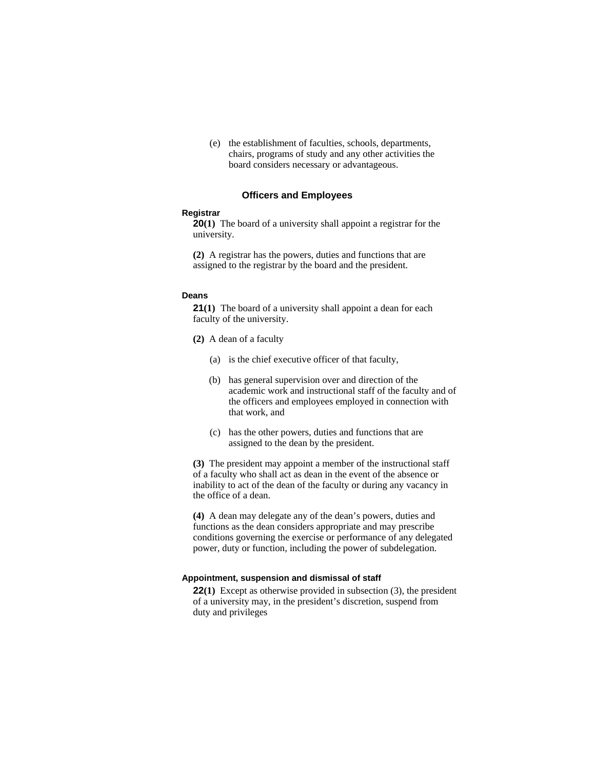(e) the establishment of faculties, schools, departments, chairs, programs of study and any other activities the board considers necessary or advantageous.

### **Officers and Employees**

### **Registrar**

**20(1)** The board of a university shall appoint a registrar for the university.

**(2)** A registrar has the powers, duties and functions that are assigned to the registrar by the board and the president.

#### **Deans**

**21(1)** The board of a university shall appoint a dean for each faculty of the university.

- **(2)** A dean of a faculty
	- (a) is the chief executive officer of that faculty,
	- (b) has general supervision over and direction of the academic work and instructional staff of the faculty and of the officers and employees employed in connection with that work, and
	- (c) has the other powers, duties and functions that are assigned to the dean by the president.

**(3)** The president may appoint a member of the instructional staff of a faculty who shall act as dean in the event of the absence or inability to act of the dean of the faculty or during any vacancy in the office of a dean.

**(4)** A dean may delegate any of the dean's powers, duties and functions as the dean considers appropriate and may prescribe conditions governing the exercise or performance of any delegated power, duty or function, including the power of subdelegation.

#### **Appointment, suspension and dismissal of staff**

**22(1)** Except as otherwise provided in subsection (3), the president of a university may, in the president's discretion, suspend from duty and privileges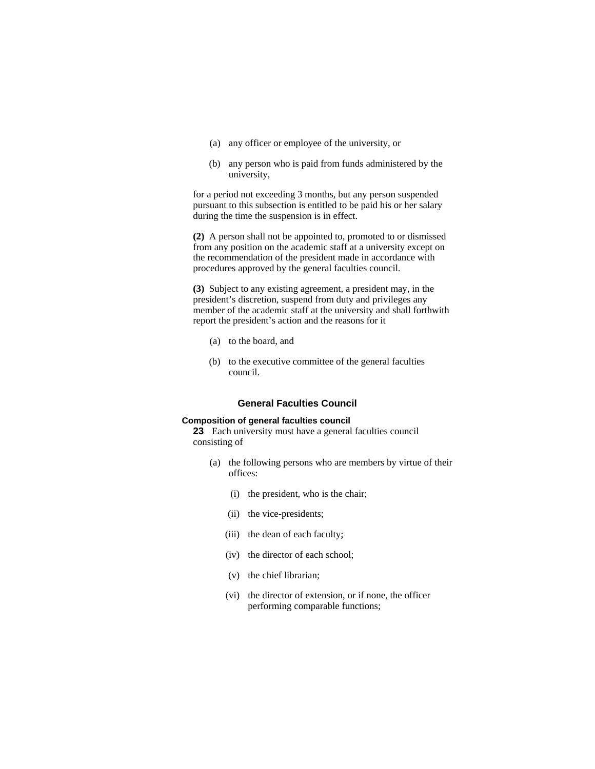- (a) any officer or employee of the university, or
- (b) any person who is paid from funds administered by the university,

for a period not exceeding 3 months, but any person suspended pursuant to this subsection is entitled to be paid his or her salary during the time the suspension is in effect.

**(2)** A person shall not be appointed to, promoted to or dismissed from any position on the academic staff at a university except on the recommendation of the president made in accordance with procedures approved by the general faculties council.

**(3)** Subject to any existing agreement, a president may, in the president's discretion, suspend from duty and privileges any member of the academic staff at the university and shall forthwith report the president's action and the reasons for it

- (a) to the board, and
- (b) to the executive committee of the general faculties council.

# **General Faculties Council**

### **Composition of general faculties council**

**23** Each university must have a general faculties council consisting of

- (a) the following persons who are members by virtue of their offices:
	- (i) the president, who is the chair;
	- (ii) the vice-presidents;
	- (iii) the dean of each faculty;
	- (iv) the director of each school;
	- (v) the chief librarian;
	- (vi) the director of extension, or if none, the officer performing comparable functions;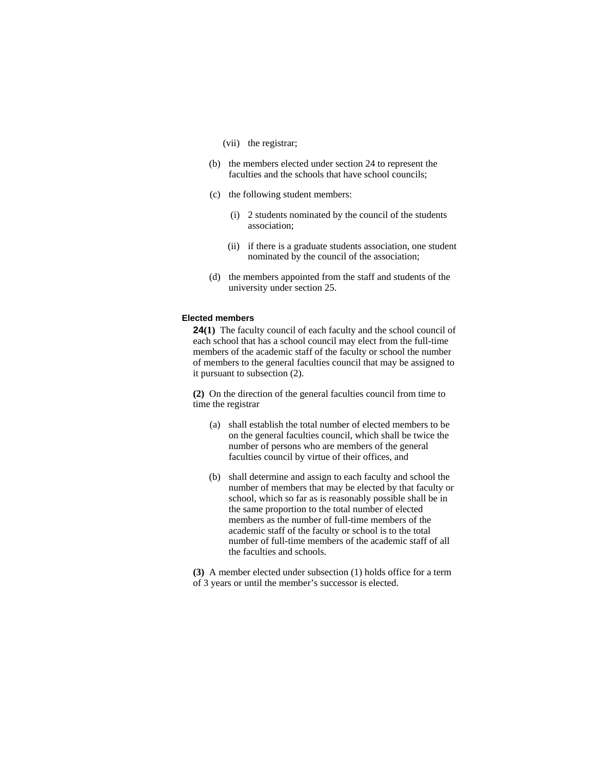- (vii) the registrar;
- (b) the members elected under section 24 to represent the faculties and the schools that have school councils;
- (c) the following student members:
	- (i) 2 students nominated by the council of the students association;
	- (ii) if there is a graduate students association, one student nominated by the council of the association;
- (d) the members appointed from the staff and students of the university under section 25.

### **Elected members**

**24(1)** The faculty council of each faculty and the school council of each school that has a school council may elect from the full-time members of the academic staff of the faculty or school the number of members to the general faculties council that may be assigned to it pursuant to subsection (2).

**(2)** On the direction of the general faculties council from time to time the registrar

- (a) shall establish the total number of elected members to be on the general faculties council, which shall be twice the number of persons who are members of the general faculties council by virtue of their offices, and
- (b) shall determine and assign to each faculty and school the number of members that may be elected by that faculty or school, which so far as is reasonably possible shall be in the same proportion to the total number of elected members as the number of full-time members of the academic staff of the faculty or school is to the total number of full-time members of the academic staff of all the faculties and schools.

**(3)** A member elected under subsection (1) holds office for a term of 3 years or until the member's successor is elected.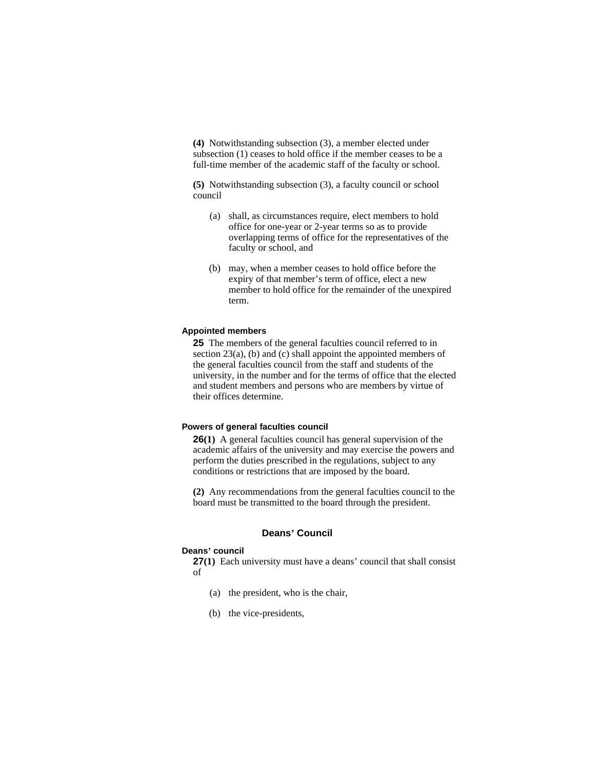**(4)** Notwithstanding subsection (3), a member elected under subsection (1) ceases to hold office if the member ceases to be a full-time member of the academic staff of the faculty or school.

**(5)** Notwithstanding subsection (3), a faculty council or school council

- (a) shall, as circumstances require, elect members to hold office for one-year or 2-year terms so as to provide overlapping terms of office for the representatives of the faculty or school, and
- (b) may, when a member ceases to hold office before the expiry of that member's term of office, elect a new member to hold office for the remainder of the unexpired term.

### **Appointed members**

**25** The members of the general faculties council referred to in section 23(a), (b) and (c) shall appoint the appointed members of the general faculties council from the staff and students of the university, in the number and for the terms of office that the elected and student members and persons who are members by virtue of their offices determine.

# **Powers of general faculties council**

**26(1)** A general faculties council has general supervision of the academic affairs of the university and may exercise the powers and perform the duties prescribed in the regulations, subject to any conditions or restrictions that are imposed by the board.

**(2)** Any recommendations from the general faculties council to the board must be transmitted to the board through the president.

### **Deans' Council**

#### **Deans' council**

**27(1)** Each university must have a deans' council that shall consist of

- (a) the president, who is the chair,
- (b) the vice-presidents,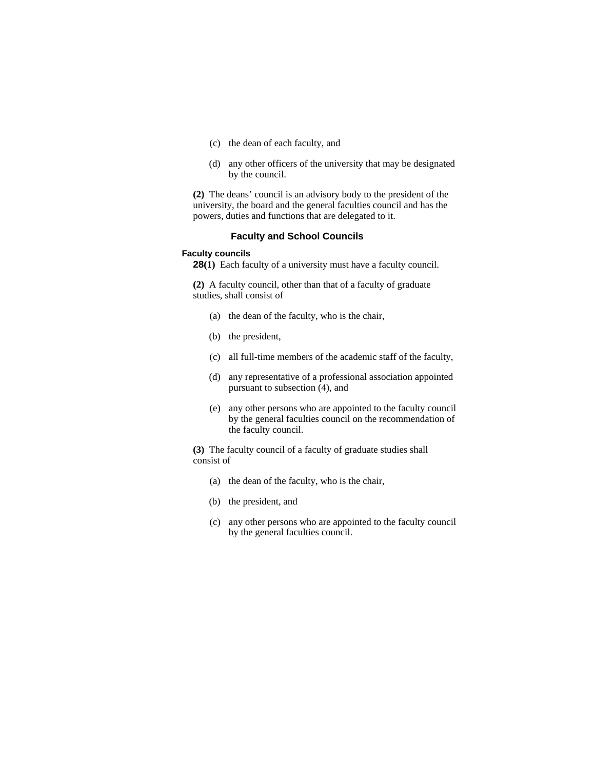- (c) the dean of each faculty, and
- (d) any other officers of the university that may be designated by the council.

**(2)** The deans' council is an advisory body to the president of the university, the board and the general faculties council and has the powers, duties and functions that are delegated to it.

# **Faculty and School Councils**

### **Faculty councils**

**28(1)** Each faculty of a university must have a faculty council.

**(2)** A faculty council, other than that of a faculty of graduate studies, shall consist of

- (a) the dean of the faculty, who is the chair,
- (b) the president,
- (c) all full-time members of the academic staff of the faculty,
- (d) any representative of a professional association appointed pursuant to subsection (4), and
- (e) any other persons who are appointed to the faculty council by the general faculties council on the recommendation of the faculty council.

**(3)** The faculty council of a faculty of graduate studies shall consist of

- (a) the dean of the faculty, who is the chair,
- (b) the president, and
- (c) any other persons who are appointed to the faculty council by the general faculties council.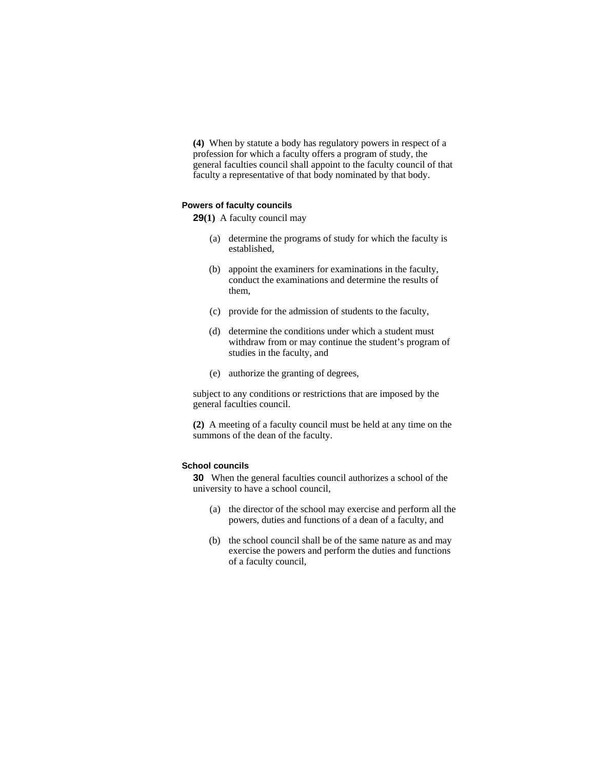**(4)** When by statute a body has regulatory powers in respect of a profession for which a faculty offers a program of study, the general faculties council shall appoint to the faculty council of that faculty a representative of that body nominated by that body.

#### **Powers of faculty councils**

**29(1)** A faculty council may

- (a) determine the programs of study for which the faculty is established,
- (b) appoint the examiners for examinations in the faculty, conduct the examinations and determine the results of them,
- (c) provide for the admission of students to the faculty,
- (d) determine the conditions under which a student must withdraw from or may continue the student's program of studies in the faculty, and
- (e) authorize the granting of degrees,

subject to any conditions or restrictions that are imposed by the general faculties council.

**(2)** A meeting of a faculty council must be held at any time on the summons of the dean of the faculty.

# **School councils**

**30** When the general faculties council authorizes a school of the university to have a school council,

- (a) the director of the school may exercise and perform all the powers, duties and functions of a dean of a faculty, and
- (b) the school council shall be of the same nature as and may exercise the powers and perform the duties and functions of a faculty council,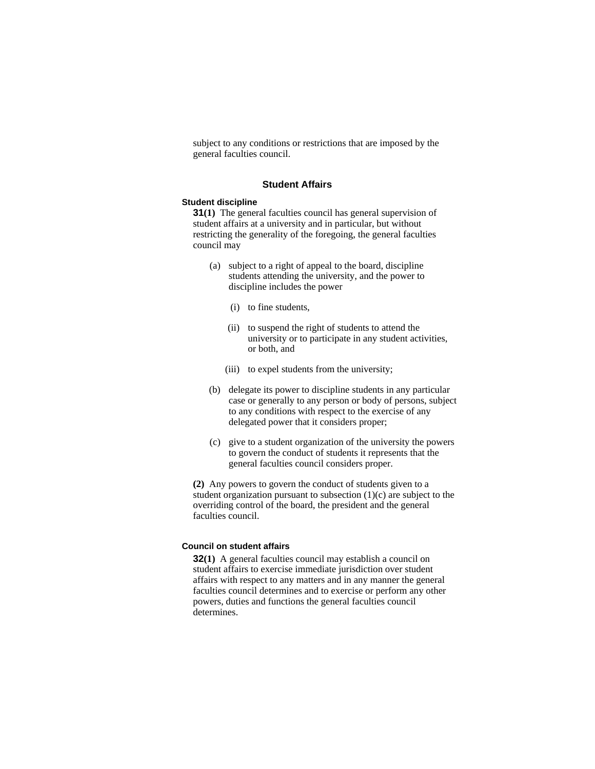subject to any conditions or restrictions that are imposed by the general faculties council.

#### **Student Affairs**

#### **Student discipline**

**31(1)** The general faculties council has general supervision of student affairs at a university and in particular, but without restricting the generality of the foregoing, the general faculties council may

- (a) subject to a right of appeal to the board, discipline students attending the university, and the power to discipline includes the power
	- (i) to fine students,
	- (ii) to suspend the right of students to attend the university or to participate in any student activities, or both, and
	- (iii) to expel students from the university;
- (b) delegate its power to discipline students in any particular case or generally to any person or body of persons, subject to any conditions with respect to the exercise of any delegated power that it considers proper;
- (c) give to a student organization of the university the powers to govern the conduct of students it represents that the general faculties council considers proper.

**(2)** Any powers to govern the conduct of students given to a student organization pursuant to subsection  $(1)(c)$  are subject to the overriding control of the board, the president and the general faculties council.

### **Council on student affairs**

**32(1)** A general faculties council may establish a council on student affairs to exercise immediate jurisdiction over student affairs with respect to any matters and in any manner the general faculties council determines and to exercise or perform any other powers, duties and functions the general faculties council determines.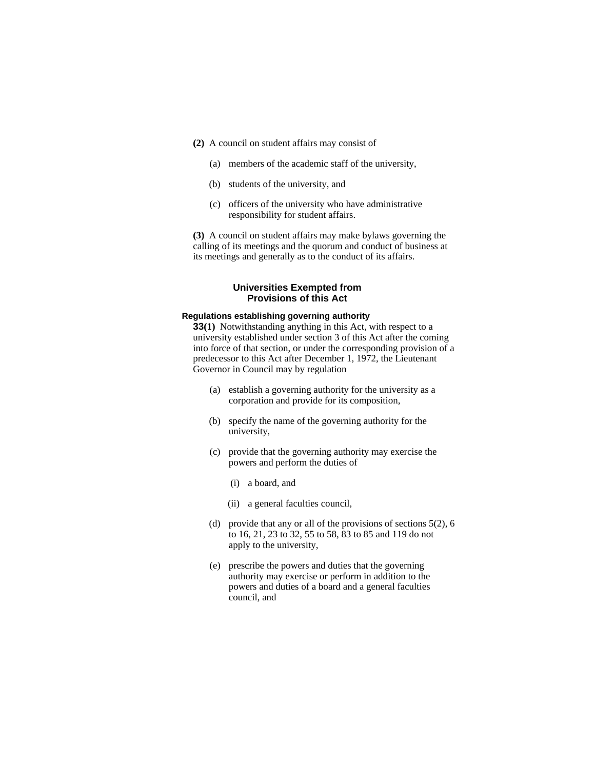- **(2)** A council on student affairs may consist of
	- (a) members of the academic staff of the university,
	- (b) students of the university, and
	- (c) officers of the university who have administrative responsibility for student affairs.

**(3)** A council on student affairs may make bylaws governing the calling of its meetings and the quorum and conduct of business at its meetings and generally as to the conduct of its affairs.

# **Universities Exempted from Provisions of this Act**

# **Regulations establishing governing authority**

**33(1)** Notwithstanding anything in this Act, with respect to a university established under section 3 of this Act after the coming into force of that section, or under the corresponding provision of a predecessor to this Act after December 1, 1972, the Lieutenant Governor in Council may by regulation

- (a) establish a governing authority for the university as a corporation and provide for its composition,
- (b) specify the name of the governing authority for the university,
- (c) provide that the governing authority may exercise the powers and perform the duties of
	- (i) a board, and
	- (ii) a general faculties council,
- (d) provide that any or all of the provisions of sections 5(2), 6 to 16, 21, 23 to 32, 55 to 58, 83 to 85 and 119 do not apply to the university,
- (e) prescribe the powers and duties that the governing authority may exercise or perform in addition to the powers and duties of a board and a general faculties council, and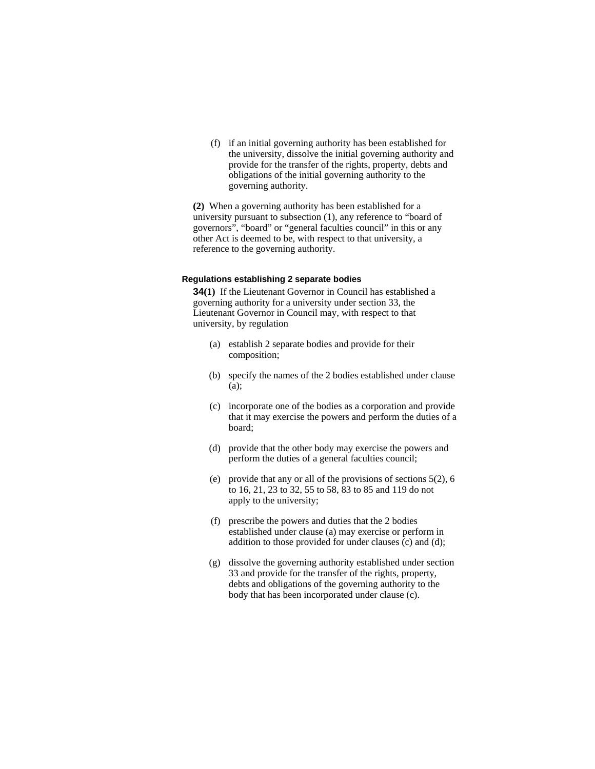(f) if an initial governing authority has been established for the university, dissolve the initial governing authority and provide for the transfer of the rights, property, debts and obligations of the initial governing authority to the governing authority.

**(2)** When a governing authority has been established for a university pursuant to subsection (1), any reference to "board of governors", "board" or "general faculties council" in this or any other Act is deemed to be, with respect to that university, a reference to the governing authority.

### **Regulations establishing 2 separate bodies**

**34(1)** If the Lieutenant Governor in Council has established a governing authority for a university under section 33, the Lieutenant Governor in Council may, with respect to that university, by regulation

- (a) establish 2 separate bodies and provide for their composition;
- (b) specify the names of the 2 bodies established under clause (a);
- (c) incorporate one of the bodies as a corporation and provide that it may exercise the powers and perform the duties of a board;
- (d) provide that the other body may exercise the powers and perform the duties of a general faculties council;
- (e) provide that any or all of the provisions of sections 5(2), 6 to 16, 21, 23 to 32, 55 to 58, 83 to 85 and 119 do not apply to the university;
- (f) prescribe the powers and duties that the 2 bodies established under clause (a) may exercise or perform in addition to those provided for under clauses  $(c)$  and  $(d)$ ;
- (g) dissolve the governing authority established under section 33 and provide for the transfer of the rights, property, debts and obligations of the governing authority to the body that has been incorporated under clause (c).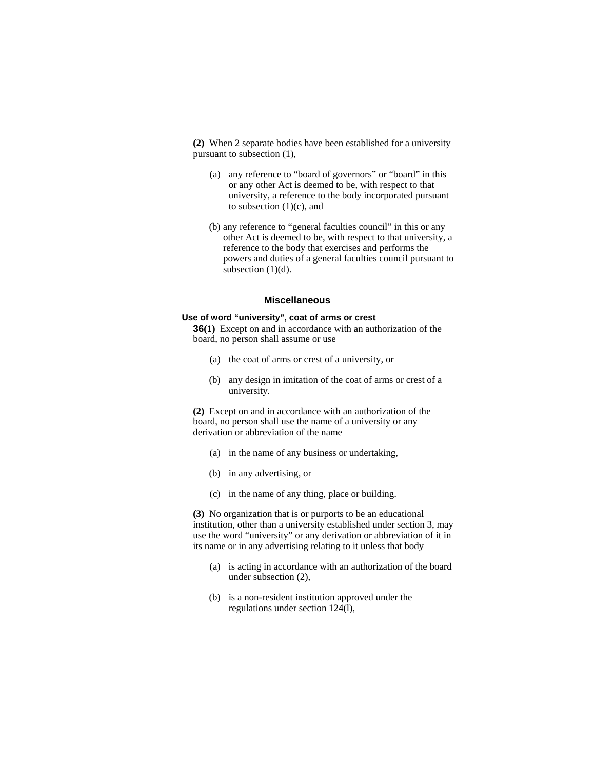**(2)** When 2 separate bodies have been established for a university pursuant to subsection (1),

- (a) any reference to "board of governors" or "board" in this or any other Act is deemed to be, with respect to that university, a reference to the body incorporated pursuant to subsection  $(1)(c)$ , and
- (b) any reference to "general faculties council" in this or any other Act is deemed to be, with respect to that university, a reference to the body that exercises and performs the powers and duties of a general faculties council pursuant to subsection (1)(d).

### **Miscellaneous**

### **Use of word "university", coat of arms or crest**

**36(1)** Except on and in accordance with an authorization of the board, no person shall assume or use

- (a) the coat of arms or crest of a university, or
- (b) any design in imitation of the coat of arms or crest of a university.

**(2)** Except on and in accordance with an authorization of the board, no person shall use the name of a university or any derivation or abbreviation of the name

- (a) in the name of any business or undertaking,
- (b) in any advertising, or
- (c) in the name of any thing, place or building.

**(3)** No organization that is or purports to be an educational institution, other than a university established under section 3, may use the word "university" or any derivation or abbreviation of it in its name or in any advertising relating to it unless that body

- (a) is acting in accordance with an authorization of the board under subsection (2),
- (b) is a non-resident institution approved under the regulations under section 124(l),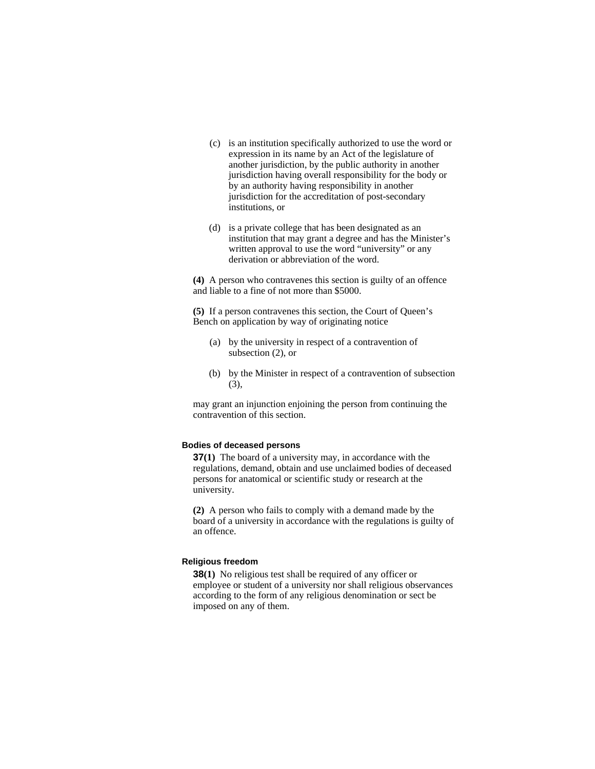- (c) is an institution specifically authorized to use the word or expression in its name by an Act of the legislature of another jurisdiction, by the public authority in another jurisdiction having overall responsibility for the body or by an authority having responsibility in another jurisdiction for the accreditation of post-secondary institutions, or
- (d) is a private college that has been designated as an institution that may grant a degree and has the Minister's written approval to use the word "university" or any derivation or abbreviation of the word.

**(4)** A person who contravenes this section is guilty of an offence and liable to a fine of not more than \$5000.

**(5)** If a person contravenes this section, the Court of Queen's Bench on application by way of originating notice

- (a) by the university in respect of a contravention of subsection (2), or
- (b) by the Minister in respect of a contravention of subsection (3),

may grant an injunction enjoining the person from continuing the contravention of this section.

### **Bodies of deceased persons**

**37(1)** The board of a university may, in accordance with the regulations, demand, obtain and use unclaimed bodies of deceased persons for anatomical or scientific study or research at the university.

**(2)** A person who fails to comply with a demand made by the board of a university in accordance with the regulations is guilty of an offence.

# **Religious freedom**

**38(1)** No religious test shall be required of any officer or employee or student of a university nor shall religious observances according to the form of any religious denomination or sect be imposed on any of them.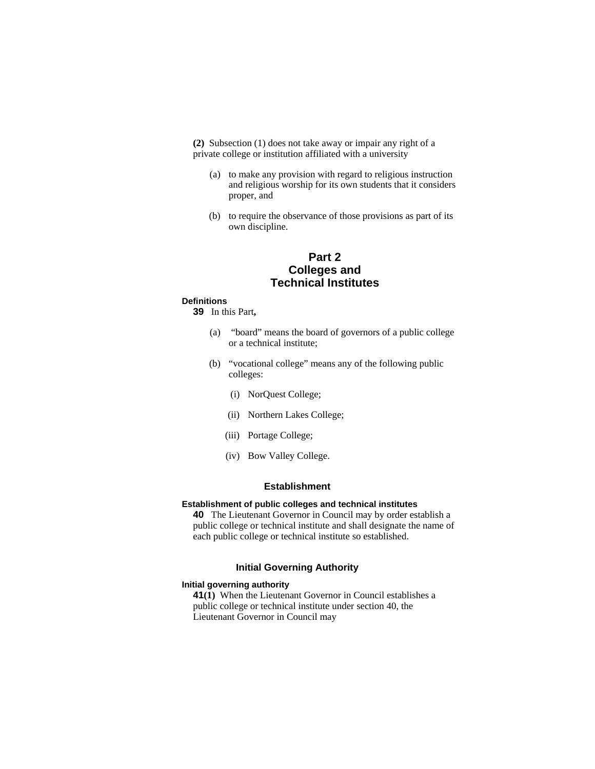**(2)** Subsection (1) does not take away or impair any right of a private college or institution affiliated with a university

- (a) to make any provision with regard to religious instruction and religious worship for its own students that it considers proper, and
- (b) to require the observance of those provisions as part of its own discipline.

# **Part 2 Colleges and Technical Institutes**

#### **Definitions**

**39** In this Part**,** 

- (a) "board" means the board of governors of a public college or a technical institute;
- (b) "vocational college" means any of the following public colleges:
	- (i) NorQuest College;
	- (ii) Northern Lakes College;
	- (iii) Portage College;
	- (iv) Bow Valley College.

# **Establishment**

### **Establishment of public colleges and technical institutes**

**40** The Lieutenant Governor in Council may by order establish a public college or technical institute and shall designate the name of each public college or technical institute so established.

## **Initial Governing Authority**

### **Initial governing authority**

**41(1)** When the Lieutenant Governor in Council establishes a public college or technical institute under section 40, the Lieutenant Governor in Council may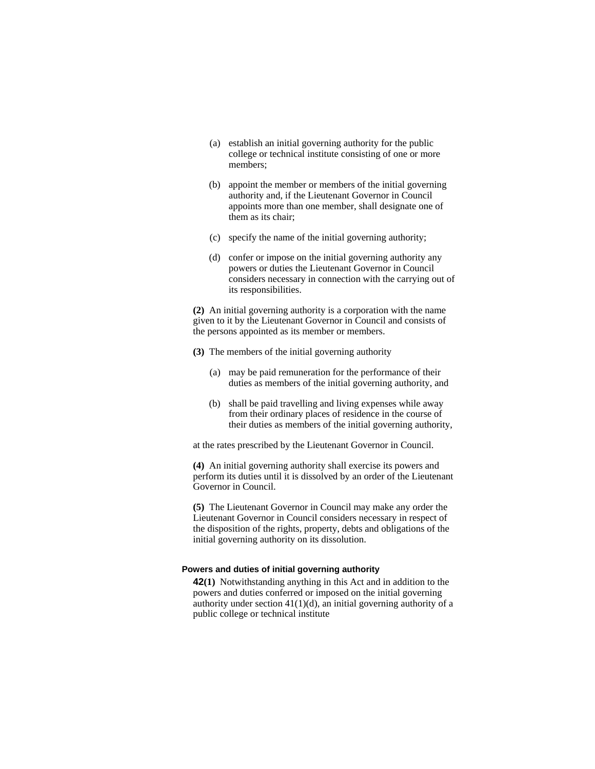- (a) establish an initial governing authority for the public college or technical institute consisting of one or more members;
- (b) appoint the member or members of the initial governing authority and, if the Lieutenant Governor in Council appoints more than one member, shall designate one of them as its chair;
- (c) specify the name of the initial governing authority;
- (d) confer or impose on the initial governing authority any powers or duties the Lieutenant Governor in Council considers necessary in connection with the carrying out of its responsibilities.

**(2)** An initial governing authority is a corporation with the name given to it by the Lieutenant Governor in Council and consists of the persons appointed as its member or members.

- **(3)** The members of the initial governing authority
	- (a) may be paid remuneration for the performance of their duties as members of the initial governing authority, and
	- (b) shall be paid travelling and living expenses while away from their ordinary places of residence in the course of their duties as members of the initial governing authority,

at the rates prescribed by the Lieutenant Governor in Council.

**(4)** An initial governing authority shall exercise its powers and perform its duties until it is dissolved by an order of the Lieutenant Governor in Council.

**(5)** The Lieutenant Governor in Council may make any order the Lieutenant Governor in Council considers necessary in respect of the disposition of the rights, property, debts and obligations of the initial governing authority on its dissolution.

### **Powers and duties of initial governing authority**

**42(1)** Notwithstanding anything in this Act and in addition to the powers and duties conferred or imposed on the initial governing authority under section  $41(1)(d)$ , an initial governing authority of a public college or technical institute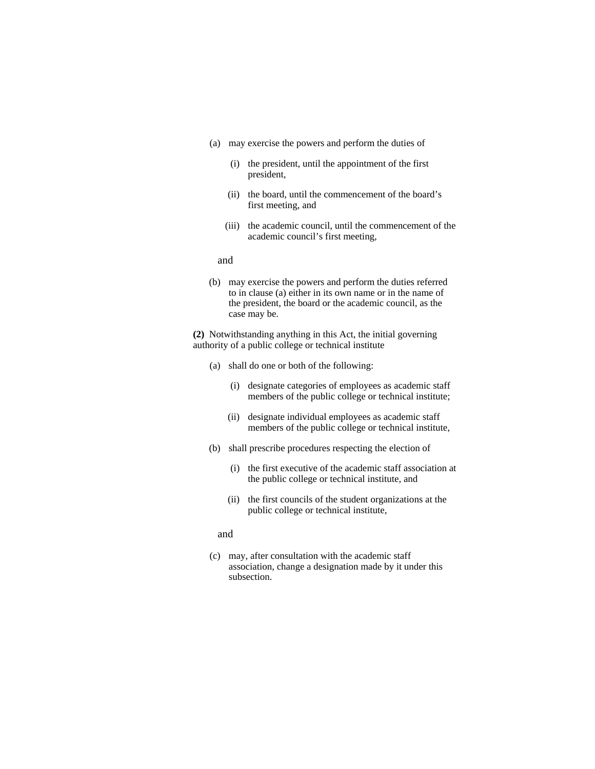- (a) may exercise the powers and perform the duties of
	- (i) the president, until the appointment of the first president,
	- (ii) the board, until the commencement of the board's first meeting, and
	- (iii) the academic council, until the commencement of the academic council's first meeting,

and

(b) may exercise the powers and perform the duties referred to in clause (a) either in its own name or in the name of the president, the board or the academic council, as the case may be.

**(2)** Notwithstanding anything in this Act, the initial governing authority of a public college or technical institute

- (a) shall do one or both of the following:
	- (i) designate categories of employees as academic staff members of the public college or technical institute;
	- (ii) designate individual employees as academic staff members of the public college or technical institute,
- (b) shall prescribe procedures respecting the election of
	- (i) the first executive of the academic staff association at the public college or technical institute, and
	- (ii) the first councils of the student organizations at the public college or technical institute,
	- and
- (c) may, after consultation with the academic staff association, change a designation made by it under this subsection.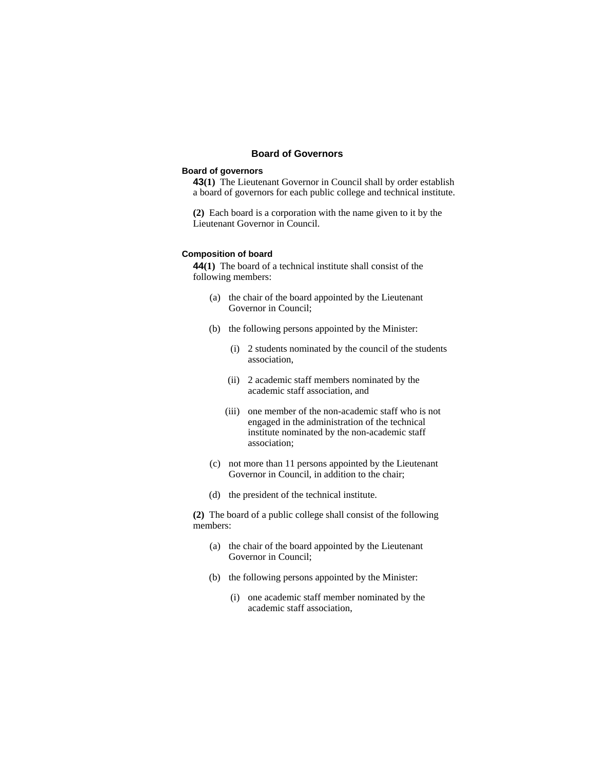# **Board of Governors**

# **Board of governors**

**43(1)** The Lieutenant Governor in Council shall by order establish a board of governors for each public college and technical institute.

**(2)** Each board is a corporation with the name given to it by the Lieutenant Governor in Council.

### **Composition of board**

**44(1)** The board of a technical institute shall consist of the following members:

- (a) the chair of the board appointed by the Lieutenant Governor in Council;
- (b) the following persons appointed by the Minister:
	- (i) 2 students nominated by the council of the students association,
	- (ii) 2 academic staff members nominated by the academic staff association, and
	- (iii) one member of the non-academic staff who is not engaged in the administration of the technical institute nominated by the non-academic staff association;
- (c) not more than 11 persons appointed by the Lieutenant Governor in Council, in addition to the chair;
- (d) the president of the technical institute.

**(2)** The board of a public college shall consist of the following members:

- (a) the chair of the board appointed by the Lieutenant Governor in Council;
- (b) the following persons appointed by the Minister:
	- (i) one academic staff member nominated by the academic staff association,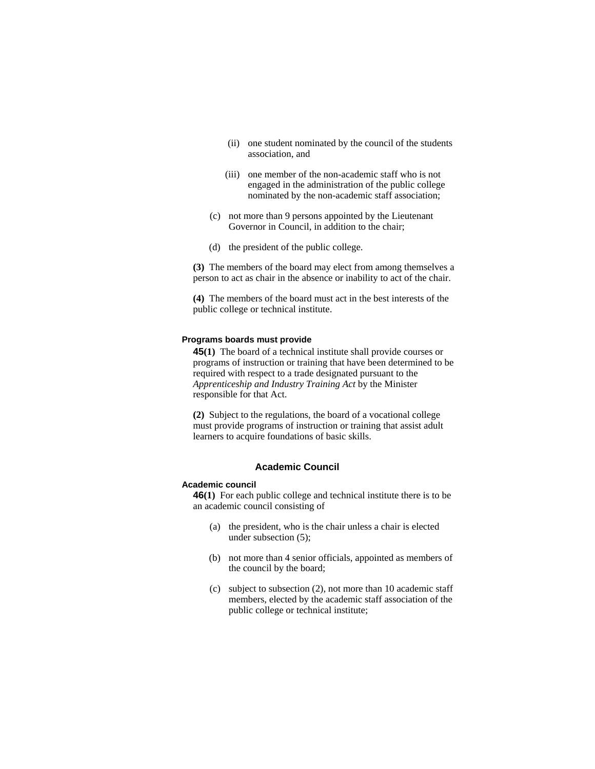- (ii) one student nominated by the council of the students association, and
- (iii) one member of the non-academic staff who is not engaged in the administration of the public college nominated by the non-academic staff association;
- (c) not more than 9 persons appointed by the Lieutenant Governor in Council, in addition to the chair;
- (d) the president of the public college.

**(3)** The members of the board may elect from among themselves a person to act as chair in the absence or inability to act of the chair.

**(4)** The members of the board must act in the best interests of the public college or technical institute.

#### **Programs boards must provide**

**45(1)** The board of a technical institute shall provide courses or programs of instruction or training that have been determined to be required with respect to a trade designated pursuant to the *Apprenticeship and Industry Training Act* by the Minister responsible for that Act.

**(2)** Subject to the regulations, the board of a vocational college must provide programs of instruction or training that assist adult learners to acquire foundations of basic skills.

### **Academic Council**

## **Academic council**

**46(1)** For each public college and technical institute there is to be an academic council consisting of

- (a) the president, who is the chair unless a chair is elected under subsection (5);
- (b) not more than 4 senior officials, appointed as members of the council by the board;
- (c) subject to subsection (2), not more than 10 academic staff members, elected by the academic staff association of the public college or technical institute;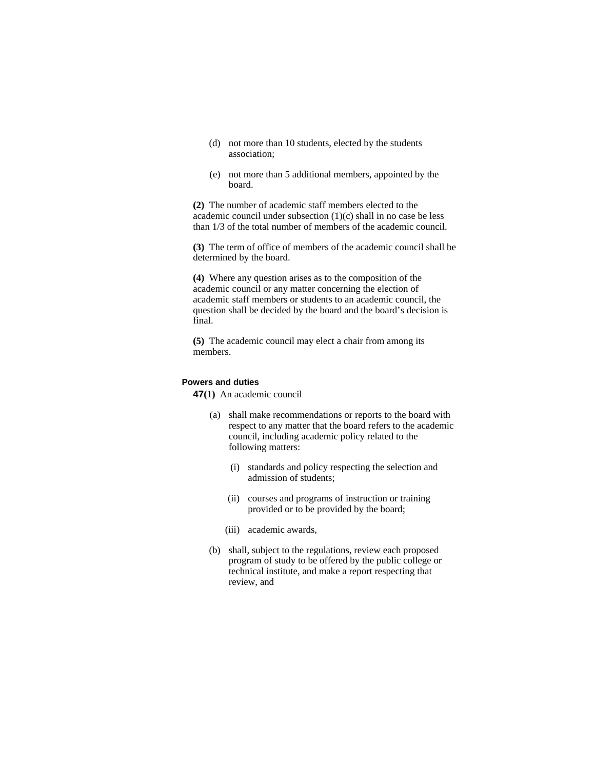- (d) not more than 10 students, elected by the students association;
- (e) not more than 5 additional members, appointed by the board.

**(2)** The number of academic staff members elected to the academic council under subsection (1)(c) shall in no case be less than 1/3 of the total number of members of the academic council.

**(3)** The term of office of members of the academic council shall be determined by the board.

**(4)** Where any question arises as to the composition of the academic council or any matter concerning the election of academic staff members or students to an academic council, the question shall be decided by the board and the board's decision is final.

**(5)** The academic council may elect a chair from among its members.

#### **Powers and duties**

**47(1)** An academic council

- (a) shall make recommendations or reports to the board with respect to any matter that the board refers to the academic council, including academic policy related to the following matters:
	- (i) standards and policy respecting the selection and admission of students;
	- (ii) courses and programs of instruction or training provided or to be provided by the board;
	- (iii) academic awards,
- (b) shall, subject to the regulations, review each proposed program of study to be offered by the public college or technical institute, and make a report respecting that review, and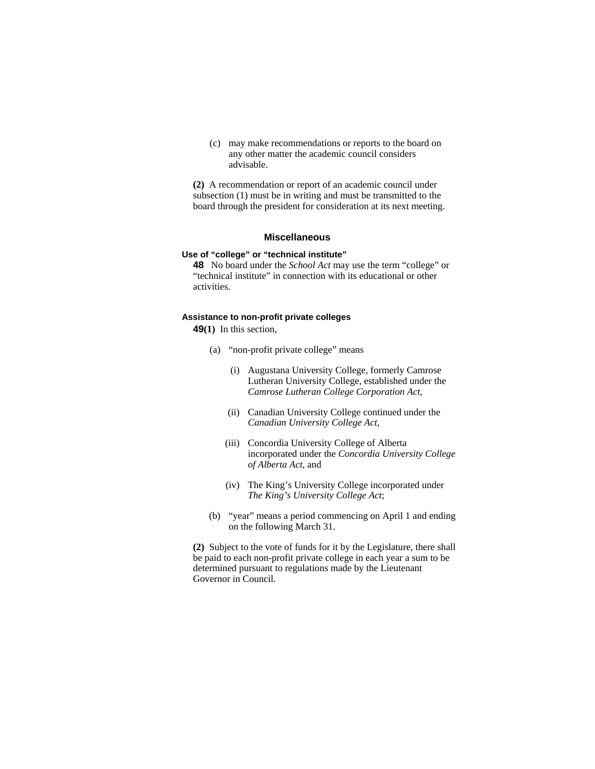(c) may make recommendations or reports to the board on any other matter the academic council considers advisable.

**(2)** A recommendation or report of an academic council under subsection (1) must be in writing and must be transmitted to the board through the president for consideration at its next meeting.

# **Miscellaneous**

## **Use of "college" or "technical institute"**

**48** No board under the *School Act* may use the term "college" or "technical institute" in connection with its educational or other activities.

### **Assistance to non-profit private colleges**

**49(1)** In this section,

- (a) "non-profit private college" means
	- (i) Augustana University College, formerly Camrose Lutheran University College, established under the *Camrose Lutheran College Corporation Act*,
	- (ii) Canadian University College continued under the *Canadian University College Act*,
	- (iii) Concordia University College of Alberta incorporated under the *Concordia University College of Alberta Act*, and
	- (iv) The King's University College incorporated under *The King's University College Act*;
- (b) "year" means a period commencing on April 1 and ending on the following March 31.

**(2)** Subject to the vote of funds for it by the Legislature, there shall be paid to each non-profit private college in each year a sum to be determined pursuant to regulations made by the Lieutenant Governor in Council.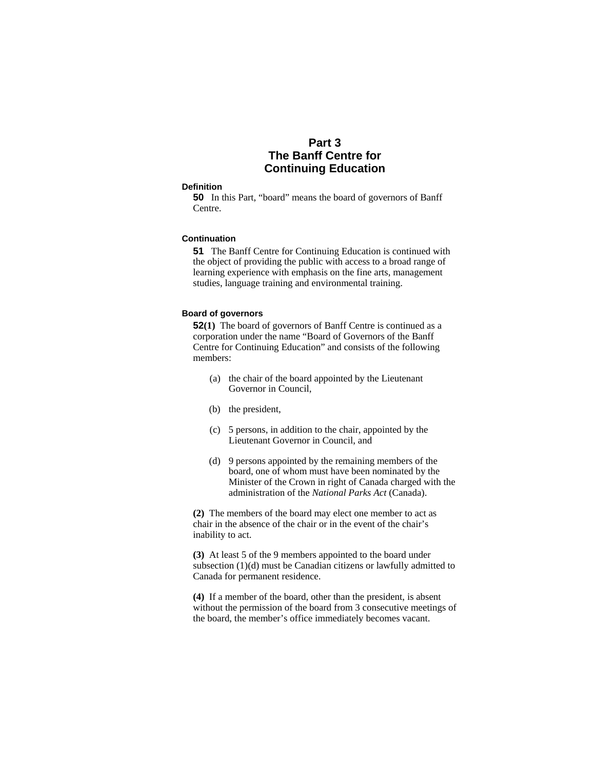# **Part 3 The Banff Centre for Continuing Education**

#### **Definition**

**50** In this Part, "board" means the board of governors of Banff Centre.

## **Continuation**

**51** The Banff Centre for Continuing Education is continued with the object of providing the public with access to a broad range of learning experience with emphasis on the fine arts, management studies, language training and environmental training.

## **Board of governors**

**52(1)** The board of governors of Banff Centre is continued as a corporation under the name "Board of Governors of the Banff Centre for Continuing Education" and consists of the following members:

- (a) the chair of the board appointed by the Lieutenant Governor in Council,
- (b) the president,
- (c) 5 persons, in addition to the chair, appointed by the Lieutenant Governor in Council, and
- (d) 9 persons appointed by the remaining members of the board, one of whom must have been nominated by the Minister of the Crown in right of Canada charged with the administration of the *National Parks Act* (Canada).

**(2)** The members of the board may elect one member to act as chair in the absence of the chair or in the event of the chair's inability to act.

**(3)** At least 5 of the 9 members appointed to the board under subsection (1)(d) must be Canadian citizens or lawfully admitted to Canada for permanent residence.

**(4)** If a member of the board, other than the president, is absent without the permission of the board from 3 consecutive meetings of the board, the member's office immediately becomes vacant.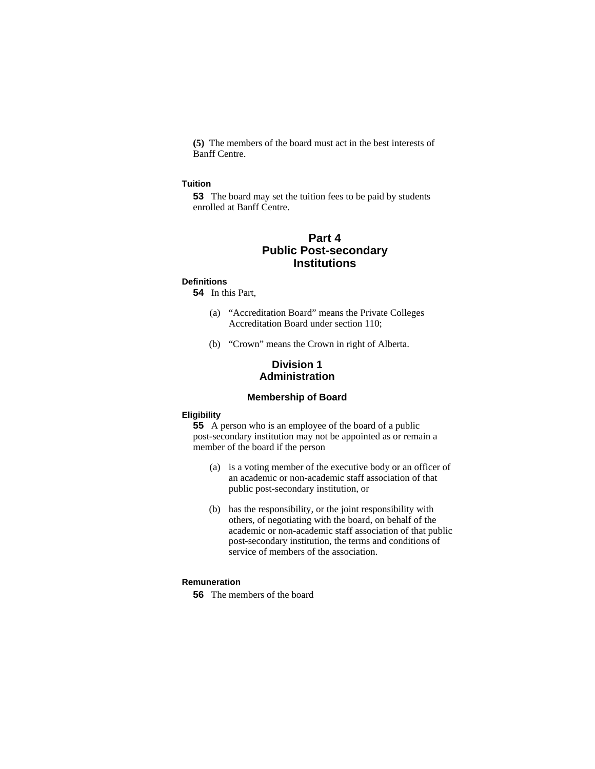**(5)** The members of the board must act in the best interests of Banff Centre.

#### **Tuition**

**53** The board may set the tuition fees to be paid by students enrolled at Banff Centre.

# **Part 4 Public Post-secondary Institutions**

## **Definitions**

**54** In this Part,

- (a) "Accreditation Board" means the Private Colleges Accreditation Board under section 110;
- (b) "Crown" means the Crown in right of Alberta.

# **Division 1 Administration**

## **Membership of Board**

## **Eligibility**

**55** A person who is an employee of the board of a public post-secondary institution may not be appointed as or remain a member of the board if the person

- (a) is a voting member of the executive body or an officer of an academic or non-academic staff association of that public post-secondary institution, or
- (b) has the responsibility, or the joint responsibility with others, of negotiating with the board, on behalf of the academic or non-academic staff association of that public post-secondary institution, the terms and conditions of service of members of the association.

# **Remuneration**

**56** The members of the board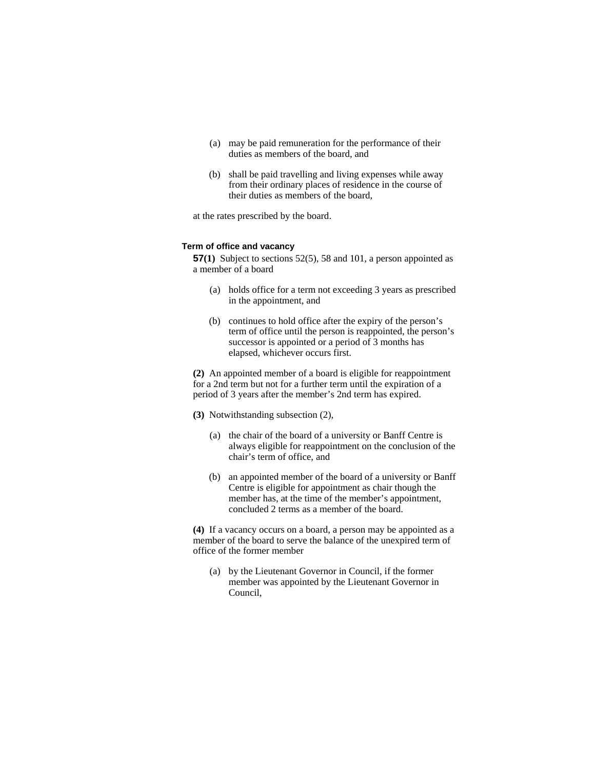- (a) may be paid remuneration for the performance of their duties as members of the board, and
- (b) shall be paid travelling and living expenses while away from their ordinary places of residence in the course of their duties as members of the board,

at the rates prescribed by the board.

#### **Term of office and vacancy**

**57(1)** Subject to sections 52(5), 58 and 101, a person appointed as a member of a board

- (a) holds office for a term not exceeding 3 years as prescribed in the appointment, and
- (b) continues to hold office after the expiry of the person's term of office until the person is reappointed, the person's successor is appointed or a period of 3 months has elapsed, whichever occurs first.

**(2)** An appointed member of a board is eligible for reappointment for a 2nd term but not for a further term until the expiration of a period of 3 years after the member's 2nd term has expired.

- **(3)** Notwithstanding subsection (2),
	- (a) the chair of the board of a university or Banff Centre is always eligible for reappointment on the conclusion of the chair's term of office, and
	- (b) an appointed member of the board of a university or Banff Centre is eligible for appointment as chair though the member has, at the time of the member's appointment, concluded 2 terms as a member of the board.

**(4)** If a vacancy occurs on a board, a person may be appointed as a member of the board to serve the balance of the unexpired term of office of the former member

(a) by the Lieutenant Governor in Council, if the former member was appointed by the Lieutenant Governor in Council,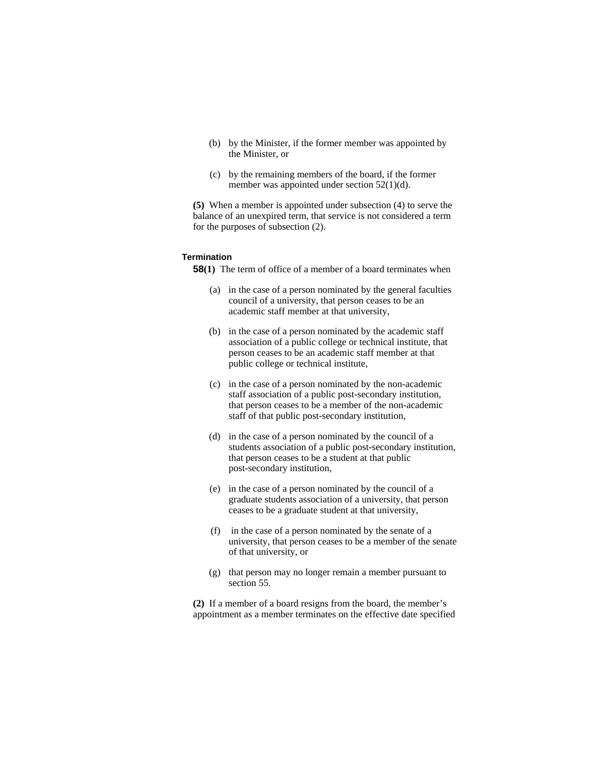- (b) by the Minister, if the former member was appointed by the Minister, or
- (c) by the remaining members of the board, if the former member was appointed under section 52(1)(d).

**(5)** When a member is appointed under subsection (4) to serve the balance of an unexpired term, that service is not considered a term for the purposes of subsection (2).

## **Termination**

**58(1)** The term of office of a member of a board terminates when

- (a) in the case of a person nominated by the general faculties council of a university, that person ceases to be an academic staff member at that university,
- (b) in the case of a person nominated by the academic staff association of a public college or technical institute, that person ceases to be an academic staff member at that public college or technical institute,
- (c) in the case of a person nominated by the non-academic staff association of a public post-secondary institution, that person ceases to be a member of the non-academic staff of that public post-secondary institution,
- (d) in the case of a person nominated by the council of a students association of a public post-secondary institution, that person ceases to be a student at that public post-secondary institution,
- (e) in the case of a person nominated by the council of a graduate students association of a university, that person ceases to be a graduate student at that university,
- (f) in the case of a person nominated by the senate of a university, that person ceases to be a member of the senate of that university, or
- (g) that person may no longer remain a member pursuant to section 55.

**(2)** If a member of a board resigns from the board, the member's appointment as a member terminates on the effective date specified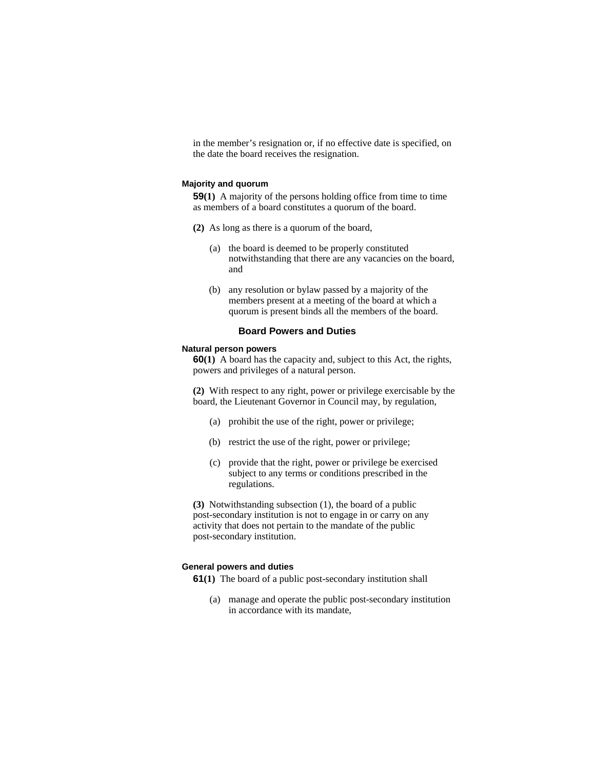in the member's resignation or, if no effective date is specified, on the date the board receives the resignation.

#### **Majority and quorum**

**59(1)** A majority of the persons holding office from time to time as members of a board constitutes a quorum of the board.

- **(2)** As long as there is a quorum of the board,
	- (a) the board is deemed to be properly constituted notwithstanding that there are any vacancies on the board, and
	- (b) any resolution or bylaw passed by a majority of the members present at a meeting of the board at which a quorum is present binds all the members of the board.

## **Board Powers and Duties**

#### **Natural person powers**

**60(1)** A board has the capacity and, subject to this Act, the rights, powers and privileges of a natural person.

**(2)** With respect to any right, power or privilege exercisable by the board, the Lieutenant Governor in Council may, by regulation,

- (a) prohibit the use of the right, power or privilege;
- (b) restrict the use of the right, power or privilege;
- (c) provide that the right, power or privilege be exercised subject to any terms or conditions prescribed in the regulations.

**(3)** Notwithstanding subsection (1), the board of a public post-secondary institution is not to engage in or carry on any activity that does not pertain to the mandate of the public post-secondary institution.

## **General powers and duties**

**61(1)** The board of a public post-secondary institution shall

 (a) manage and operate the public post-secondary institution in accordance with its mandate,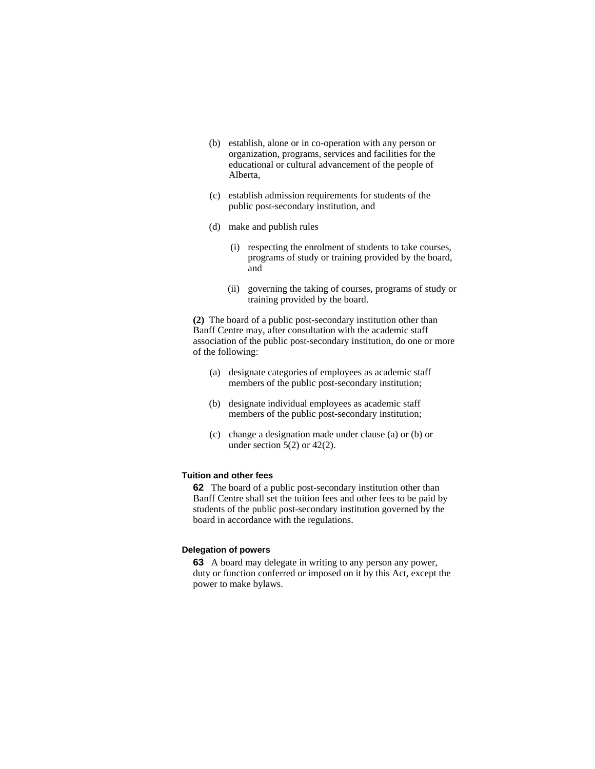- (b) establish, alone or in co-operation with any person or organization, programs, services and facilities for the educational or cultural advancement of the people of Alberta,
- (c) establish admission requirements for students of the public post-secondary institution, and
- (d) make and publish rules
	- (i) respecting the enrolment of students to take courses, programs of study or training provided by the board, and
	- (ii) governing the taking of courses, programs of study or training provided by the board.

**(2)** The board of a public post-secondary institution other than Banff Centre may, after consultation with the academic staff association of the public post-secondary institution, do one or more of the following:

- (a) designate categories of employees as academic staff members of the public post-secondary institution;
- (b) designate individual employees as academic staff members of the public post-secondary institution;
- (c) change a designation made under clause (a) or (b) or under section  $5(2)$  or  $42(2)$ .

## **Tuition and other fees**

**62** The board of a public post-secondary institution other than Banff Centre shall set the tuition fees and other fees to be paid by students of the public post-secondary institution governed by the board in accordance with the regulations.

#### **Delegation of powers**

**63** A board may delegate in writing to any person any power, duty or function conferred or imposed on it by this Act, except the power to make bylaws.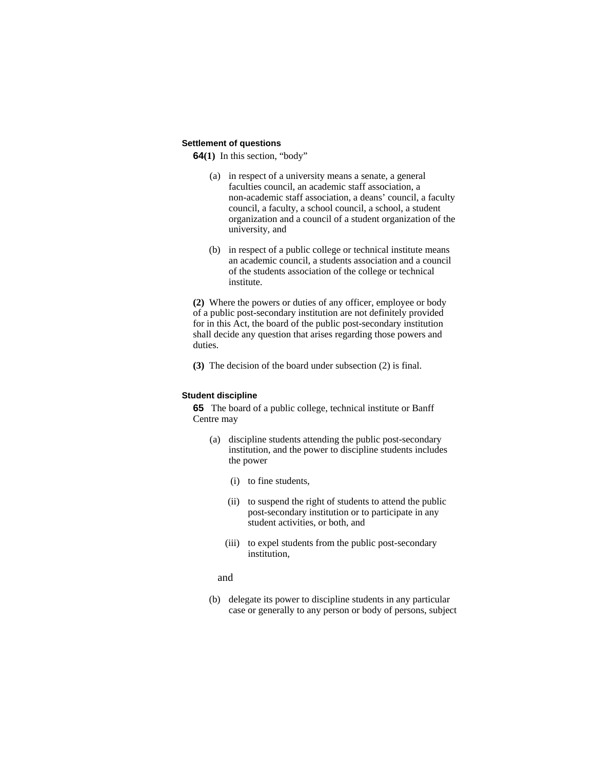## **Settlement of questions**

**64(1)** In this section, "body"

- (a) in respect of a university means a senate, a general faculties council, an academic staff association, a non-academic staff association, a deans' council, a faculty council, a faculty, a school council, a school, a student organization and a council of a student organization of the university, and
- (b) in respect of a public college or technical institute means an academic council, a students association and a council of the students association of the college or technical institute.

**(2)** Where the powers or duties of any officer, employee or body of a public post-secondary institution are not definitely provided for in this Act, the board of the public post-secondary institution shall decide any question that arises regarding those powers and duties.

**(3)** The decision of the board under subsection (2) is final.

# **Student discipline**

**65** The board of a public college, technical institute or Banff Centre may

- (a) discipline students attending the public post-secondary institution, and the power to discipline students includes the power
	- (i) to fine students,
	- (ii) to suspend the right of students to attend the public post-secondary institution or to participate in any student activities, or both, and
	- (iii) to expel students from the public post-secondary institution,
	- and
- (b) delegate its power to discipline students in any particular case or generally to any person or body of persons, subject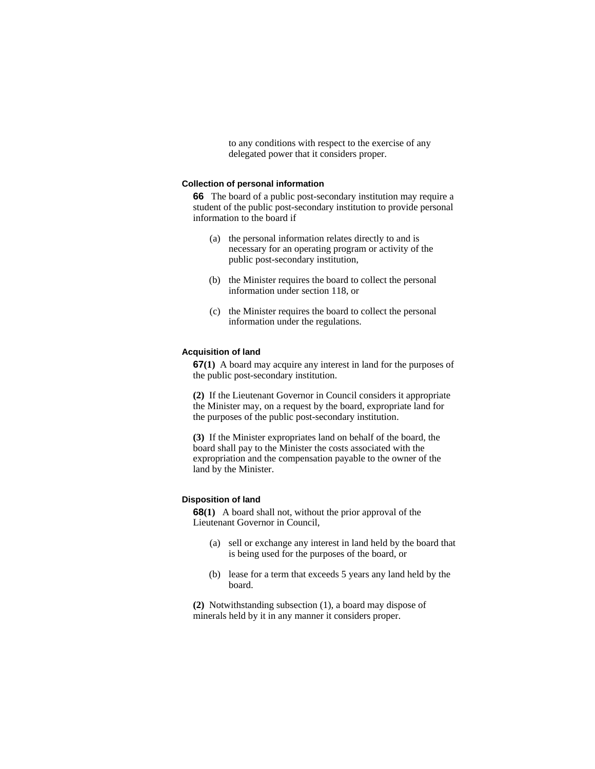to any conditions with respect to the exercise of any delegated power that it considers proper.

#### **Collection of personal information**

**66** The board of a public post-secondary institution may require a student of the public post-secondary institution to provide personal information to the board if

- (a) the personal information relates directly to and is necessary for an operating program or activity of the public post-secondary institution,
- (b) the Minister requires the board to collect the personal information under section 118, or
- (c) the Minister requires the board to collect the personal information under the regulations.

#### **Acquisition of land**

**67(1)** A board may acquire any interest in land for the purposes of the public post-secondary institution.

**(2)** If the Lieutenant Governor in Council considers it appropriate the Minister may, on a request by the board, expropriate land for the purposes of the public post-secondary institution.

**(3)** If the Minister expropriates land on behalf of the board, the board shall pay to the Minister the costs associated with the expropriation and the compensation payable to the owner of the land by the Minister.

## **Disposition of land**

**68(1)** A board shall not, without the prior approval of the Lieutenant Governor in Council,

- (a) sell or exchange any interest in land held by the board that is being used for the purposes of the board, or
- (b) lease for a term that exceeds 5 years any land held by the board.

**(2)** Notwithstanding subsection (1), a board may dispose of minerals held by it in any manner it considers proper.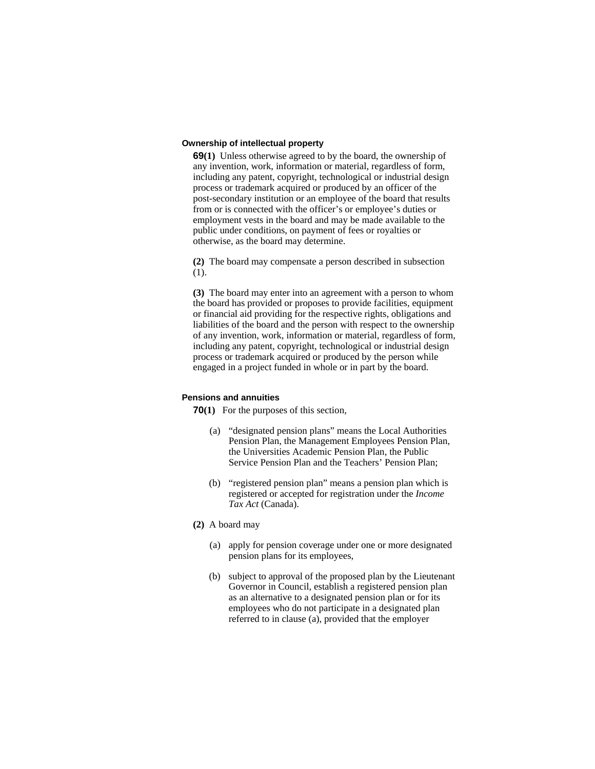## **Ownership of intellectual property**

**69(1)** Unless otherwise agreed to by the board, the ownership of any invention, work, information or material, regardless of form, including any patent, copyright, technological or industrial design process or trademark acquired or produced by an officer of the post-secondary institution or an employee of the board that results from or is connected with the officer's or employee's duties or employment vests in the board and may be made available to the public under conditions, on payment of fees or royalties or otherwise, as the board may determine.

**(2)** The board may compensate a person described in subsection (1).

**(3)** The board may enter into an agreement with a person to whom the board has provided or proposes to provide facilities, equipment or financial aid providing for the respective rights, obligations and liabilities of the board and the person with respect to the ownership of any invention, work, information or material, regardless of form, including any patent, copyright, technological or industrial design process or trademark acquired or produced by the person while engaged in a project funded in whole or in part by the board.

## **Pensions and annuities**

**70(1)** For the purposes of this section,

- (a) "designated pension plans" means the Local Authorities Pension Plan, the Management Employees Pension Plan, the Universities Academic Pension Plan, the Public Service Pension Plan and the Teachers' Pension Plan;
- (b) "registered pension plan" means a pension plan which is registered or accepted for registration under the *Income Tax Act* (Canada).
- **(2)** A board may
	- (a) apply for pension coverage under one or more designated pension plans for its employees,
	- (b) subject to approval of the proposed plan by the Lieutenant Governor in Council, establish a registered pension plan as an alternative to a designated pension plan or for its employees who do not participate in a designated plan referred to in clause (a), provided that the employer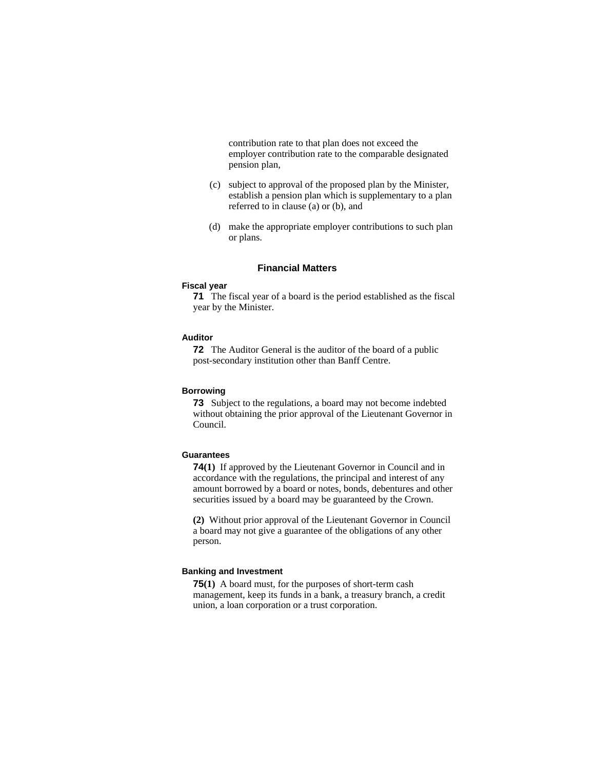contribution rate to that plan does not exceed the employer contribution rate to the comparable designated pension plan,

- (c) subject to approval of the proposed plan by the Minister, establish a pension plan which is supplementary to a plan referred to in clause (a) or (b), and
- (d) make the appropriate employer contributions to such plan or plans.

## **Financial Matters**

#### **Fiscal year**

**71** The fiscal year of a board is the period established as the fiscal year by the Minister.

## **Auditor**

**72** The Auditor General is the auditor of the board of a public post-secondary institution other than Banff Centre.

## **Borrowing**

**73** Subject to the regulations, a board may not become indebted without obtaining the prior approval of the Lieutenant Governor in Council.

# **Guarantees**

**74(1)** If approved by the Lieutenant Governor in Council and in accordance with the regulations, the principal and interest of any amount borrowed by a board or notes, bonds, debentures and other securities issued by a board may be guaranteed by the Crown.

**(2)** Without prior approval of the Lieutenant Governor in Council a board may not give a guarantee of the obligations of any other person.

## **Banking and Investment**

**75(1)** A board must, for the purposes of short-term cash management, keep its funds in a bank, a treasury branch, a credit union, a loan corporation or a trust corporation.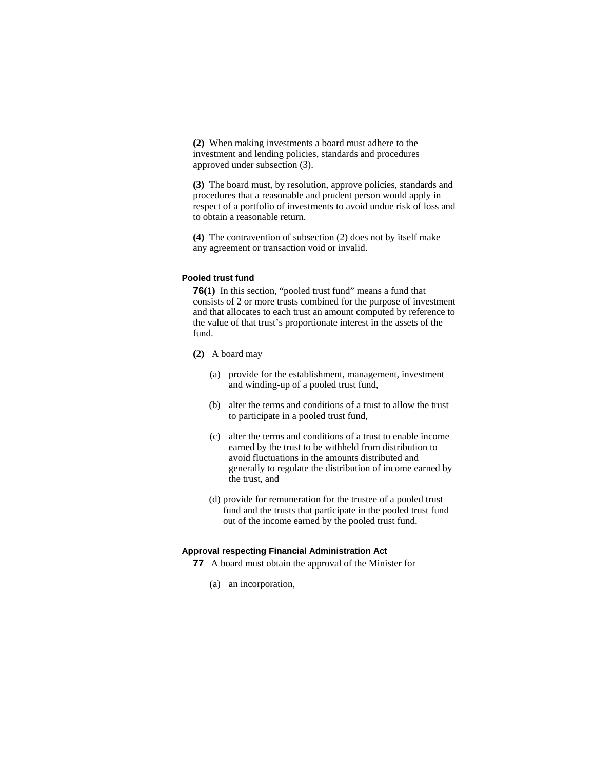**(2)** When making investments a board must adhere to the investment and lending policies, standards and procedures approved under subsection (3).

**(3)** The board must, by resolution, approve policies, standards and procedures that a reasonable and prudent person would apply in respect of a portfolio of investments to avoid undue risk of loss and to obtain a reasonable return.

**(4)** The contravention of subsection (2) does not by itself make any agreement or transaction void or invalid.

# **Pooled trust fund**

**76(1)** In this section, "pooled trust fund" means a fund that consists of 2 or more trusts combined for the purpose of investment and that allocates to each trust an amount computed by reference to the value of that trust's proportionate interest in the assets of the fund.

- **(2)** A board may
	- (a) provide for the establishment, management, investment and winding-up of a pooled trust fund,
	- (b) alter the terms and conditions of a trust to allow the trust to participate in a pooled trust fund,
	- (c) alter the terms and conditions of a trust to enable income earned by the trust to be withheld from distribution to avoid fluctuations in the amounts distributed and generally to regulate the distribution of income earned by the trust, and
	- (d) provide for remuneration for the trustee of a pooled trust fund and the trusts that participate in the pooled trust fund out of the income earned by the pooled trust fund.

# **Approval respecting Financial Administration Act**

- **77** A board must obtain the approval of the Minister for
	- (a) an incorporation,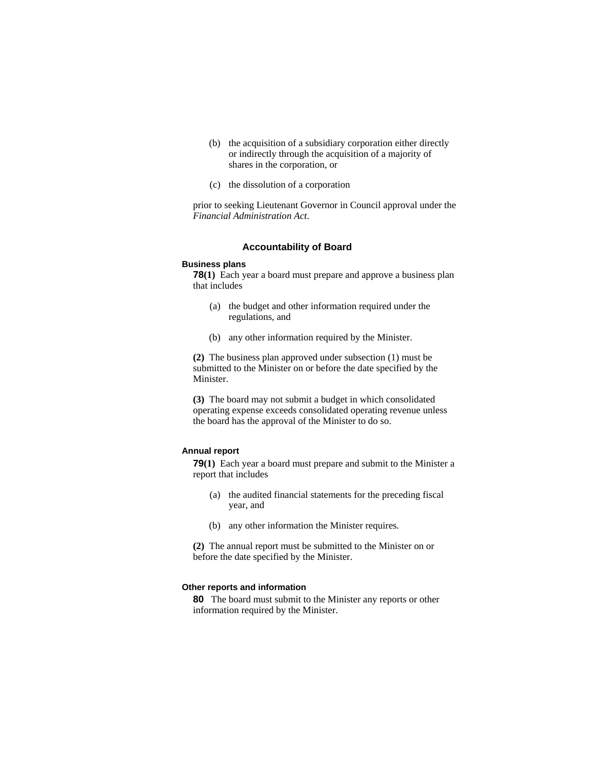- (b) the acquisition of a subsidiary corporation either directly or indirectly through the acquisition of a majority of shares in the corporation, or
- (c) the dissolution of a corporation

prior to seeking Lieutenant Governor in Council approval under the *Financial Administration Act*.

## **Accountability of Board**

#### **Business plans**

**78(1)** Each year a board must prepare and approve a business plan that includes

- (a) the budget and other information required under the regulations, and
- (b) any other information required by the Minister.

**(2)** The business plan approved under subsection (1) must be submitted to the Minister on or before the date specified by the Minister.

**(3)** The board may not submit a budget in which consolidated operating expense exceeds consolidated operating revenue unless the board has the approval of the Minister to do so.

## **Annual report**

**79(1)** Each year a board must prepare and submit to the Minister a report that includes

- (a) the audited financial statements for the preceding fiscal year, and
- (b) any other information the Minister requires.

**(2)** The annual report must be submitted to the Minister on or before the date specified by the Minister.

## **Other reports and information**

**80** The board must submit to the Minister any reports or other information required by the Minister.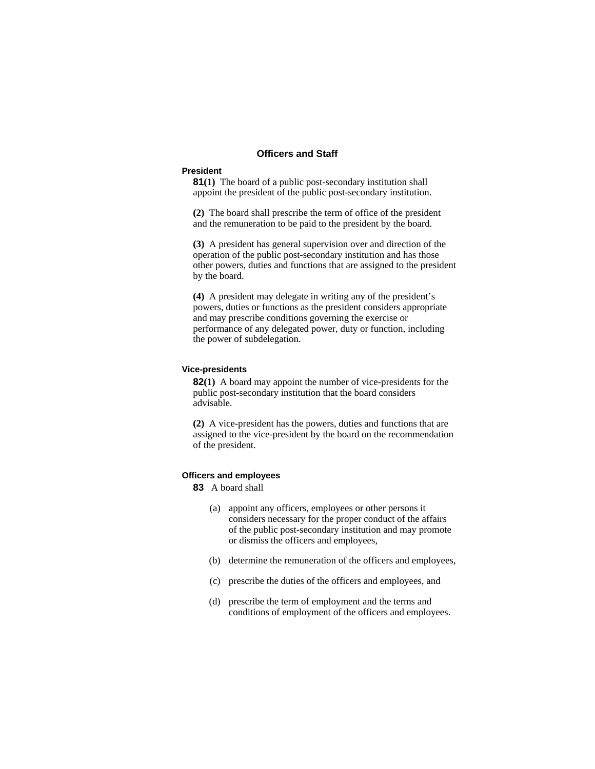## **Officers and Staff**

## **President**

**81(1)** The board of a public post-secondary institution shall appoint the president of the public post-secondary institution.

**(2)** The board shall prescribe the term of office of the president and the remuneration to be paid to the president by the board.

**(3)** A president has general supervision over and direction of the operation of the public post-secondary institution and has those other powers, duties and functions that are assigned to the president by the board.

**(4)** A president may delegate in writing any of the president's powers, duties or functions as the president considers appropriate and may prescribe conditions governing the exercise or performance of any delegated power, duty or function, including the power of subdelegation.

#### **Vice-presidents**

**82(1)** A board may appoint the number of vice-presidents for the public post-secondary institution that the board considers advisable.

**(2)** A vice-president has the powers, duties and functions that are assigned to the vice-president by the board on the recommendation of the president.

# **Officers and employees**

**83** A board shall

- (a) appoint any officers, employees or other persons it considers necessary for the proper conduct of the affairs of the public post-secondary institution and may promote or dismiss the officers and employees,
- (b) determine the remuneration of the officers and employees,
- (c) prescribe the duties of the officers and employees, and
- (d) prescribe the term of employment and the terms and conditions of employment of the officers and employees.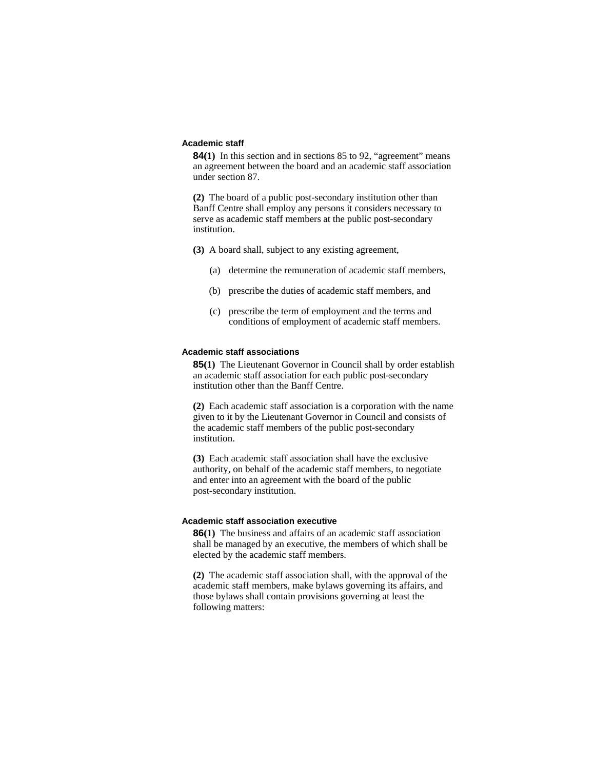## **Academic staff**

**84(1)** In this section and in sections 85 to 92, "agreement" means an agreement between the board and an academic staff association under section 87.

**(2)** The board of a public post-secondary institution other than Banff Centre shall employ any persons it considers necessary to serve as academic staff members at the public post-secondary institution.

- **(3)** A board shall, subject to any existing agreement,
	- (a) determine the remuneration of academic staff members,
	- (b) prescribe the duties of academic staff members, and
	- (c) prescribe the term of employment and the terms and conditions of employment of academic staff members.

# **Academic staff associations**

**85(1)** The Lieutenant Governor in Council shall by order establish an academic staff association for each public post-secondary institution other than the Banff Centre.

**(2)** Each academic staff association is a corporation with the name given to it by the Lieutenant Governor in Council and consists of the academic staff members of the public post-secondary institution.

**(3)** Each academic staff association shall have the exclusive authority, on behalf of the academic staff members, to negotiate and enter into an agreement with the board of the public post-secondary institution.

## **Academic staff association executive**

**86(1)** The business and affairs of an academic staff association shall be managed by an executive, the members of which shall be elected by the academic staff members.

**(2)** The academic staff association shall, with the approval of the academic staff members, make bylaws governing its affairs, and those bylaws shall contain provisions governing at least the following matters: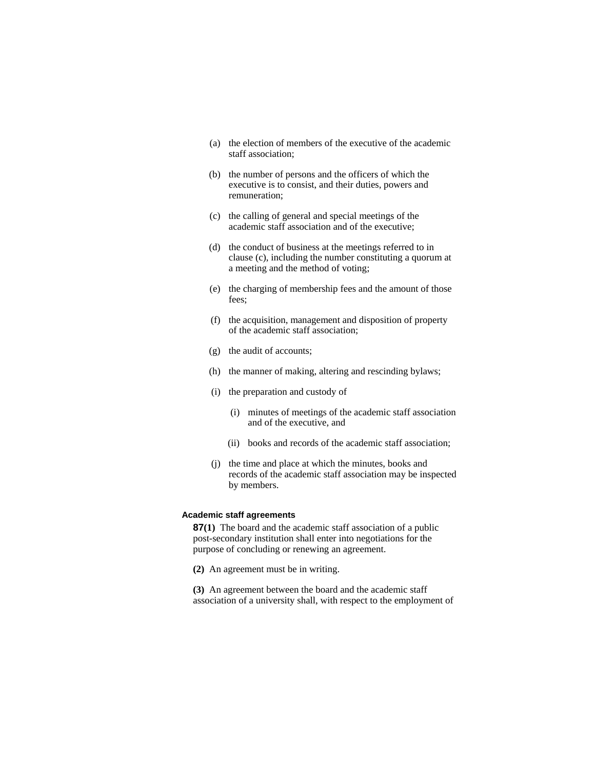- (a) the election of members of the executive of the academic staff association;
- (b) the number of persons and the officers of which the executive is to consist, and their duties, powers and remuneration;
- (c) the calling of general and special meetings of the academic staff association and of the executive;
- (d) the conduct of business at the meetings referred to in clause (c), including the number constituting a quorum at a meeting and the method of voting;
- (e) the charging of membership fees and the amount of those fees;
- (f) the acquisition, management and disposition of property of the academic staff association;
- (g) the audit of accounts;
- (h) the manner of making, altering and rescinding bylaws;
- (i) the preparation and custody of
	- (i) minutes of meetings of the academic staff association and of the executive, and
	- (ii) books and records of the academic staff association;
- (j) the time and place at which the minutes, books and records of the academic staff association may be inspected by members.

## **Academic staff agreements**

**87(1)** The board and the academic staff association of a public post-secondary institution shall enter into negotiations for the purpose of concluding or renewing an agreement.

- **(2)** An agreement must be in writing.
- **(3)** An agreement between the board and the academic staff association of a university shall, with respect to the employment of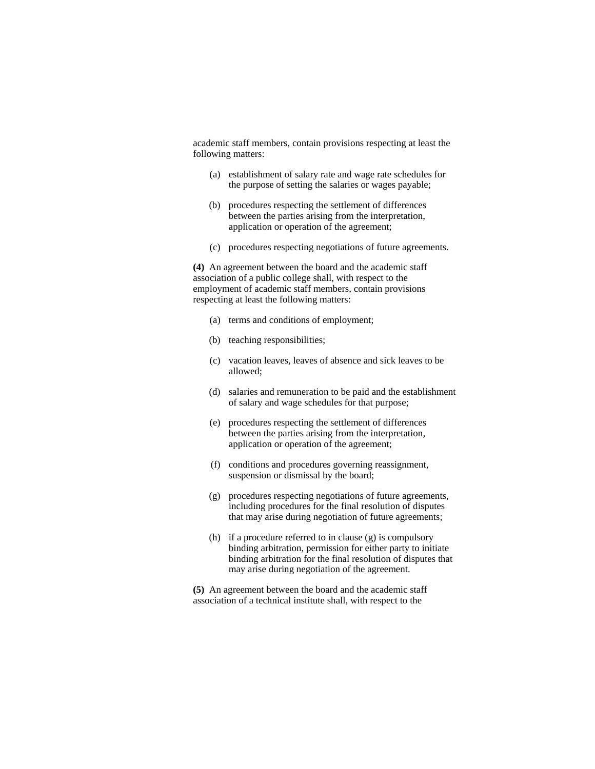academic staff members, contain provisions respecting at least the following matters:

- (a) establishment of salary rate and wage rate schedules for the purpose of setting the salaries or wages payable;
- (b) procedures respecting the settlement of differences between the parties arising from the interpretation, application or operation of the agreement;
- (c) procedures respecting negotiations of future agreements.

**(4)** An agreement between the board and the academic staff association of a public college shall, with respect to the employment of academic staff members, contain provisions respecting at least the following matters:

- (a) terms and conditions of employment;
- (b) teaching responsibilities;
- (c) vacation leaves, leaves of absence and sick leaves to be allowed;
- (d) salaries and remuneration to be paid and the establishment of salary and wage schedules for that purpose;
- (e) procedures respecting the settlement of differences between the parties arising from the interpretation, application or operation of the agreement;
- (f) conditions and procedures governing reassignment, suspension or dismissal by the board;
- (g) procedures respecting negotiations of future agreements, including procedures for the final resolution of disputes that may arise during negotiation of future agreements;
- (h) if a procedure referred to in clause (g) is compulsory binding arbitration, permission for either party to initiate binding arbitration for the final resolution of disputes that may arise during negotiation of the agreement.

**(5)** An agreement between the board and the academic staff association of a technical institute shall, with respect to the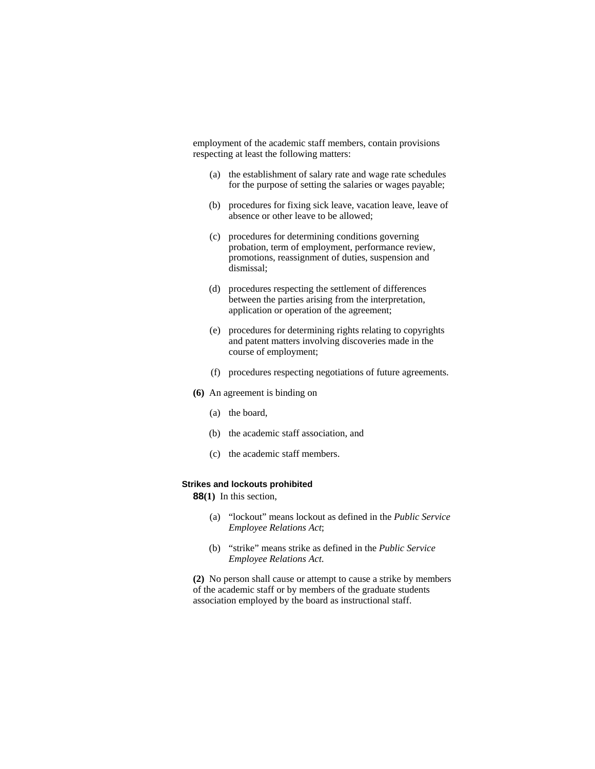employment of the academic staff members, contain provisions respecting at least the following matters:

- (a) the establishment of salary rate and wage rate schedules for the purpose of setting the salaries or wages payable;
- (b) procedures for fixing sick leave, vacation leave, leave of absence or other leave to be allowed;
- (c) procedures for determining conditions governing probation, term of employment, performance review, promotions, reassignment of duties, suspension and dismissal;
- (d) procedures respecting the settlement of differences between the parties arising from the interpretation, application or operation of the agreement;
- (e) procedures for determining rights relating to copyrights and patent matters involving discoveries made in the course of employment;
- (f) procedures respecting negotiations of future agreements.
- **(6)** An agreement is binding on
	- (a) the board,
	- (b) the academic staff association, and
	- (c) the academic staff members.

## **Strikes and lockouts prohibited**

**88(1)** In this section,

- (a) "lockout" means lockout as defined in the *Public Service Employee Relations Act*;
- (b) "strike" means strike as defined in the *Public Service Employee Relations Act*.

**(2)** No person shall cause or attempt to cause a strike by members of the academic staff or by members of the graduate students association employed by the board as instructional staff.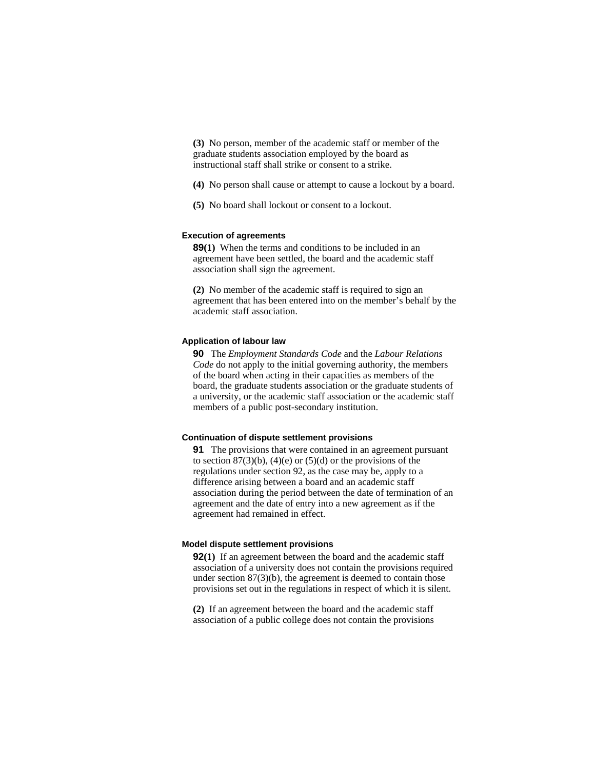**(3)** No person, member of the academic staff or member of the graduate students association employed by the board as instructional staff shall strike or consent to a strike.

**(4)** No person shall cause or attempt to cause a lockout by a board.

**(5)** No board shall lockout or consent to a lockout.

## **Execution of agreements**

**89(1)** When the terms and conditions to be included in an agreement have been settled, the board and the academic staff association shall sign the agreement.

**(2)** No member of the academic staff is required to sign an agreement that has been entered into on the member's behalf by the academic staff association.

## **Application of labour law**

**90** The *Employment Standards Code* and the *Labour Relations Code* do not apply to the initial governing authority, the members of the board when acting in their capacities as members of the board, the graduate students association or the graduate students of a university, or the academic staff association or the academic staff members of a public post-secondary institution.

## **Continuation of dispute settlement provisions**

**91** The provisions that were contained in an agreement pursuant to section  $87(3)(b)$ ,  $(4)(e)$  or  $(5)(d)$  or the provisions of the regulations under section 92, as the case may be, apply to a difference arising between a board and an academic staff association during the period between the date of termination of an agreement and the date of entry into a new agreement as if the agreement had remained in effect.

#### **Model dispute settlement provisions**

**92(1)** If an agreement between the board and the academic staff association of a university does not contain the provisions required under section 87(3)(b), the agreement is deemed to contain those provisions set out in the regulations in respect of which it is silent.

**(2)** If an agreement between the board and the academic staff association of a public college does not contain the provisions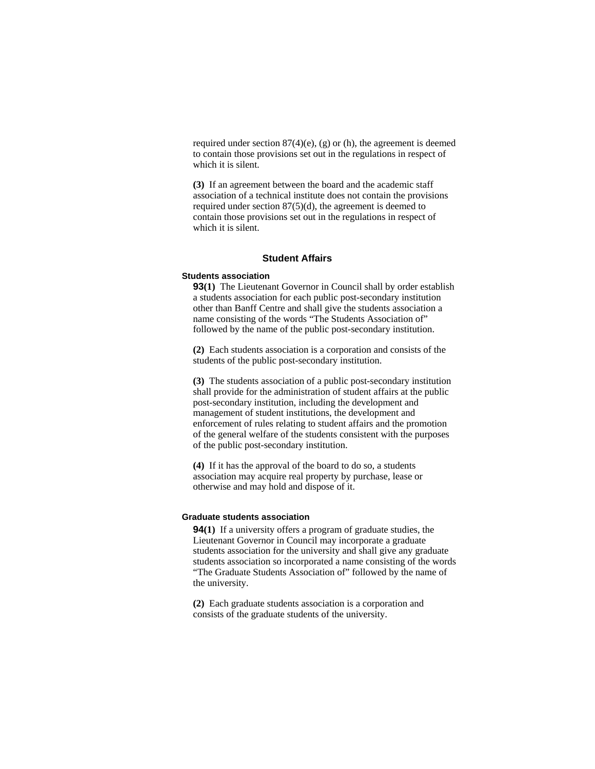required under section  $87(4)$ (e), (g) or (h), the agreement is deemed to contain those provisions set out in the regulations in respect of which it is silent.

**(3)** If an agreement between the board and the academic staff association of a technical institute does not contain the provisions required under section 87(5)(d), the agreement is deemed to contain those provisions set out in the regulations in respect of which it is silent.

#### **Student Affairs**

#### **Students association**

**93(1)** The Lieutenant Governor in Council shall by order establish a students association for each public post-secondary institution other than Banff Centre and shall give the students association a name consisting of the words "The Students Association of" followed by the name of the public post-secondary institution.

**(2)** Each students association is a corporation and consists of the students of the public post-secondary institution.

**(3)** The students association of a public post-secondary institution shall provide for the administration of student affairs at the public post-secondary institution, including the development and management of student institutions, the development and enforcement of rules relating to student affairs and the promotion of the general welfare of the students consistent with the purposes of the public post-secondary institution.

**(4)** If it has the approval of the board to do so, a students association may acquire real property by purchase, lease or otherwise and may hold and dispose of it.

#### **Graduate students association**

**94(1)** If a university offers a program of graduate studies, the Lieutenant Governor in Council may incorporate a graduate students association for the university and shall give any graduate students association so incorporated a name consisting of the words "The Graduate Students Association of" followed by the name of the university.

**(2)** Each graduate students association is a corporation and consists of the graduate students of the university.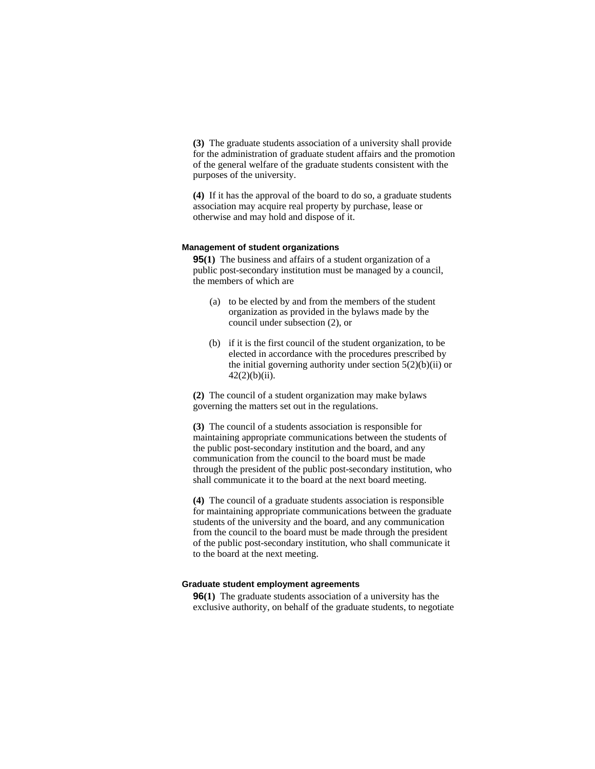**(3)** The graduate students association of a university shall provide for the administration of graduate student affairs and the promotion of the general welfare of the graduate students consistent with the purposes of the university.

**(4)** If it has the approval of the board to do so, a graduate students association may acquire real property by purchase, lease or otherwise and may hold and dispose of it.

#### **Management of student organizations**

**95(1)** The business and affairs of a student organization of a public post-secondary institution must be managed by a council, the members of which are

- (a) to be elected by and from the members of the student organization as provided in the bylaws made by the council under subsection (2), or
- (b) if it is the first council of the student organization, to be elected in accordance with the procedures prescribed by the initial governing authority under section  $5(2)(b)(ii)$  or  $42(2)(b)(ii)$ .

**(2)** The council of a student organization may make bylaws governing the matters set out in the regulations.

**(3)** The council of a students association is responsible for maintaining appropriate communications between the students of the public post-secondary institution and the board, and any communication from the council to the board must be made through the president of the public post-secondary institution, who shall communicate it to the board at the next board meeting.

**(4)** The council of a graduate students association is responsible for maintaining appropriate communications between the graduate students of the university and the board, and any communication from the council to the board must be made through the president of the public post-secondary institution, who shall communicate it to the board at the next meeting.

#### **Graduate student employment agreements**

**96(1)** The graduate students association of a university has the exclusive authority, on behalf of the graduate students, to negotiate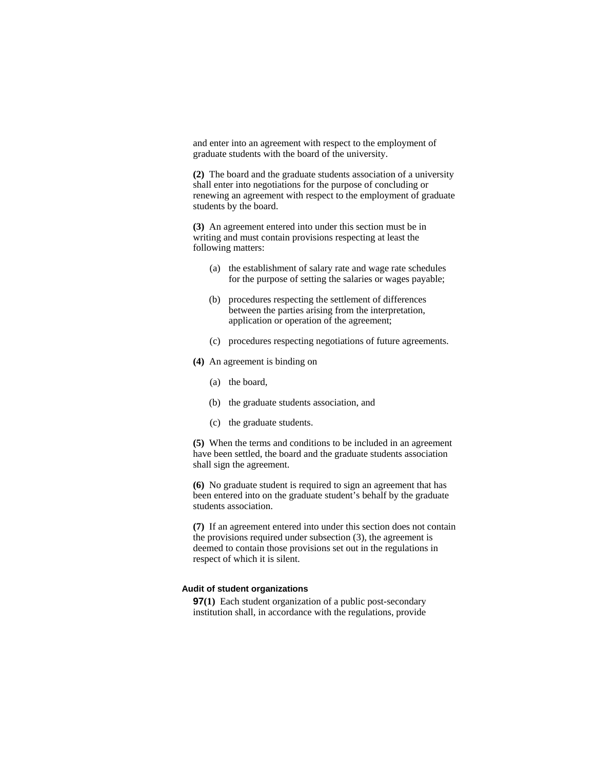and enter into an agreement with respect to the employment of graduate students with the board of the university.

**(2)** The board and the graduate students association of a university shall enter into negotiations for the purpose of concluding or renewing an agreement with respect to the employment of graduate students by the board.

**(3)** An agreement entered into under this section must be in writing and must contain provisions respecting at least the following matters:

- (a) the establishment of salary rate and wage rate schedules for the purpose of setting the salaries or wages payable;
- (b) procedures respecting the settlement of differences between the parties arising from the interpretation, application or operation of the agreement;
- (c) procedures respecting negotiations of future agreements.
- **(4)** An agreement is binding on
	- (a) the board,
	- (b) the graduate students association, and
	- (c) the graduate students.

**(5)** When the terms and conditions to be included in an agreement have been settled, the board and the graduate students association shall sign the agreement.

**(6)** No graduate student is required to sign an agreement that has been entered into on the graduate student's behalf by the graduate students association.

**(7)** If an agreement entered into under this section does not contain the provisions required under subsection (3), the agreement is deemed to contain those provisions set out in the regulations in respect of which it is silent.

### **Audit of student organizations**

**97(1)** Each student organization of a public post-secondary institution shall, in accordance with the regulations, provide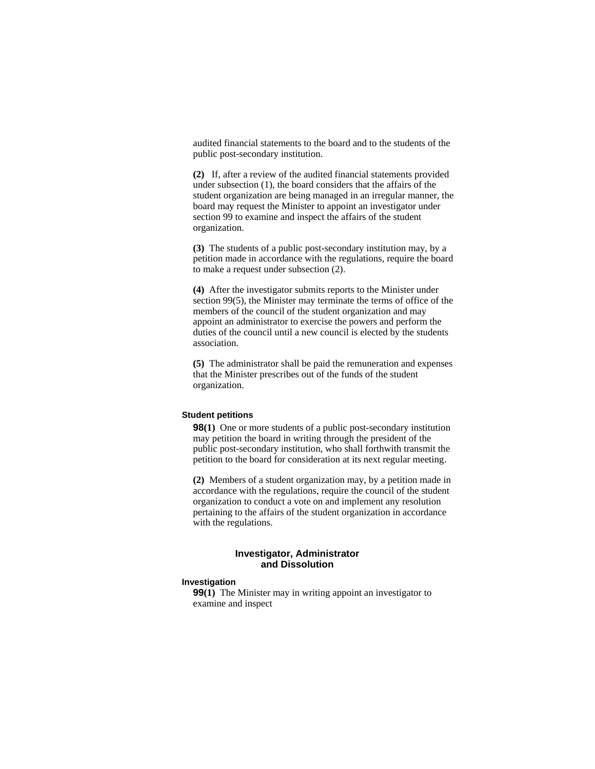audited financial statements to the board and to the students of the public post-secondary institution.

**(2)** If, after a review of the audited financial statements provided under subsection (1), the board considers that the affairs of the student organization are being managed in an irregular manner, the board may request the Minister to appoint an investigator under section 99 to examine and inspect the affairs of the student organization.

**(3)** The students of a public post-secondary institution may, by a petition made in accordance with the regulations, require the board to make a request under subsection (2).

**(4)** After the investigator submits reports to the Minister under section 99(5), the Minister may terminate the terms of office of the members of the council of the student organization and may appoint an administrator to exercise the powers and perform the duties of the council until a new council is elected by the students association.

**(5)** The administrator shall be paid the remuneration and expenses that the Minister prescribes out of the funds of the student organization.

## **Student petitions**

**98(1)** One or more students of a public post-secondary institution may petition the board in writing through the president of the public post-secondary institution, who shall forthwith transmit the petition to the board for consideration at its next regular meeting.

**(2)** Members of a student organization may, by a petition made in accordance with the regulations, require the council of the student organization to conduct a vote on and implement any resolution pertaining to the affairs of the student organization in accordance with the regulations.

## **Investigator, Administrator and Dissolution**

# **Investigation**

**99(1)** The Minister may in writing appoint an investigator to examine and inspect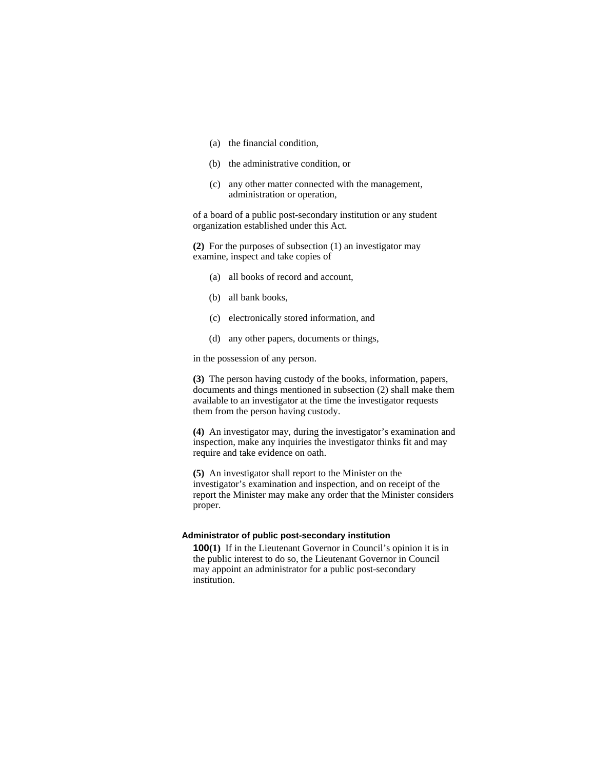- (a) the financial condition,
- (b) the administrative condition, or
- (c) any other matter connected with the management, administration or operation,

of a board of a public post-secondary institution or any student organization established under this Act.

**(2)** For the purposes of subsection (1) an investigator may examine, inspect and take copies of

- (a) all books of record and account,
- (b) all bank books,
- (c) electronically stored information, and
- (d) any other papers, documents or things,

in the possession of any person.

**(3)** The person having custody of the books, information, papers, documents and things mentioned in subsection (2) shall make them available to an investigator at the time the investigator requests them from the person having custody.

**(4)** An investigator may, during the investigator's examination and inspection, make any inquiries the investigator thinks fit and may require and take evidence on oath.

**(5)** An investigator shall report to the Minister on the investigator's examination and inspection, and on receipt of the report the Minister may make any order that the Minister considers proper.

## **Administrator of public post-secondary institution**

**100(1)** If in the Lieutenant Governor in Council's opinion it is in the public interest to do so, the Lieutenant Governor in Council may appoint an administrator for a public post-secondary institution.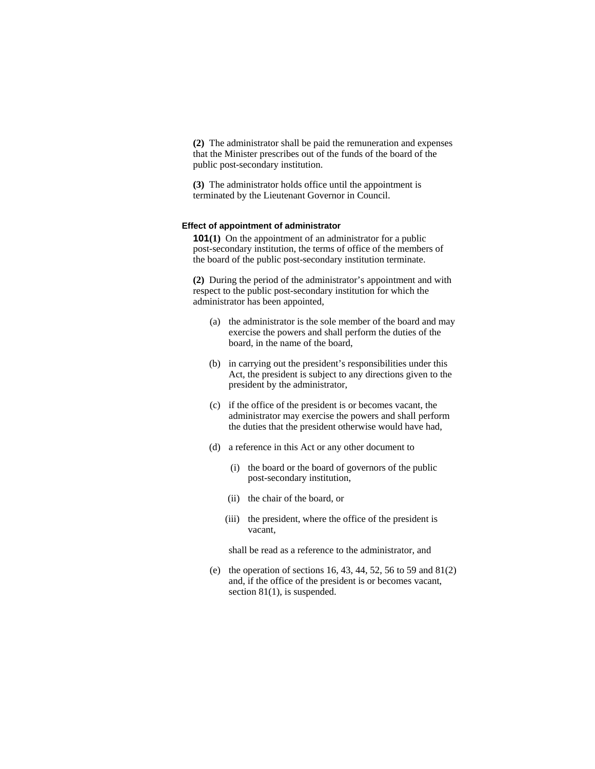**(2)** The administrator shall be paid the remuneration and expenses that the Minister prescribes out of the funds of the board of the public post-secondary institution.

**(3)** The administrator holds office until the appointment is terminated by the Lieutenant Governor in Council.

#### **Effect of appointment of administrator**

**101(1)** On the appointment of an administrator for a public post-secondary institution, the terms of office of the members of the board of the public post-secondary institution terminate.

**(2)** During the period of the administrator's appointment and with respect to the public post-secondary institution for which the administrator has been appointed,

- (a) the administrator is the sole member of the board and may exercise the powers and shall perform the duties of the board, in the name of the board,
- (b) in carrying out the president's responsibilities under this Act, the president is subject to any directions given to the president by the administrator,
- (c) if the office of the president is or becomes vacant, the administrator may exercise the powers and shall perform the duties that the president otherwise would have had,
- (d) a reference in this Act or any other document to
	- (i) the board or the board of governors of the public post-secondary institution,
	- (ii) the chair of the board, or
	- (iii) the president, where the office of the president is vacant,

shall be read as a reference to the administrator, and

(e) the operation of sections 16, 43, 44, 52, 56 to 59 and  $81(2)$ and, if the office of the president is or becomes vacant, section 81(1), is suspended.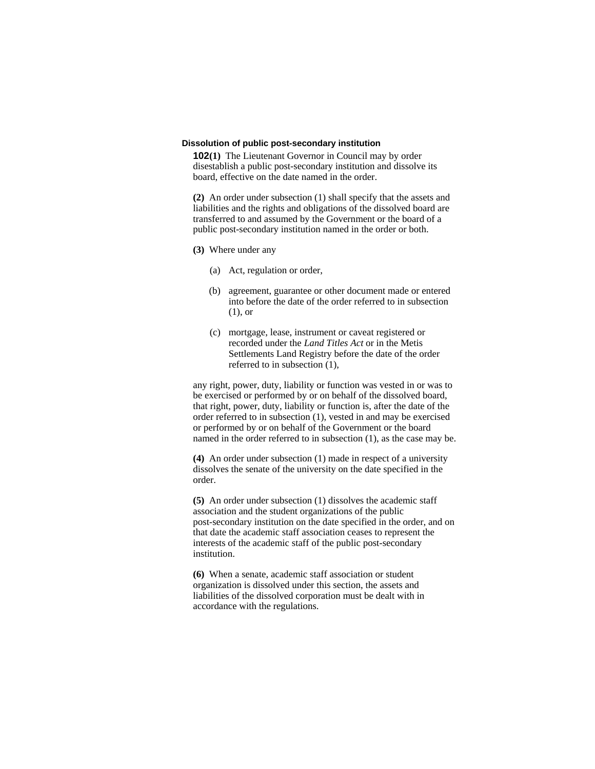#### **Dissolution of public post-secondary institution**

**102(1)** The Lieutenant Governor in Council may by order disestablish a public post-secondary institution and dissolve its board, effective on the date named in the order.

**(2)** An order under subsection (1) shall specify that the assets and liabilities and the rights and obligations of the dissolved board are transferred to and assumed by the Government or the board of a public post-secondary institution named in the order or both.

- **(3)** Where under any
	- (a) Act, regulation or order,
	- (b) agreement, guarantee or other document made or entered into before the date of the order referred to in subsection (1), or
	- (c) mortgage, lease, instrument or caveat registered or recorded under the *Land Titles Act* or in the Metis Settlements Land Registry before the date of the order referred to in subsection (1),

any right, power, duty, liability or function was vested in or was to be exercised or performed by or on behalf of the dissolved board, that right, power, duty, liability or function is, after the date of the order referred to in subsection (1), vested in and may be exercised or performed by or on behalf of the Government or the board named in the order referred to in subsection (1), as the case may be.

**(4)** An order under subsection (1) made in respect of a university dissolves the senate of the university on the date specified in the order.

**(5)** An order under subsection (1) dissolves the academic staff association and the student organizations of the public post-secondary institution on the date specified in the order, and on that date the academic staff association ceases to represent the interests of the academic staff of the public post-secondary institution.

**(6)** When a senate, academic staff association or student organization is dissolved under this section, the assets and liabilities of the dissolved corporation must be dealt with in accordance with the regulations.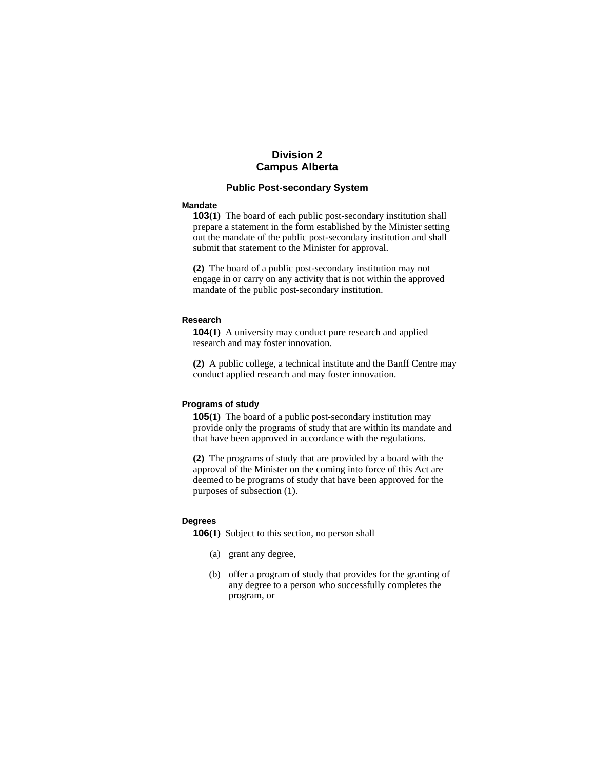# **Division 2 Campus Alberta**

# **Public Post-secondary System**

#### **Mandate**

**103(1)** The board of each public post-secondary institution shall prepare a statement in the form established by the Minister setting out the mandate of the public post-secondary institution and shall submit that statement to the Minister for approval.

**(2)** The board of a public post-secondary institution may not engage in or carry on any activity that is not within the approved mandate of the public post-secondary institution.

#### **Research**

**104(1)** A university may conduct pure research and applied research and may foster innovation.

**(2)** A public college, a technical institute and the Banff Centre may conduct applied research and may foster innovation.

## **Programs of study**

**105(1)** The board of a public post-secondary institution may provide only the programs of study that are within its mandate and that have been approved in accordance with the regulations.

**(2)** The programs of study that are provided by a board with the approval of the Minister on the coming into force of this Act are deemed to be programs of study that have been approved for the purposes of subsection (1).

## **Degrees**

**106(1)** Subject to this section, no person shall

- (a) grant any degree,
- (b) offer a program of study that provides for the granting of any degree to a person who successfully completes the program, or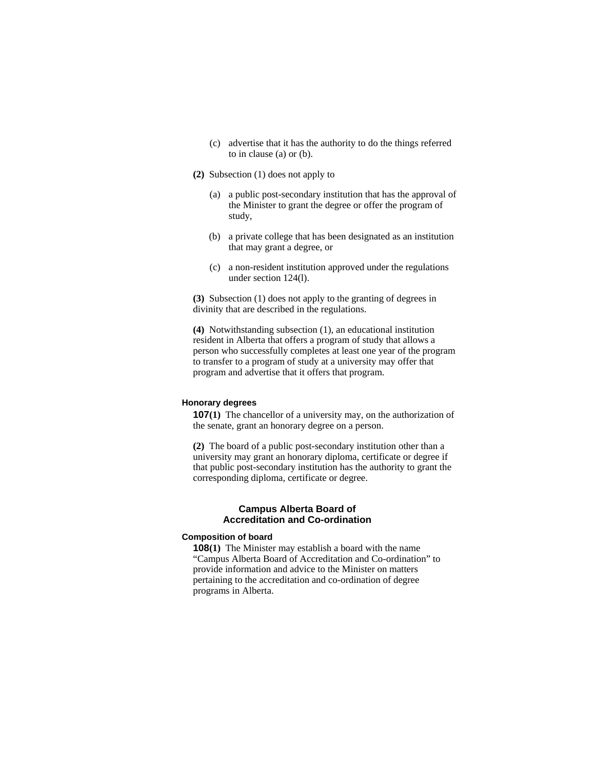- (c) advertise that it has the authority to do the things referred to in clause (a) or (b).
- **(2)** Subsection (1) does not apply to
	- (a) a public post-secondary institution that has the approval of the Minister to grant the degree or offer the program of study,
	- (b) a private college that has been designated as an institution that may grant a degree, or
	- (c) a non-resident institution approved under the regulations under section 124(l).

**(3)** Subsection (1) does not apply to the granting of degrees in divinity that are described in the regulations.

**(4)** Notwithstanding subsection (1), an educational institution resident in Alberta that offers a program of study that allows a person who successfully completes at least one year of the program to transfer to a program of study at a university may offer that program and advertise that it offers that program.

## **Honorary degrees**

**107(1)** The chancellor of a university may, on the authorization of the senate, grant an honorary degree on a person.

**(2)** The board of a public post-secondary institution other than a university may grant an honorary diploma, certificate or degree if that public post-secondary institution has the authority to grant the corresponding diploma, certificate or degree.

## **Campus Alberta Board of Accreditation and Co-ordination**

#### **Composition of board**

**108(1)** The Minister may establish a board with the name "Campus Alberta Board of Accreditation and Co-ordination" to provide information and advice to the Minister on matters pertaining to the accreditation and co-ordination of degree programs in Alberta.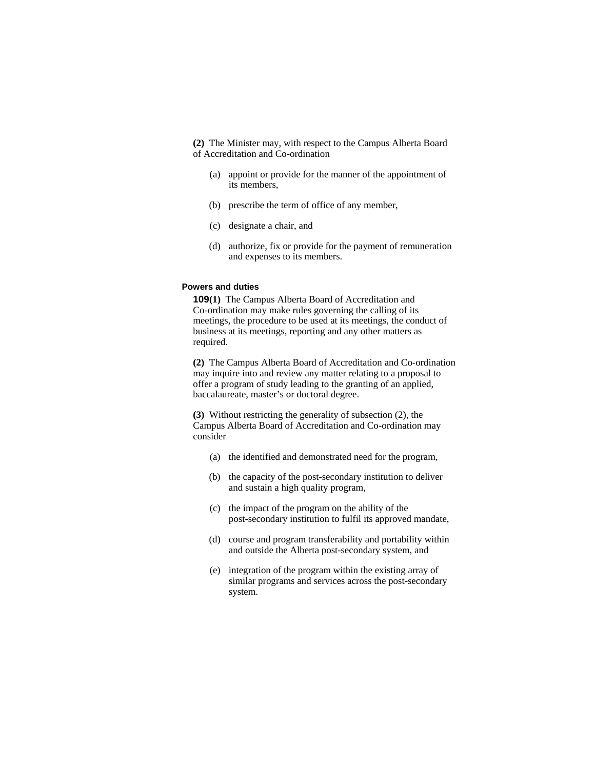**(2)** The Minister may, with respect to the Campus Alberta Board of Accreditation and Co-ordination

- (a) appoint or provide for the manner of the appointment of its members,
- (b) prescribe the term of office of any member,
- (c) designate a chair, and
- (d) authorize, fix or provide for the payment of remuneration and expenses to its members.

## **Powers and duties**

**109(1)** The Campus Alberta Board of Accreditation and Co-ordination may make rules governing the calling of its meetings, the procedure to be used at its meetings, the conduct of business at its meetings, reporting and any other matters as required.

**(2)** The Campus Alberta Board of Accreditation and Co-ordination may inquire into and review any matter relating to a proposal to offer a program of study leading to the granting of an applied, baccalaureate, master's or doctoral degree.

**(3)** Without restricting the generality of subsection (2), the Campus Alberta Board of Accreditation and Co-ordination may consider

- (a) the identified and demonstrated need for the program,
- (b) the capacity of the post-secondary institution to deliver and sustain a high quality program,
- (c) the impact of the program on the ability of the post-secondary institution to fulfil its approved mandate,
- (d) course and program transferability and portability within and outside the Alberta post-secondary system, and
- (e) integration of the program within the existing array of similar programs and services across the post-secondary system.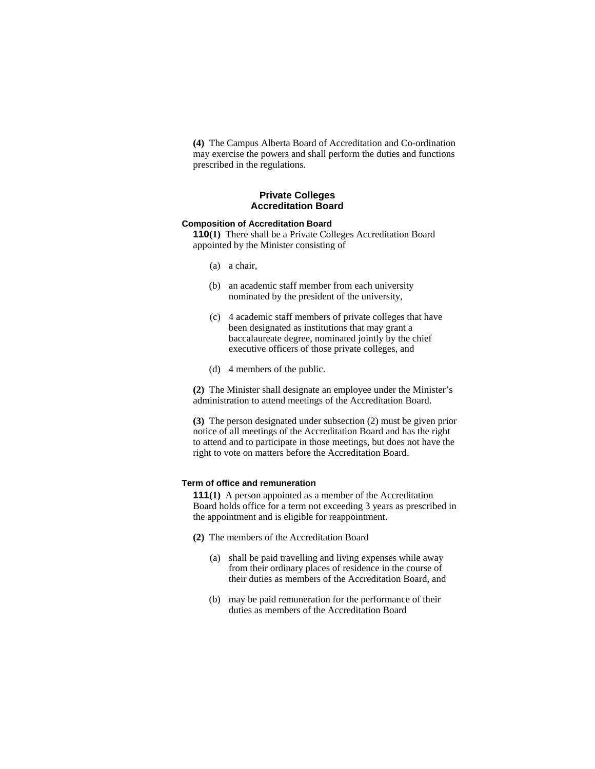**(4)** The Campus Alberta Board of Accreditation and Co-ordination may exercise the powers and shall perform the duties and functions prescribed in the regulations.

# **Private Colleges Accreditation Board**

# **Composition of Accreditation Board**

**110(1)** There shall be a Private Colleges Accreditation Board appointed by the Minister consisting of

- (a) a chair,
- (b) an academic staff member from each university nominated by the president of the university,
- (c) 4 academic staff members of private colleges that have been designated as institutions that may grant a baccalaureate degree, nominated jointly by the chief executive officers of those private colleges, and
- (d) 4 members of the public.

**(2)** The Minister shall designate an employee under the Minister's administration to attend meetings of the Accreditation Board.

**(3)** The person designated under subsection (2) must be given prior notice of all meetings of the Accreditation Board and has the right to attend and to participate in those meetings, but does not have the right to vote on matters before the Accreditation Board.

#### **Term of office and remuneration**

**111(1)** A person appointed as a member of the Accreditation Board holds office for a term not exceeding 3 years as prescribed in the appointment and is eligible for reappointment.

- **(2)** The members of the Accreditation Board
	- (a) shall be paid travelling and living expenses while away from their ordinary places of residence in the course of their duties as members of the Accreditation Board, and
	- (b) may be paid remuneration for the performance of their duties as members of the Accreditation Board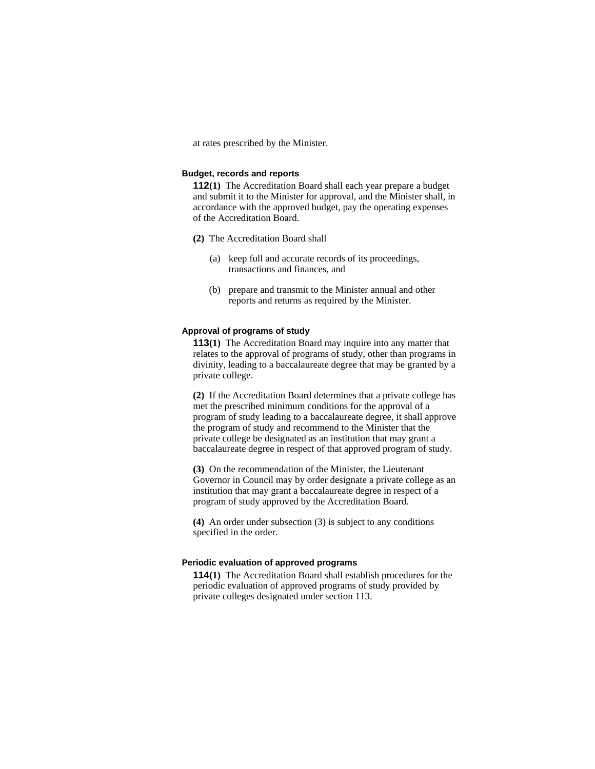at rates prescribed by the Minister.

#### **Budget, records and reports**

**112(1)** The Accreditation Board shall each year prepare a budget and submit it to the Minister for approval, and the Minister shall, in accordance with the approved budget, pay the operating expenses of the Accreditation Board.

- **(2)** The Accreditation Board shall
	- (a) keep full and accurate records of its proceedings, transactions and finances, and
	- (b) prepare and transmit to the Minister annual and other reports and returns as required by the Minister.

# **Approval of programs of study**

**113(1)** The Accreditation Board may inquire into any matter that relates to the approval of programs of study, other than programs in divinity, leading to a baccalaureate degree that may be granted by a private college.

**(2)** If the Accreditation Board determines that a private college has met the prescribed minimum conditions for the approval of a program of study leading to a baccalaureate degree, it shall approve the program of study and recommend to the Minister that the private college be designated as an institution that may grant a baccalaureate degree in respect of that approved program of study.

**(3)** On the recommendation of the Minister, the Lieutenant Governor in Council may by order designate a private college as an institution that may grant a baccalaureate degree in respect of a program of study approved by the Accreditation Board.

**(4)** An order under subsection (3) is subject to any conditions specified in the order.

#### **Periodic evaluation of approved programs**

**114(1)** The Accreditation Board shall establish procedures for the periodic evaluation of approved programs of study provided by private colleges designated under section 113.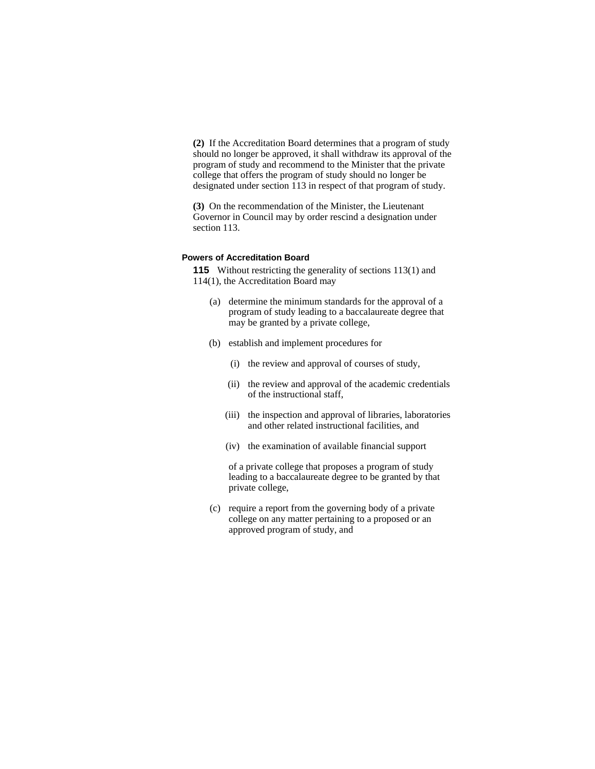**(2)** If the Accreditation Board determines that a program of study should no longer be approved, it shall withdraw its approval of the program of study and recommend to the Minister that the private college that offers the program of study should no longer be designated under section 113 in respect of that program of study.

**(3)** On the recommendation of the Minister, the Lieutenant Governor in Council may by order rescind a designation under section 113.

## **Powers of Accreditation Board**

**115** Without restricting the generality of sections 113(1) and 114(1), the Accreditation Board may

- (a) determine the minimum standards for the approval of a program of study leading to a baccalaureate degree that may be granted by a private college,
- (b) establish and implement procedures for
	- (i) the review and approval of courses of study,
	- (ii) the review and approval of the academic credentials of the instructional staff,
	- (iii) the inspection and approval of libraries, laboratories and other related instructional facilities, and
	- (iv) the examination of available financial support

 of a private college that proposes a program of study leading to a baccalaureate degree to be granted by that private college,

 (c) require a report from the governing body of a private college on any matter pertaining to a proposed or an approved program of study, and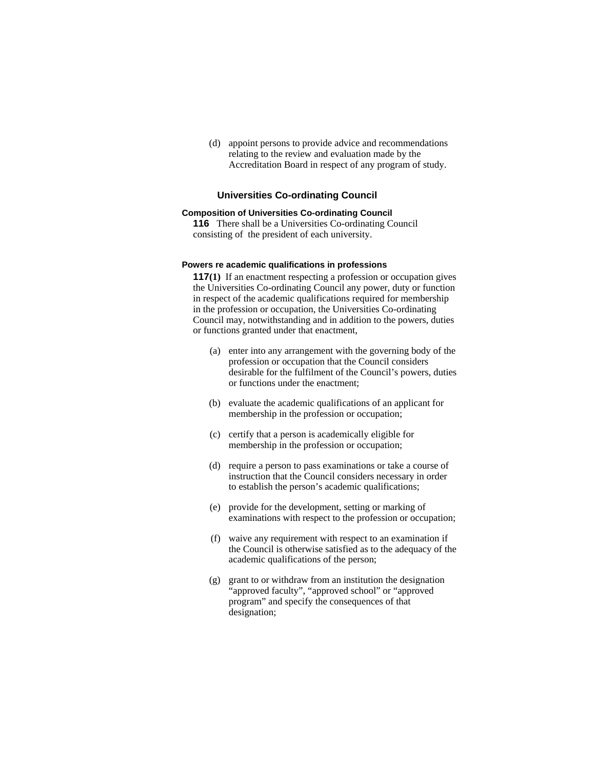(d) appoint persons to provide advice and recommendations relating to the review and evaluation made by the Accreditation Board in respect of any program of study.

# **Universities Co-ordinating Council**

# **Composition of Universities Co-ordinating Council**

**116** There shall be a Universities Co-ordinating Council consisting of the president of each university.

#### **Powers re academic qualifications in professions**

**117(1)** If an enactment respecting a profession or occupation gives the Universities Co-ordinating Council any power, duty or function in respect of the academic qualifications required for membership in the profession or occupation, the Universities Co-ordinating Council may, notwithstanding and in addition to the powers, duties or functions granted under that enactment,

- (a) enter into any arrangement with the governing body of the profession or occupation that the Council considers desirable for the fulfilment of the Council's powers, duties or functions under the enactment;
- (b) evaluate the academic qualifications of an applicant for membership in the profession or occupation;
- (c) certify that a person is academically eligible for membership in the profession or occupation;
- (d) require a person to pass examinations or take a course of instruction that the Council considers necessary in order to establish the person's academic qualifications;
- (e) provide for the development, setting or marking of examinations with respect to the profession or occupation;
- (f) waive any requirement with respect to an examination if the Council is otherwise satisfied as to the adequacy of the academic qualifications of the person;
- (g) grant to or withdraw from an institution the designation "approved faculty", "approved school" or "approved program" and specify the consequences of that designation;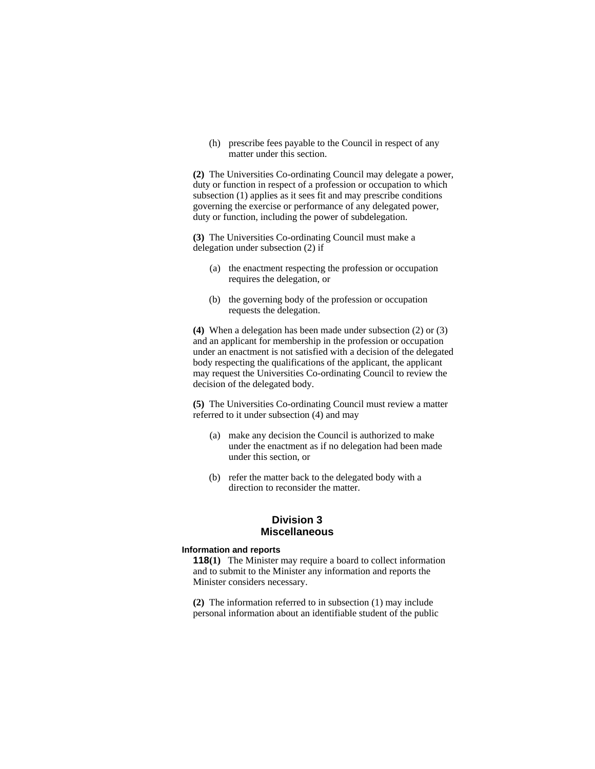(h) prescribe fees payable to the Council in respect of any matter under this section.

**(2)** The Universities Co-ordinating Council may delegate a power, duty or function in respect of a profession or occupation to which subsection (1) applies as it sees fit and may prescribe conditions governing the exercise or performance of any delegated power, duty or function, including the power of subdelegation.

**(3)** The Universities Co-ordinating Council must make a delegation under subsection (2) if

- (a) the enactment respecting the profession or occupation requires the delegation, or
- (b) the governing body of the profession or occupation requests the delegation.

**(4)** When a delegation has been made under subsection (2) or (3) and an applicant for membership in the profession or occupation under an enactment is not satisfied with a decision of the delegated body respecting the qualifications of the applicant, the applicant may request the Universities Co-ordinating Council to review the decision of the delegated body.

**(5)** The Universities Co-ordinating Council must review a matter referred to it under subsection (4) and may

- (a) make any decision the Council is authorized to make under the enactment as if no delegation had been made under this section, or
- (b) refer the matter back to the delegated body with a direction to reconsider the matter.

# **Division 3 Miscellaneous**

## **Information and reports**

**118(1)** The Minister may require a board to collect information and to submit to the Minister any information and reports the Minister considers necessary.

**(2)** The information referred to in subsection (1) may include personal information about an identifiable student of the public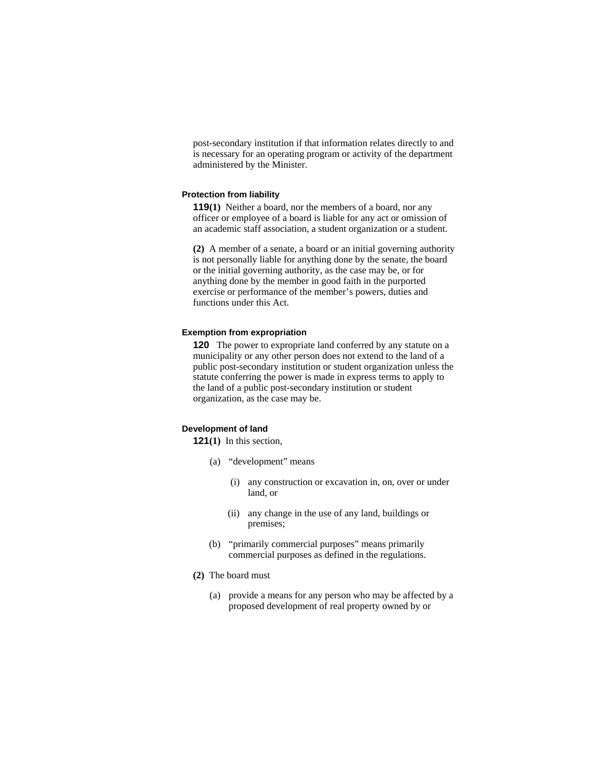post-secondary institution if that information relates directly to and is necessary for an operating program or activity of the department administered by the Minister.

#### **Protection from liability**

**119(1)** Neither a board, nor the members of a board, nor any officer or employee of a board is liable for any act or omission of an academic staff association, a student organization or a student.

**(2)** A member of a senate, a board or an initial governing authority is not personally liable for anything done by the senate, the board or the initial governing authority, as the case may be, or for anything done by the member in good faith in the purported exercise or performance of the member's powers, duties and functions under this Act.

#### **Exemption from expropriation**

**120** The power to expropriate land conferred by any statute on a municipality or any other person does not extend to the land of a public post-secondary institution or student organization unless the statute conferring the power is made in express terms to apply to the land of a public post-secondary institution or student organization, as the case may be.

# **Development of land**

**121(1)** In this section,

- (a) "development" means
	- (i) any construction or excavation in, on, over or under land, or
	- (ii) any change in the use of any land, buildings or premises;
- (b) "primarily commercial purposes" means primarily commercial purposes as defined in the regulations.
- **(2)** The board must
	- (a) provide a means for any person who may be affected by a proposed development of real property owned by or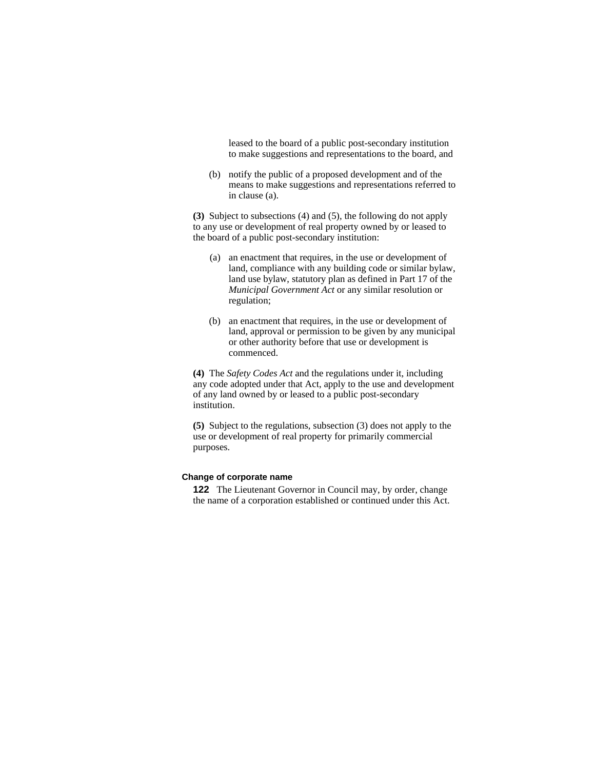leased to the board of a public post-secondary institution to make suggestions and representations to the board, and

 (b) notify the public of a proposed development and of the means to make suggestions and representations referred to in clause (a).

**(3)** Subject to subsections (4) and (5), the following do not apply to any use or development of real property owned by or leased to the board of a public post-secondary institution:

- (a) an enactment that requires, in the use or development of land, compliance with any building code or similar bylaw, land use bylaw, statutory plan as defined in Part 17 of the *Municipal Government Act* or any similar resolution or regulation;
- (b) an enactment that requires, in the use or development of land, approval or permission to be given by any municipal or other authority before that use or development is commenced.

**(4)** The *Safety Codes Act* and the regulations under it, including any code adopted under that Act, apply to the use and development of any land owned by or leased to a public post-secondary institution.

**(5)** Subject to the regulations, subsection (3) does not apply to the use or development of real property for primarily commercial purposes.

# **Change of corporate name**

**122** The Lieutenant Governor in Council may, by order, change the name of a corporation established or continued under this Act.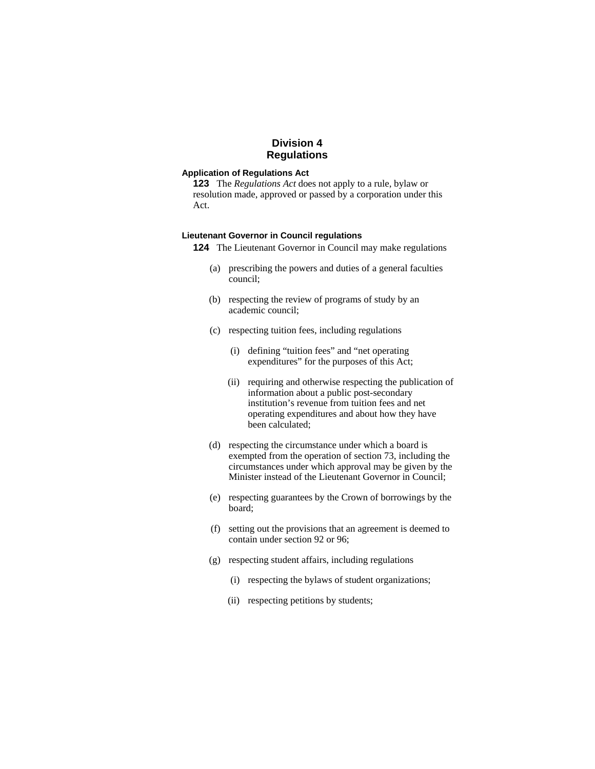# **Division 4 Regulations**

### **Application of Regulations Act**

**123** The *Regulations Act* does not apply to a rule, bylaw or resolution made, approved or passed by a corporation under this Act.

#### **Lieutenant Governor in Council regulations**

**124** The Lieutenant Governor in Council may make regulations

- (a) prescribing the powers and duties of a general faculties council;
- (b) respecting the review of programs of study by an academic council;
- (c) respecting tuition fees, including regulations
	- (i) defining "tuition fees" and "net operating expenditures" for the purposes of this Act;
	- (ii) requiring and otherwise respecting the publication of information about a public post-secondary institution's revenue from tuition fees and net operating expenditures and about how they have been calculated;
- (d) respecting the circumstance under which a board is exempted from the operation of section 73, including the circumstances under which approval may be given by the Minister instead of the Lieutenant Governor in Council;
- (e) respecting guarantees by the Crown of borrowings by the board;
- (f) setting out the provisions that an agreement is deemed to contain under section 92 or 96;
- (g) respecting student affairs, including regulations
	- (i) respecting the bylaws of student organizations;
	- (ii) respecting petitions by students;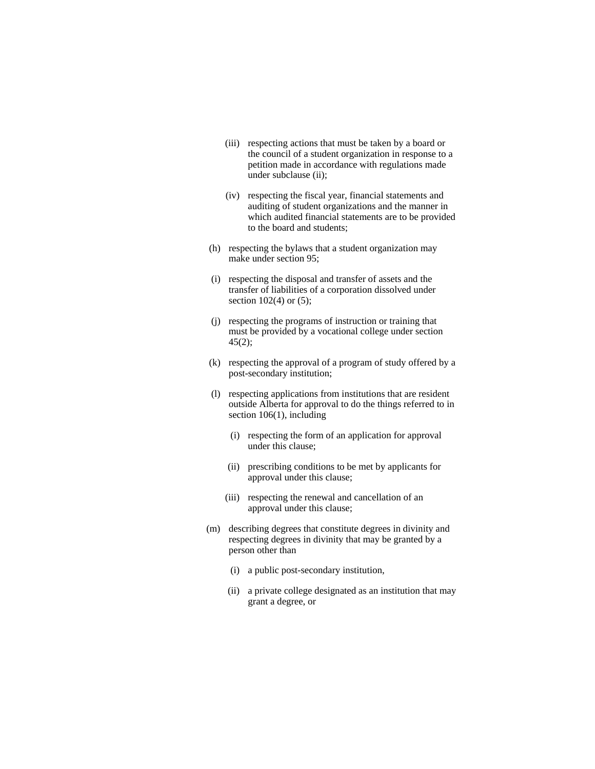- (iii) respecting actions that must be taken by a board or the council of a student organization in response to a petition made in accordance with regulations made under subclause (ii);
- (iv) respecting the fiscal year, financial statements and auditing of student organizations and the manner in which audited financial statements are to be provided to the board and students;
- (h) respecting the bylaws that a student organization may make under section 95;
- (i) respecting the disposal and transfer of assets and the transfer of liabilities of a corporation dissolved under section  $102(4)$  or  $(5)$ ;
- (j) respecting the programs of instruction or training that must be provided by a vocational college under section 45(2);
- (k) respecting the approval of a program of study offered by a post-secondary institution;
- (l) respecting applications from institutions that are resident outside Alberta for approval to do the things referred to in section 106(1), including
	- (i) respecting the form of an application for approval under this clause;
	- (ii) prescribing conditions to be met by applicants for approval under this clause;
	- (iii) respecting the renewal and cancellation of an approval under this clause;
- (m) describing degrees that constitute degrees in divinity and respecting degrees in divinity that may be granted by a person other than
	- (i) a public post-secondary institution,
	- (ii) a private college designated as an institution that may grant a degree, or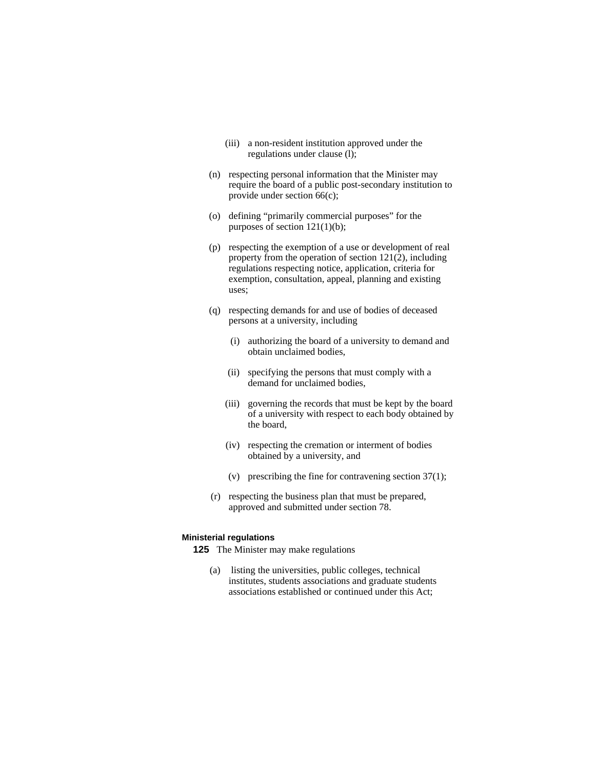- (iii) a non-resident institution approved under the regulations under clause (l);
- (n) respecting personal information that the Minister may require the board of a public post-secondary institution to provide under section 66(c);
- (o) defining "primarily commercial purposes" for the purposes of section 121(1)(b);
- (p) respecting the exemption of a use or development of real property from the operation of section 121(2), including regulations respecting notice, application, criteria for exemption, consultation, appeal, planning and existing uses;
- (q) respecting demands for and use of bodies of deceased persons at a university, including
	- (i) authorizing the board of a university to demand and obtain unclaimed bodies,
	- (ii) specifying the persons that must comply with a demand for unclaimed bodies,
	- (iii) governing the records that must be kept by the board of a university with respect to each body obtained by the board,
	- (iv) respecting the cremation or interment of bodies obtained by a university, and
	- (v) prescribing the fine for contravening section 37(1);
- (r) respecting the business plan that must be prepared, approved and submitted under section 78.

#### **Ministerial regulations**

**125** The Minister may make regulations

 (a) listing the universities, public colleges, technical institutes, students associations and graduate students associations established or continued under this Act;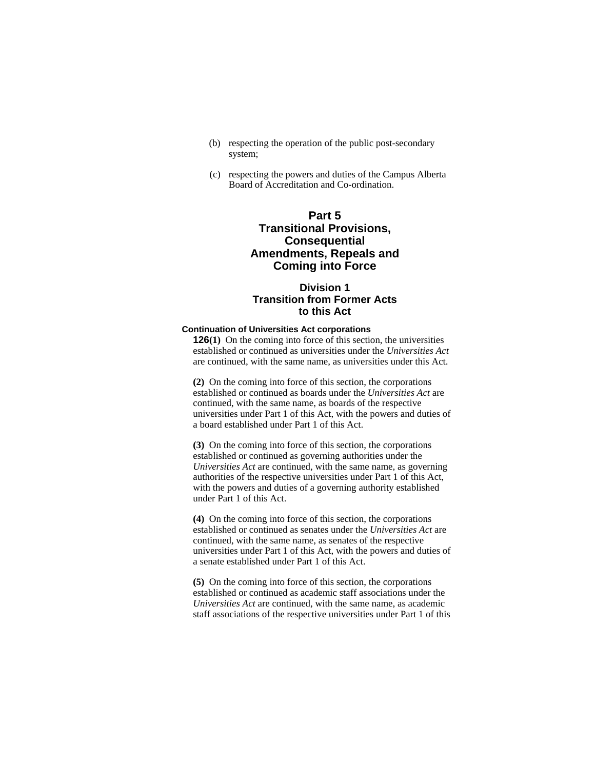- (b) respecting the operation of the public post-secondary system;
- (c) respecting the powers and duties of the Campus Alberta Board of Accreditation and Co-ordination.

# **Part 5 Transitional Provisions, Consequential Amendments, Repeals and Coming into Force**

# **Division 1 Transition from Former Acts to this Act**

### **Continuation of Universities Act corporations**

**126**(1) On the coming into force of this section, the universities established or continued as universities under the *Universities Act* are continued, with the same name, as universities under this Act.

**(2)** On the coming into force of this section, the corporations established or continued as boards under the *Universities Act* are continued, with the same name, as boards of the respective universities under Part 1 of this Act, with the powers and duties of a board established under Part 1 of this Act.

**(3)** On the coming into force of this section, the corporations established or continued as governing authorities under the *Universities Act* are continued, with the same name, as governing authorities of the respective universities under Part 1 of this Act, with the powers and duties of a governing authority established under Part 1 of this Act.

**(4)** On the coming into force of this section, the corporations established or continued as senates under the *Universities Act* are continued, with the same name, as senates of the respective universities under Part 1 of this Act, with the powers and duties of a senate established under Part 1 of this Act.

**(5)** On the coming into force of this section, the corporations established or continued as academic staff associations under the *Universities Act* are continued, with the same name, as academic staff associations of the respective universities under Part 1 of this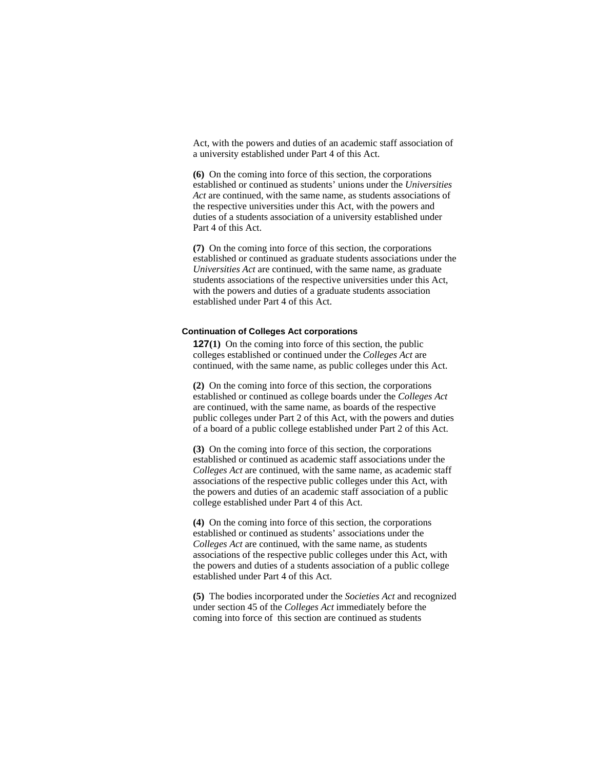Act, with the powers and duties of an academic staff association of a university established under Part 4 of this Act.

**(6)** On the coming into force of this section, the corporations established or continued as students' unions under the *Universities Act* are continued, with the same name, as students associations of the respective universities under this Act, with the powers and duties of a students association of a university established under Part 4 of this Act.

**(7)** On the coming into force of this section, the corporations established or continued as graduate students associations under the *Universities Act* are continued, with the same name, as graduate students associations of the respective universities under this Act, with the powers and duties of a graduate students association established under Part 4 of this Act.

# **Continuation of Colleges Act corporations**

**127(1)** On the coming into force of this section, the public colleges established or continued under the *Colleges Act* are continued, with the same name, as public colleges under this Act.

**(2)** On the coming into force of this section, the corporations established or continued as college boards under the *Colleges Act* are continued, with the same name, as boards of the respective public colleges under Part 2 of this Act, with the powers and duties of a board of a public college established under Part 2 of this Act.

**(3)** On the coming into force of this section, the corporations established or continued as academic staff associations under the *Colleges Act* are continued, with the same name, as academic staff associations of the respective public colleges under this Act, with the powers and duties of an academic staff association of a public college established under Part 4 of this Act.

**(4)** On the coming into force of this section, the corporations established or continued as students' associations under the *Colleges Act* are continued, with the same name, as students associations of the respective public colleges under this Act, with the powers and duties of a students association of a public college established under Part 4 of this Act.

**(5)** The bodies incorporated under the *Societies Act* and recognized under section 45 of the *Colleges Act* immediately before the coming into force of this section are continued as students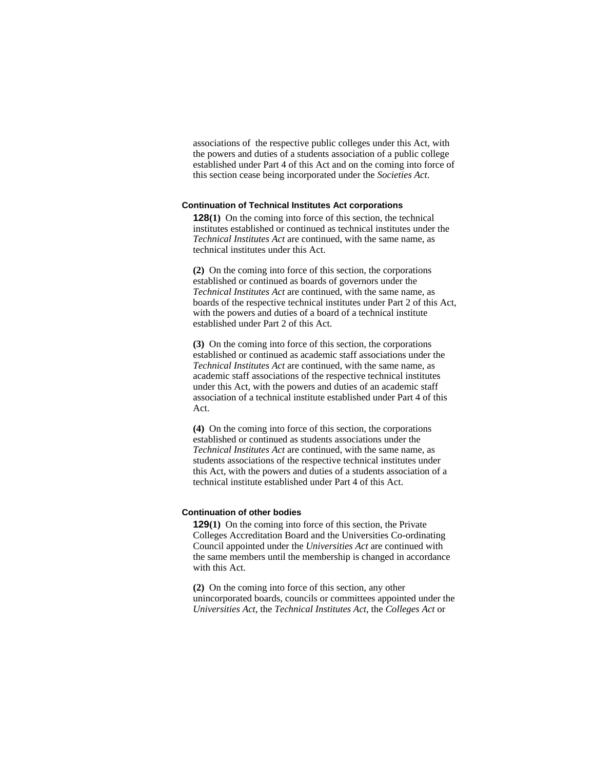associations of the respective public colleges under this Act, with the powers and duties of a students association of a public college established under Part 4 of this Act and on the coming into force of this section cease being incorporated under the *Societies Act*.

#### **Continuation of Technical Institutes Act corporations**

**128(1)** On the coming into force of this section, the technical institutes established or continued as technical institutes under the *Technical Institutes Act* are continued, with the same name, as technical institutes under this Act.

**(2)** On the coming into force of this section, the corporations established or continued as boards of governors under the *Technical Institutes Act* are continued, with the same name, as boards of the respective technical institutes under Part 2 of this Act, with the powers and duties of a board of a technical institute established under Part 2 of this Act.

**(3)** On the coming into force of this section, the corporations established or continued as academic staff associations under the *Technical Institutes Act* are continued, with the same name, as academic staff associations of the respective technical institutes under this Act, with the powers and duties of an academic staff association of a technical institute established under Part 4 of this Act.

**(4)** On the coming into force of this section, the corporations established or continued as students associations under the *Technical Institutes Act* are continued, with the same name, as students associations of the respective technical institutes under this Act, with the powers and duties of a students association of a technical institute established under Part 4 of this Act.

### **Continuation of other bodies**

**129(1)** On the coming into force of this section, the Private Colleges Accreditation Board and the Universities Co-ordinating Council appointed under the *Universities Act* are continued with the same members until the membership is changed in accordance with this Act.

**(2)** On the coming into force of this section, any other unincorporated boards, councils or committees appointed under the *Universities Act*, the *Technical Institutes Act*, the *Colleges Act* or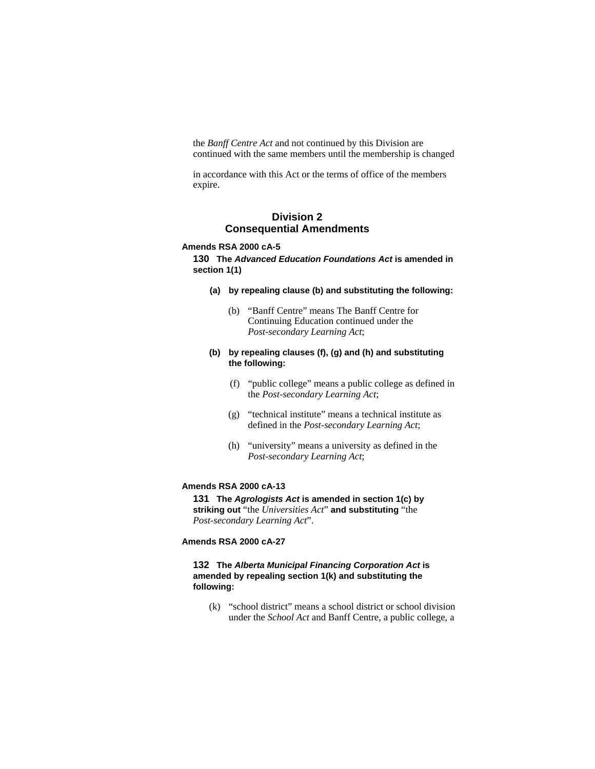the *Banff Centre Act* and not continued by this Division are continued with the same members until the membership is changed

in accordance with this Act or the terms of office of the members expire.

# **Division 2 Consequential Amendments**

### **Amends RSA 2000 cA-5**

**130 The** *Advanced Education Foundations Act* **is amended in section 1(1)**

- **(a) by repealing clause (b) and substituting the following:** 
	- (b) "Banff Centre" means The Banff Centre for Continuing Education continued under the *Post-secondary Learning Act*;

# **(b) by repealing clauses (f), (g) and (h) and substituting the following:**

- (f) "public college" means a public college as defined in the *Post-secondary Learning Act*;
- (g) "technical institute" means a technical institute as defined in the *Post-secondary Learning Act*;
- (h) "university" means a university as defined in the *Post-secondary Learning Act*;

# **Amends RSA 2000 cA-13**

**131 The** *Agrologists Act* **is amended in section 1(c) by striking out** "the *Universities Act*" **and substituting** "the *Post-secondary Learning Act*".

# **Amends RSA 2000 cA-27**

# **132 The** *Alberta Municipal Financing Corporation Act* **is amended by repealing section 1(k) and substituting the following:**

(k) "school district" means a school district or school division under the *School Act* and Banff Centre, a public college, a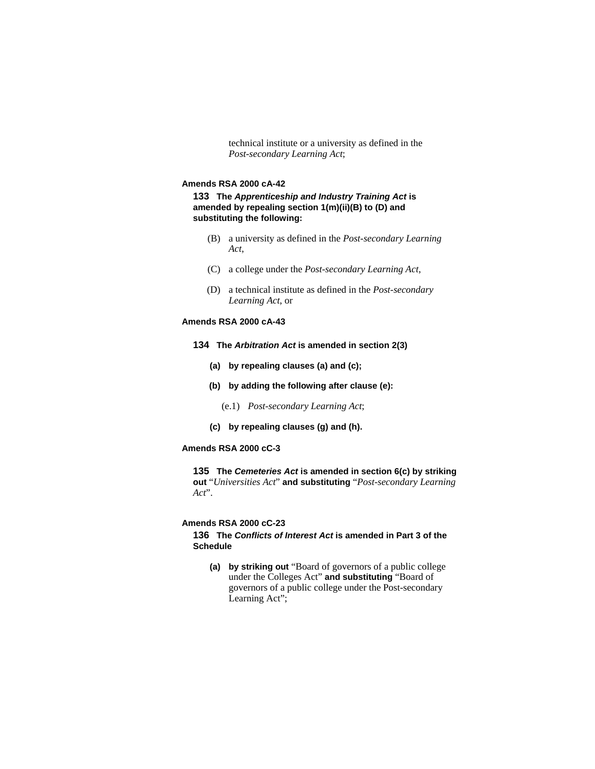technical institute or a university as defined in the *Post-secondary Learning Act*;

#### **Amends RSA 2000 cA-42**

**133 The** *Apprenticeship and Industry Training Act* **is amended by repealing section 1(m)(ii)(B) to (D) and substituting the following:** 

- (B) a university as defined in the *Post-secondary Learning Act*,
- (C) a college under the *Post-secondary Learning Act*,
- (D) a technical institute as defined in the *Post-secondary Learning Act*, or

# **Amends RSA 2000 cA-43**

- **134 The** *Arbitration Act* **is amended in section 2(3)** 
	- **(a) by repealing clauses (a) and (c);**
	- **(b) by adding the following after clause (e):** 
		- (e.1) *Post-secondary Learning Act*;
	- **(c) by repealing clauses (g) and (h).**

# **Amends RSA 2000 cC-3**

**135 The** *Cemeteries Act* **is amended in section 6(c) by striking out** "*Universities Act*" **and substituting** "*Post-secondary Learning Act*".

# **Amends RSA 2000 cC-23**

**136 The** *Conflicts of Interest Act* **is amended in Part 3 of the Schedule** 

**(a) by striking out** "Board of governors of a public college under the Colleges Act" **and substituting** "Board of governors of a public college under the Post-secondary Learning Act";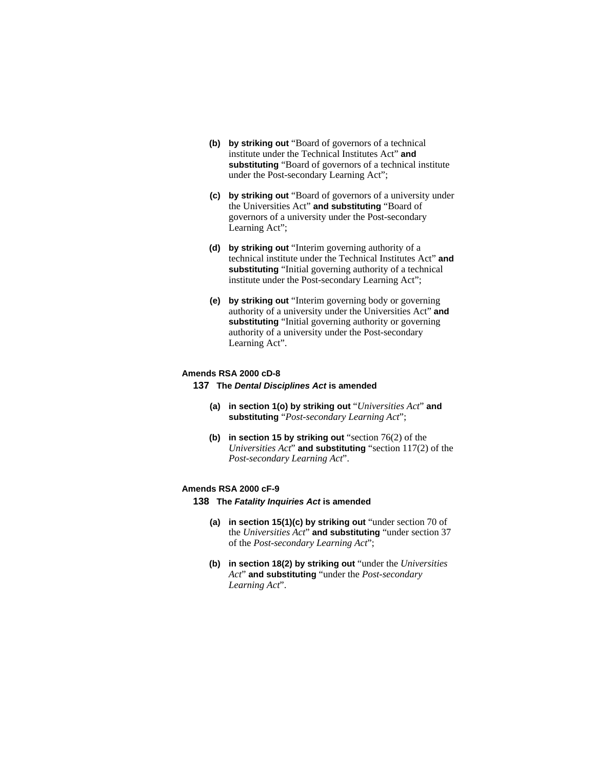- **(b) by striking out** "Board of governors of a technical institute under the Technical Institutes Act" **and substituting** "Board of governors of a technical institute under the Post-secondary Learning Act";
- **(c) by striking out** "Board of governors of a university under the Universities Act" **and substituting** "Board of governors of a university under the Post-secondary Learning Act";
- **(d) by striking out** "Interim governing authority of a technical institute under the Technical Institutes Act" **and substituting** "Initial governing authority of a technical institute under the Post-secondary Learning Act";
- **(e) by striking out** "Interim governing body or governing authority of a university under the Universities Act" **and substituting** "Initial governing authority or governing authority of a university under the Post-secondary Learning Act".

## **Amends RSA 2000 cD-8**

**137 The** *Dental Disciplines Act* **is amended**

- **(a) in section 1(o) by striking out** "*Universities Act*" **and substituting** "*Post-secondary Learning Act*";
- **(b) in section 15 by striking out** "section 76(2) of the *Universities Act*" **and substituting** "section 117(2) of the *Post-secondary Learning Act*".

#### **Amends RSA 2000 cF-9**

- **138 The** *Fatality Inquiries Act* **is amended** 
	- **(a) in section 15(1)(c) by striking out** "under section 70 of the *Universities Act*" **and substituting** "under section 37 of the *Post-secondary Learning Act*";
	- **(b) in section 18(2) by striking out** "under the *Universities Act*" **and substituting** "under the *Post-secondary Learning Act*".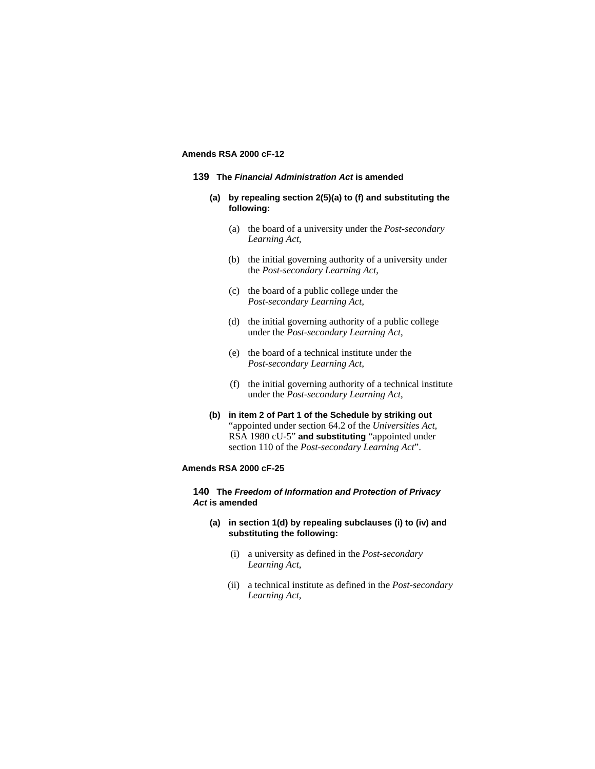# **Amends RSA 2000 cF-12**

### **139 The** *Financial Administration Act* **is amended**

- **(a) by repealing section 2(5)(a) to (f) and substituting the following:**
	- (a) the board of a university under the *Post-secondary Learning Act*,
	- (b) the initial governing authority of a university under the *Post-secondary Learning Act*,
	- (c) the board of a public college under the *Post-secondary Learning Act*,
	- (d) the initial governing authority of a public college under the *Post-secondary Learning Act*,
	- (e) the board of a technical institute under the *Post-secondary Learning Act*,
	- (f) the initial governing authority of a technical institute under the *Post-secondary Learning Act*,
- **(b) in item 2 of Part 1 of the Schedule by striking out**  "appointed under section 64.2 of the *Universities Act*, RSA 1980 cU-5" **and substituting** "appointed under section 110 of the *Post-secondary Learning Act*".

## **Amends RSA 2000 cF-25**

### **140 The** *Freedom of Information and Protection of Privacy Act* **is amended**

# **(a) in section 1(d) by repealing subclauses (i) to (iv) and substituting the following:**

- (i) a university as defined in the *Post-secondary Learning Act*,
- (ii) a technical institute as defined in the *Post-secondary Learning Act*,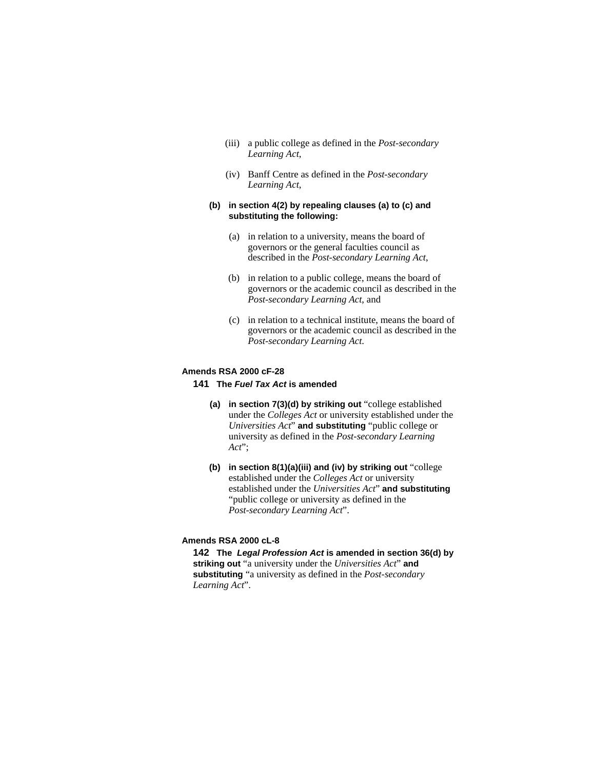- (iii) a public college as defined in the *Post-secondary Learning Act*,
- (iv) Banff Centre as defined in the *Post-secondary Learning Act*,

## **(b) in section 4(2) by repealing clauses (a) to (c) and substituting the following:**

- (a) in relation to a university, means the board of governors or the general faculties council as described in the *Post-secondary Learning Act*,
- (b) in relation to a public college, means the board of governors or the academic council as described in the *Post-secondary Learning Act*, and
- (c) in relation to a technical institute, means the board of governors or the academic council as described in the *Post-secondary Learning Act*.

#### **Amends RSA 2000 cF-28**

## **141 The** *Fuel Tax Act* **is amended**

- **(a) in section 7(3)(d) by striking out** "college established under the *Colleges Act* or university established under the *Universities Act*" **and substituting** "public college or university as defined in the *Post-secondary Learning Act*";
- **(b) in section 8(1)(a)(iii) and (iv) by striking out** "college established under the *Colleges Act* or university established under the *Universities Act*" **and substituting** "public college or university as defined in the *Post-secondary Learning Act*".

# **Amends RSA 2000 cL-8**

**142 The** *Legal Profession Act* **is amended in section 36(d) by striking out** "a university under the *Universities Act*" **and substituting** "a university as defined in the *Post-secondary Learning Act*".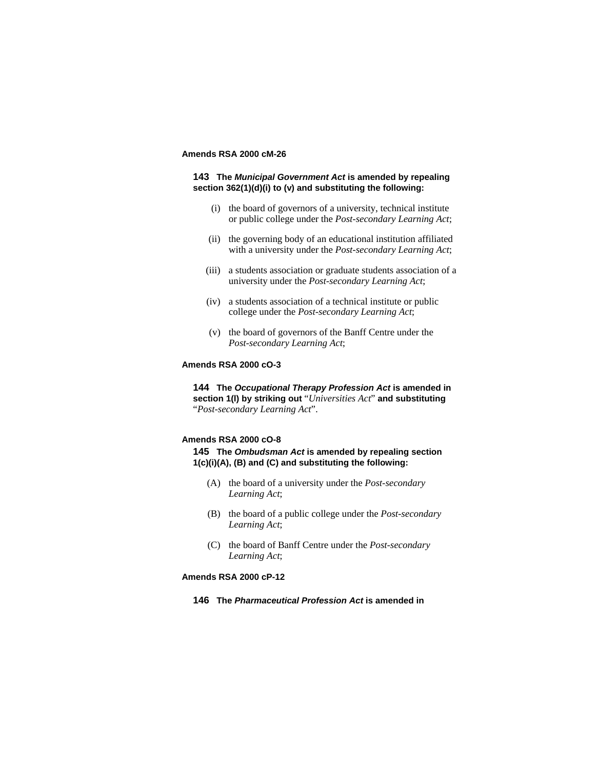# **Amends RSA 2000 cM-26**

## **143 The** *Municipal Government Act* **is amended by repealing section 362(1)(d)(i) to (v) and substituting the following:**

- (i) the board of governors of a university, technical institute or public college under the *Post-secondary Learning Act*;
- (ii) the governing body of an educational institution affiliated with a university under the *Post-secondary Learning Act*;
- (iii) a students association or graduate students association of a university under the *Post-secondary Learning Act*;
- (iv) a students association of a technical institute or public college under the *Post-secondary Learning Act*;
- (v) the board of governors of the Banff Centre under the *Post-secondary Learning Act*;

# **Amends RSA 2000 cO-3**

**144 The** *Occupational Therapy Profession Act* **is amended in section 1(l) by striking out** "*Universities Act*" **and substituting**  "*Post-secondary Learning Act*".

# **Amends RSA 2000 cO-8**

**145 The** *Ombudsman Act* **is amended by repealing section 1(c)(i)(A), (B) and (C) and substituting the following:**

- (A) the board of a university under the *Post-secondary Learning Act*;
- (B) the board of a public college under the *Post-secondary Learning Act*;
- (C) the board of Banff Centre under the *Post-secondary Learning Act*;

# **Amends RSA 2000 cP-12**

**146 The** *Pharmaceutical Profession Act* **is amended in**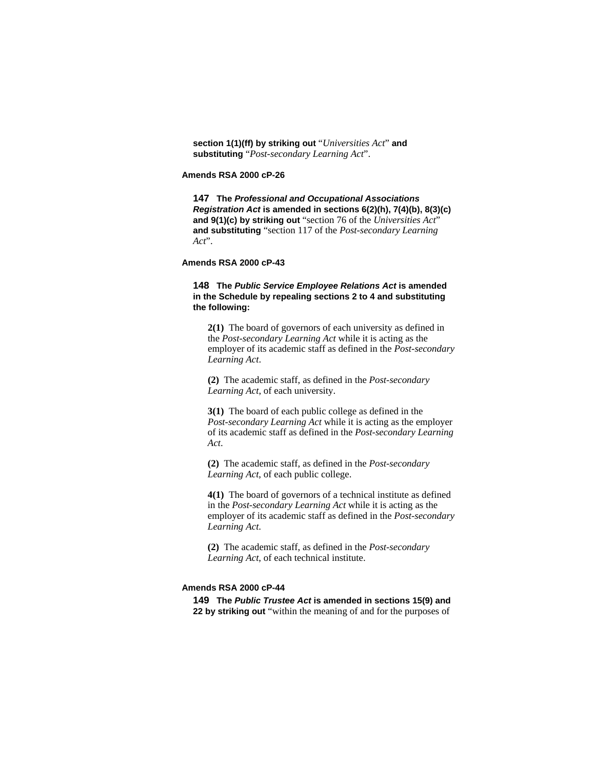**section 1(1)(ff) by striking out** "*Universities Act*" **and substituting** "*Post-secondary Learning Act*".

**Amends RSA 2000 cP-26** 

**147 The** *Professional and Occupational Associations Registration Act* **is amended in sections 6(2)(h), 7(4)(b), 8(3)(c) and 9(1)(c) by striking out** "section 76 of the *Universities Act*" **and substituting** "section 117 of the *Post-secondary Learning Act*".

**Amends RSA 2000 cP-43** 

# **148 The** *Public Service Employee Relations Act* **is amended in the Schedule by repealing sections 2 to 4 and substituting the following:**

**2(1)** The board of governors of each university as defined in the *Post-secondary Learning Act* while it is acting as the employer of its academic staff as defined in the *Post-secondary Learning Act*.

**(2)** The academic staff, as defined in the *Post-secondary Learning Act*, of each university.

**3(1)** The board of each public college as defined in the *Post-secondary Learning Act* while it is acting as the employer of its academic staff as defined in the *Post-secondary Learning Act*.

**(2)** The academic staff, as defined in the *Post-secondary Learning Act*, of each public college.

**4(1)** The board of governors of a technical institute as defined in the *Post-secondary Learning Act* while it is acting as the employer of its academic staff as defined in the *Post-secondary Learning Act*.

**(2)** The academic staff, as defined in the *Post-secondary Learning Act*, of each technical institute.

## **Amends RSA 2000 cP-44**

**149 The** *Public Trustee Act* **is amended in sections 15(9) and 22 by striking out** "within the meaning of and for the purposes of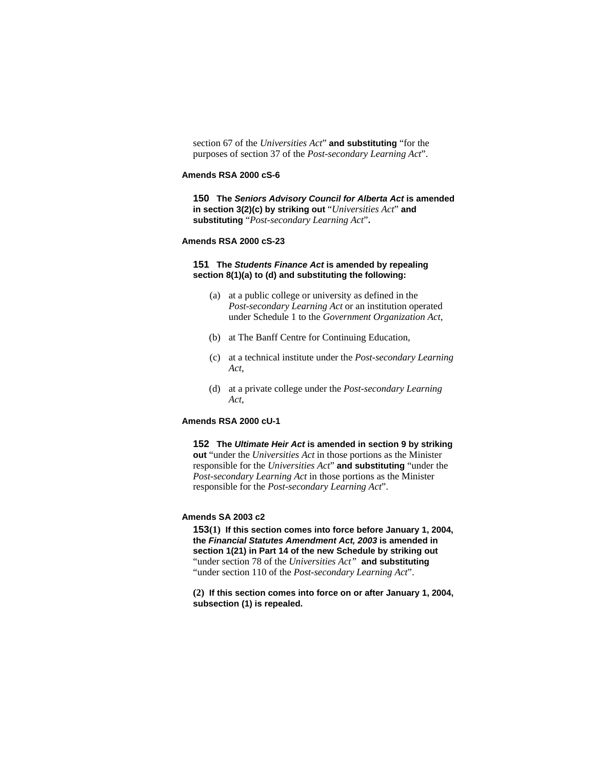section 67 of the *Universities Act*" **and substituting** "for the purposes of section 37 of the *Post-secondary Learning Act*".

## **Amends RSA 2000 cS-6**

**150 The** *Seniors Advisory Council for Alberta Act* **is amended in section 3(2)(c) by striking out** "*Universities Act*" **and substituting** "*Post-secondary Learning Act*"**.** 

## **Amends RSA 2000 cS-23**

#### **151 The** *Students Finance Act* **is amended by repealing section 8(1)(a) to (d) and substituting the following:**

- (a) at a public college or university as defined in the *Post-secondary Learning Act* or an institution operated under Schedule 1 to the *Government Organization Act*,
- (b) at The Banff Centre for Continuing Education,
- (c) at a technical institute under the *Post-secondary Learning Act*,
- (d) at a private college under the *Post-secondary Learning Act*,

#### **Amends RSA 2000 cU-1**

**152 The** *Ultimate Heir Act* **is amended in section 9 by striking out** "under the *Universities Act* in those portions as the Minister responsible for the *Universities Act*" **and substituting** "under the *Post-secondary Learning Act* in those portions as the Minister responsible for the *Post-secondary Learning Act*".

## **Amends SA 2003 c2**

**153(1) If this section comes into force before January 1, 2004, the** *Financial Statutes Amendment Act, 2003* **is amended in section 1(21) in Part 14 of the new Schedule by striking out**  "under section 78 of the *Universities Act"* **and substituting**  "under section 110 of the *Post-secondary Learning Act*".

**(2) If this section comes into force on or after January 1, 2004, subsection (1) is repealed.**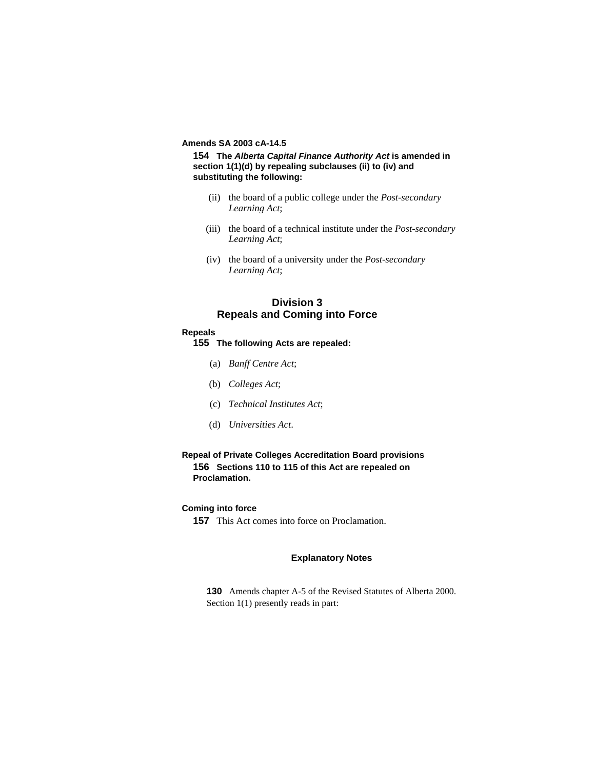# **Amends SA 2003 cA-14.5**

**154 The** *Alberta Capital Finance Authority Act* **is amended in section 1(1)(d) by repealing subclauses (ii) to (iv) and substituting the following:**

- (ii) the board of a public college under the *Post-secondary Learning Act*;
- (iii) the board of a technical institute under the *Post-secondary Learning Act*;
- (iv) the board of a university under the *Post-secondary Learning Act*;

# **Division 3 Repeals and Coming into Force**

#### **Repeals**

- **155 The following Acts are repealed:**
	- (a) *Banff Centre Act*;
	- (b) *Colleges Act*;
	- (c) *Technical Institutes Act*;
	- (d) *Universities Act*.

# **Repeal of Private Colleges Accreditation Board provisions 156 Sections 110 to 115 of this Act are repealed on Proclamation.**

# **Coming into force**

**157** This Act comes into force on Proclamation.

### **Explanatory Notes**

**130** Amends chapter A-5 of the Revised Statutes of Alberta 2000. Section 1(1) presently reads in part: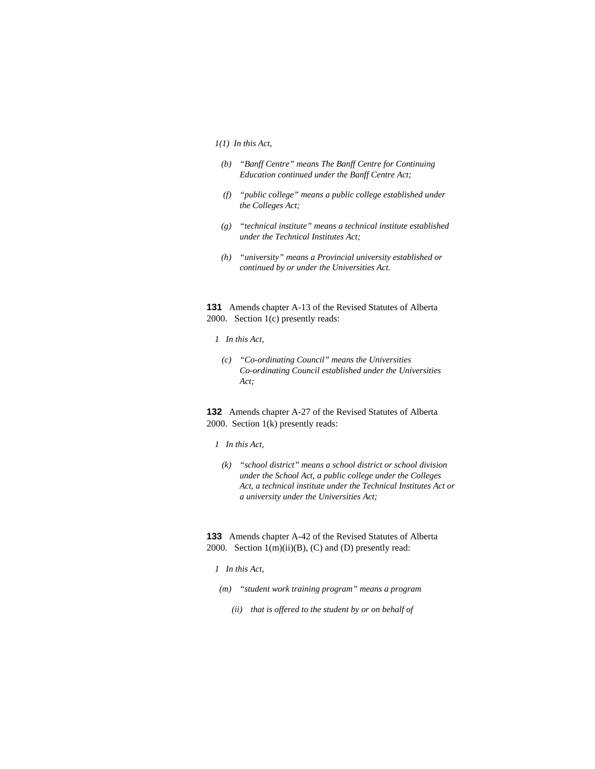#### *1(1) In this Act,*

- *(b) "Banff Centre" means The Banff Centre for Continuing Education continued under the Banff Centre Act;*
- *(f) "public college" means a public college established under the Colleges Act;*
- *(g) "technical institute" means a technical institute established under the Technical Institutes Act;*
- *(h) "university" means a Provincial university established or continued by or under the Universities Act.*

**131** Amends chapter A-13 of the Revised Statutes of Alberta 2000. Section 1(c) presently reads:

#### *1 In this Act,*

 *(c) "Co-ordinating Council" means the Universities Co-ordinating Council established under the Universities Act;* 

**132** Amends chapter A-27 of the Revised Statutes of Alberta 2000. Section 1(k) presently reads:

## *1 In this Act,*

 *(k) "school district" means a school district or school division under the School Act, a public college under the Colleges Act, a technical institute under the Technical Institutes Act or a university under the Universities Act;* 

**133** Amends chapter A-42 of the Revised Statutes of Alberta 2000. Section  $1(m)(ii)(B)$ , (C) and (D) presently read:

#### *1 In this Act,*

- *(m) "student work training program" means a program* 
	- *(ii) that is offered to the student by or on behalf of*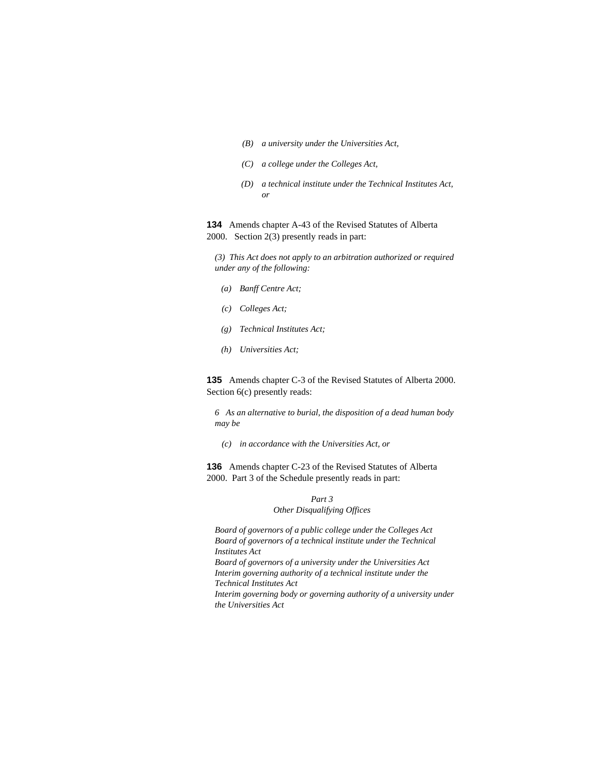- *(B) a university under the Universities Act,*
- *(C) a college under the Colleges Act,*
- *(D) a technical institute under the Technical Institutes Act, or*

**134** Amends chapter A-43 of the Revised Statutes of Alberta 2000. Section 2(3) presently reads in part:

*(3) This Act does not apply to an arbitration authorized or required under any of the following:* 

- *(a) Banff Centre Act;*
- *(c) Colleges Act;*
- *(g) Technical Institutes Act;*
- *(h) Universities Act;*

**135** Amends chapter C-3 of the Revised Statutes of Alberta 2000. Section  $6(c)$  presently reads:

*6 As an alternative to burial, the disposition of a dead human body may be* 

 *(c) in accordance with the Universities Act, or* 

**136** Amends chapter C-23 of the Revised Statutes of Alberta 2000. Part 3 of the Schedule presently reads in part:

# *Part 3 Other Disqualifying Offices*

*Board of governors of a public college under the Colleges Act Board of governors of a technical institute under the Technical Institutes Act* 

*Board of governors of a university under the Universities Act Interim governing authority of a technical institute under the Technical Institutes Act* 

*Interim governing body or governing authority of a university under the Universities Act*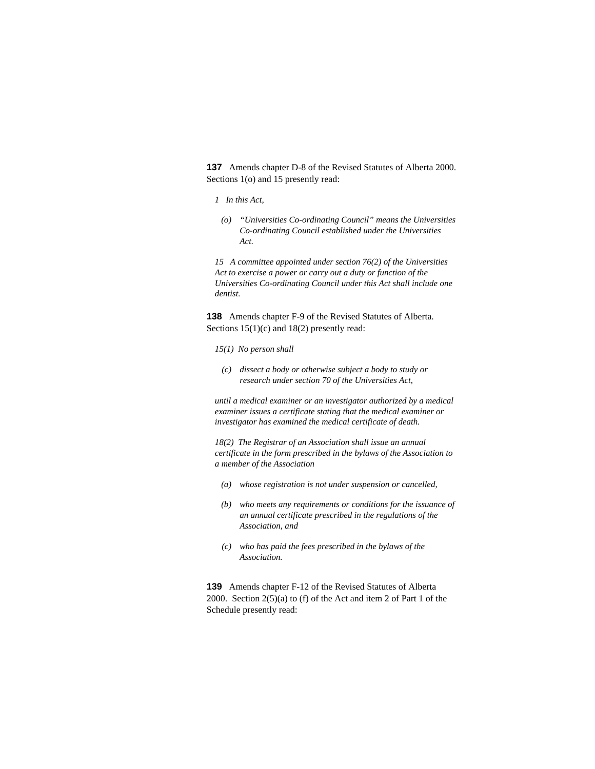**137** Amends chapter D-8 of the Revised Statutes of Alberta 2000. Sections 1(o) and 15 presently read:

#### *1 In this Act,*

 *(o) "Universities Co-ordinating Council" means the Universities Co-ordinating Council established under the Universities Act.* 

*15 A committee appointed under section 76(2) of the Universities Act to exercise a power or carry out a duty or function of the Universities Co-ordinating Council under this Act shall include one dentist.* 

**138** Amends chapter F-9 of the Revised Statutes of Alberta. Sections  $15(1)(c)$  and  $18(2)$  presently read:

- *15(1) No person shall*
- *(c) dissect a body or otherwise subject a body to study or research under section 70 of the Universities Act,*

*until a medical examiner or an investigator authorized by a medical examiner issues a certificate stating that the medical examiner or investigator has examined the medical certificate of death.* 

*18(2) The Registrar of an Association shall issue an annual certificate in the form prescribed in the bylaws of the Association to a member of the Association* 

- *(a) whose registration is not under suspension or cancelled,*
- *(b) who meets any requirements or conditions for the issuance of an annual certificate prescribed in the regulations of the Association, and*
- *(c) who has paid the fees prescribed in the bylaws of the Association.*

**139** Amends chapter F-12 of the Revised Statutes of Alberta 2000. Section 2(5)(a) to (f) of the Act and item 2 of Part 1 of the Schedule presently read: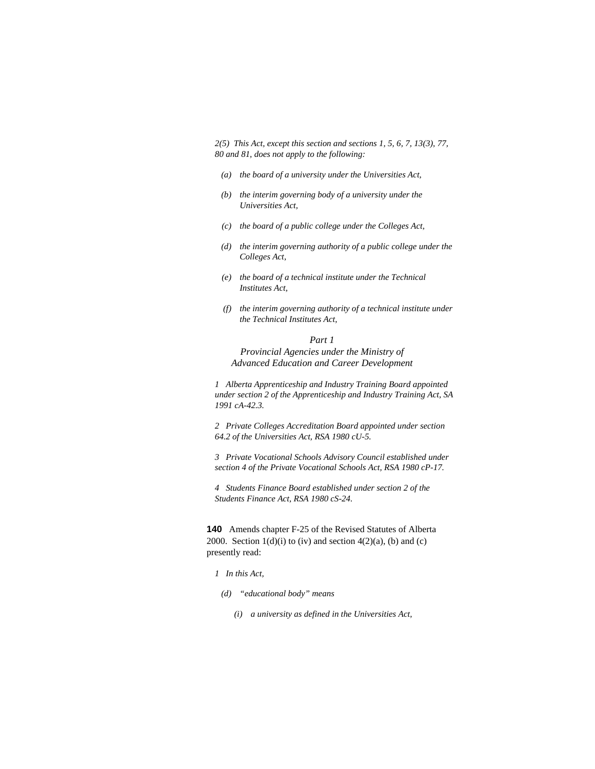*2(5) This Act, except this section and sections 1, 5, 6, 7, 13(3), 77, 80 and 81, does not apply to the following:* 

- *(a) the board of a university under the Universities Act,*
- *(b) the interim governing body of a university under the Universities Act,*
- *(c) the board of a public college under the Colleges Act,*
- *(d) the interim governing authority of a public college under the Colleges Act,*
- *(e) the board of a technical institute under the Technical Institutes Act,*
- *(f) the interim governing authority of a technical institute under the Technical Institutes Act,*

# *Part 1 Provincial Agencies under the Ministry of Advanced Education and Career Development*

*1 Alberta Apprenticeship and Industry Training Board appointed under section 2 of the Apprenticeship and Industry Training Act, SA 1991 cA-42.3.* 

*2 Private Colleges Accreditation Board appointed under section 64.2 of the Universities Act, RSA 1980 cU-5.* 

*3 Private Vocational Schools Advisory Council established under section 4 of the Private Vocational Schools Act, RSA 1980 cP-17.* 

*4 Students Finance Board established under section 2 of the Students Finance Act, RSA 1980 cS-24.* 

**140** Amends chapter F-25 of the Revised Statutes of Alberta 2000. Section  $1(d)(i)$  to (iv) and section  $4(2)(a)$ , (b) and (c) presently read:

#### *1 In this Act,*

- *(d) "educational body" means* 
	- *(i) a university as defined in the Universities Act,*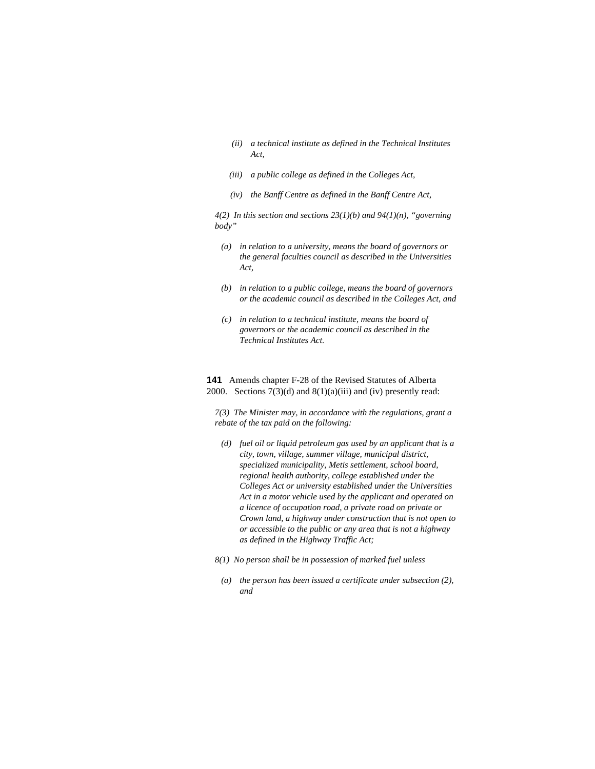- *(ii) a technical institute as defined in the Technical Institutes Act,*
- *(iii) a public college as defined in the Colleges Act,*
- *(iv) the Banff Centre as defined in the Banff Centre Act,*

*4(2) In this section and sections 23(1)(b) and 94(1)(n), "governing body"* 

- *(a) in relation to a university, means the board of governors or the general faculties council as described in the Universities Act,*
- *(b) in relation to a public college, means the board of governors or the academic council as described in the Colleges Act, and*
- *(c) in relation to a technical institute, means the board of governors or the academic council as described in the Technical Institutes Act.*

# **141** Amends chapter F-28 of the Revised Statutes of Alberta 2000. Sections  $7(3)(d)$  and  $8(1)(a)(iii)$  and (iv) presently read:

*7(3) The Minister may, in accordance with the regulations, grant a rebate of the tax paid on the following:* 

- *(d) fuel oil or liquid petroleum gas used by an applicant that is a city, town, village, summer village, municipal district, specialized municipality, Metis settlement, school board, regional health authority, college established under the Colleges Act or university established under the Universities Act in a motor vehicle used by the applicant and operated on a licence of occupation road, a private road on private or Crown land, a highway under construction that is not open to or accessible to the public or any area that is not a highway as defined in the Highway Traffic Act;*
- *8(1) No person shall be in possession of marked fuel unless* 
	- *(a) the person has been issued a certificate under subsection (2), and*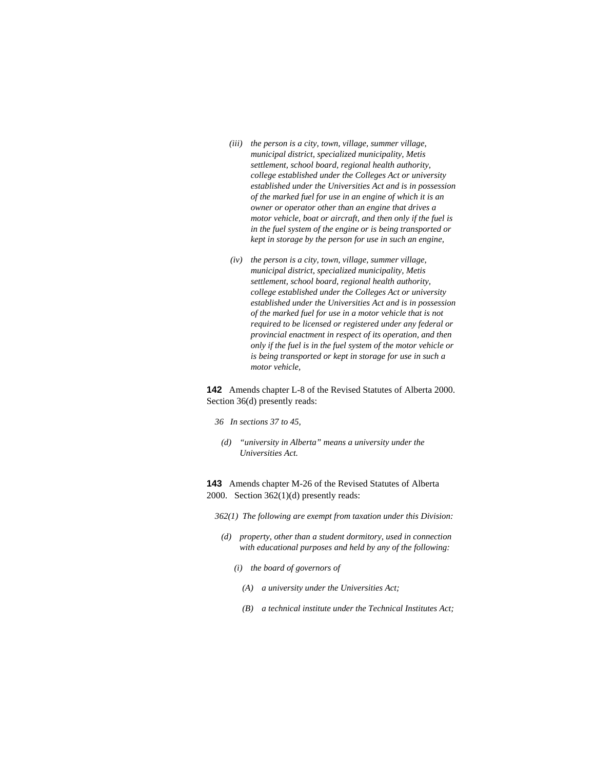- *(iii) the person is a city, town, village, summer village, municipal district, specialized municipality, Metis settlement, school board, regional health authority, college established under the Colleges Act or university established under the Universities Act and is in possession of the marked fuel for use in an engine of which it is an owner or operator other than an engine that drives a motor vehicle, boat or aircraft, and then only if the fuel is in the fuel system of the engine or is being transported or kept in storage by the person for use in such an engine,*
- *(iv) the person is a city, town, village, summer village, municipal district, specialized municipality, Metis settlement, school board, regional health authority, college established under the Colleges Act or university established under the Universities Act and is in possession of the marked fuel for use in a motor vehicle that is not required to be licensed or registered under any federal or provincial enactment in respect of its operation, and then only if the fuel is in the fuel system of the motor vehicle or is being transported or kept in storage for use in such a motor vehicle,*

**142** Amends chapter L-8 of the Revised Statutes of Alberta 2000. Section 36(d) presently reads:

- *36 In sections 37 to 45,*
- *(d) "university in Alberta" means a university under the Universities Act.*

**143** Amends chapter M-26 of the Revised Statutes of Alberta 2000. Section 362(1)(d) presently reads:

- *362(1) The following are exempt from taxation under this Division:* 
	- *(d) property, other than a student dormitory, used in connection with educational purposes and held by any of the following:* 
		- *(i) the board of governors of* 
			- *(A) a university under the Universities Act;*
			- *(B) a technical institute under the Technical Institutes Act;*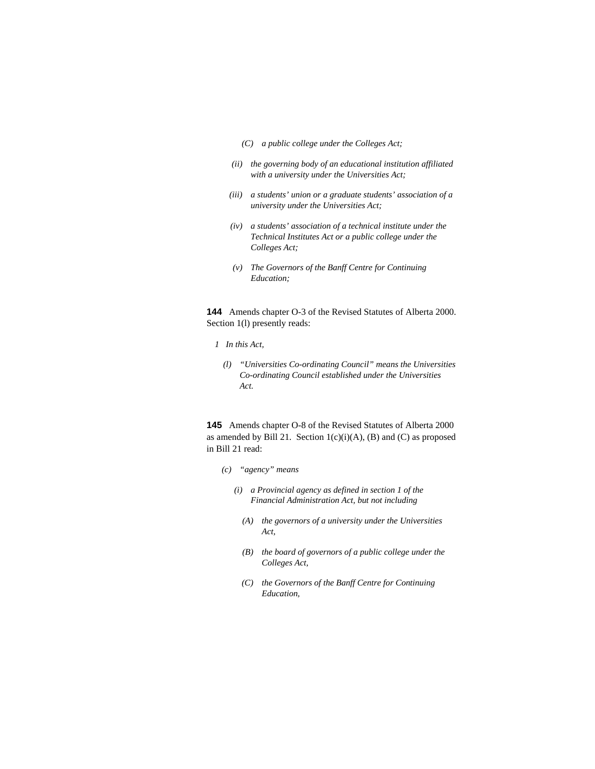- *(C) a public college under the Colleges Act;*
- *(ii) the governing body of an educational institution affiliated with a university under the Universities Act;*
- *(iii) a students' union or a graduate students' association of a university under the Universities Act;*
- *(iv) a students' association of a technical institute under the Technical Institutes Act or a public college under the Colleges Act;*
- *(v) The Governors of the Banff Centre for Continuing Education;*

**144** Amends chapter O-3 of the Revised Statutes of Alberta 2000. Section 1(l) presently reads:

- *1 In this Act,* 
	- *(l) "Universities Co-ordinating Council" means the Universities Co-ordinating Council established under the Universities Act.*

**145** Amends chapter O-8 of the Revised Statutes of Alberta 2000 as amended by Bill 21. Section  $1(c)(i)(A)$ , (B) and (C) as proposed in Bill 21 read:

- *(c) "agency" means* 
	- *(i) a Provincial agency as defined in section 1 of the Financial Administration Act, but not including* 
		- *(A) the governors of a university under the Universities Act,*
		- *(B) the board of governors of a public college under the Colleges Act,*
		- *(C) the Governors of the Banff Centre for Continuing Education,*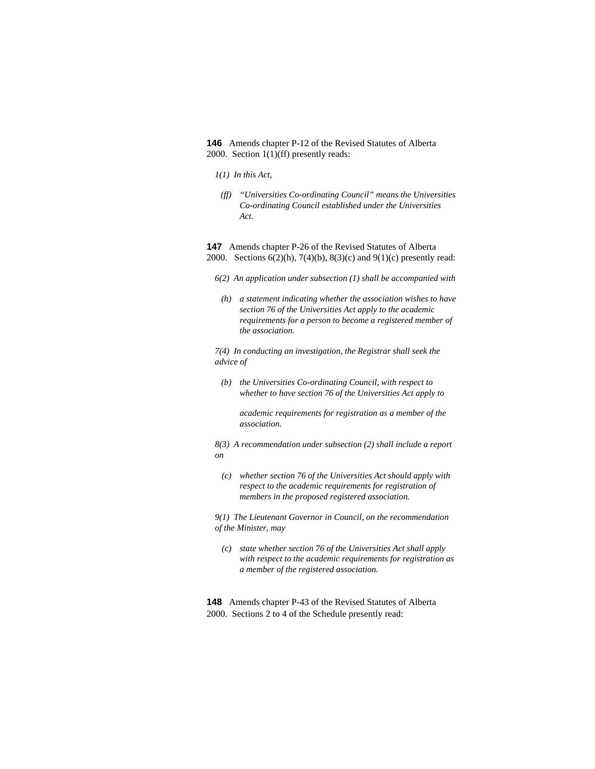**146** Amends chapter P-12 of the Revised Statutes of Alberta 2000. Section 1(1)(ff) presently reads:

- *1(1) In this Act,*
- *(ff) "Universities Co-ordinating Council" means the Universities Co-ordinating Council established under the Universities Act.*

**147** Amends chapter P-26 of the Revised Statutes of Alberta 2000. Sections 6(2)(h), 7(4)(b), 8(3)(c) and 9(1)(c) presently read:

- *6(2) An application under subsection (1) shall be accompanied with*
- *(h) a statement indicating whether the association wishes to have section 76 of the Universities Act apply to the academic requirements for a person to become a registered member of the association.*

*7(4) In conducting an investigation, the Registrar shall seek the advice of* 

 *(b) the Universities Co-ordinating Council, with respect to whether to have section 76 of the Universities Act apply to* 

 *academic requirements for registration as a member of the association.* 

*8(3) A recommendation under subsection (2) shall include a report on* 

 *(c) whether section 76 of the Universities Act should apply with respect to the academic requirements for registration of members in the proposed registered association.* 

*9(1) The Lieutenant Governor in Council, on the recommendation of the Minister, may* 

 *(c) state whether section 76 of the Universities Act shall apply with respect to the academic requirements for registration as a member of the registered association.* 

**148** Amends chapter P-43 of the Revised Statutes of Alberta 2000. Sections 2 to 4 of the Schedule presently read: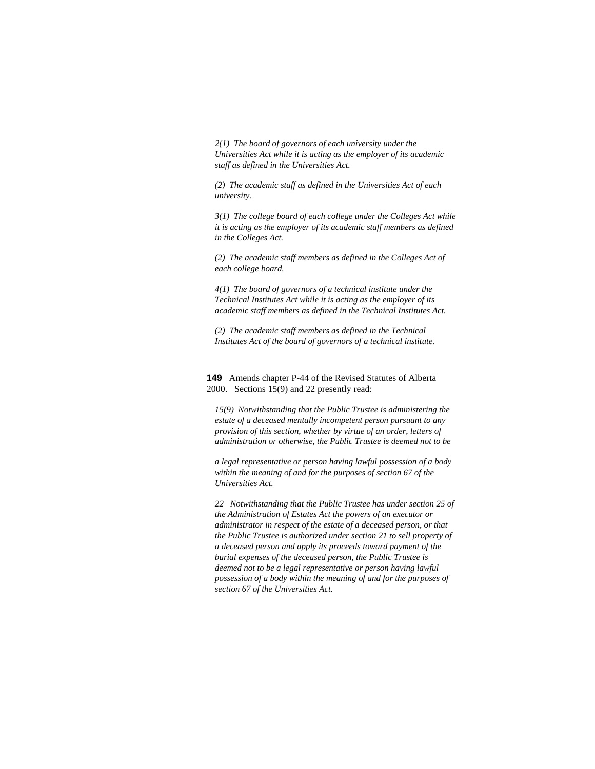*2(1) The board of governors of each university under the Universities Act while it is acting as the employer of its academic staff as defined in the Universities Act.* 

*(2) The academic staff as defined in the Universities Act of each university.* 

*3(1) The college board of each college under the Colleges Act while it is acting as the employer of its academic staff members as defined in the Colleges Act.* 

*(2) The academic staff members as defined in the Colleges Act of each college board.* 

*4(1) The board of governors of a technical institute under the Technical Institutes Act while it is acting as the employer of its academic staff members as defined in the Technical Institutes Act.* 

*(2) The academic staff members as defined in the Technical Institutes Act of the board of governors of a technical institute.* 

**149** Amends chapter P-44 of the Revised Statutes of Alberta 2000. Sections 15(9) and 22 presently read:

*15(9) Notwithstanding that the Public Trustee is administering the estate of a deceased mentally incompetent person pursuant to any provision of this section, whether by virtue of an order, letters of administration or otherwise, the Public Trustee is deemed not to be* 

*a legal representative or person having lawful possession of a body within the meaning of and for the purposes of section 67 of the Universities Act.* 

*22 Notwithstanding that the Public Trustee has under section 25 of the Administration of Estates Act the powers of an executor or administrator in respect of the estate of a deceased person, or that the Public Trustee is authorized under section 21 to sell property of a deceased person and apply its proceeds toward payment of the burial expenses of the deceased person, the Public Trustee is deemed not to be a legal representative or person having lawful possession of a body within the meaning of and for the purposes of section 67 of the Universities Act.*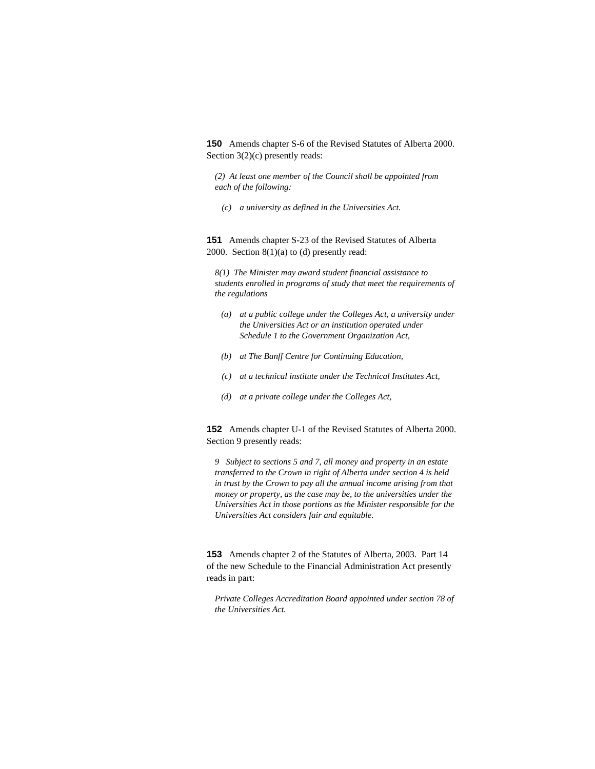**150** Amends chapter S-6 of the Revised Statutes of Alberta 2000. Section 3(2)(c) presently reads:

*(2) At least one member of the Council shall be appointed from each of the following:* 

 *(c) a university as defined in the Universities Act.* 

**151** Amends chapter S-23 of the Revised Statutes of Alberta 2000. Section 8(1)(a) to (d) presently read:

*8(1) The Minister may award student financial assistance to students enrolled in programs of study that meet the requirements of the regulations* 

- *(a) at a public college under the Colleges Act, a university under the Universities Act or an institution operated under Schedule 1 to the Government Organization Act,*
- *(b) at The Banff Centre for Continuing Education,*
- *(c) at a technical institute under the Technical Institutes Act,*
- *(d) at a private college under the Colleges Act,*

**152** Amends chapter U-1 of the Revised Statutes of Alberta 2000. Section 9 presently reads:

*9 Subject to sections 5 and 7, all money and property in an estate transferred to the Crown in right of Alberta under section 4 is held in trust by the Crown to pay all the annual income arising from that money or property, as the case may be, to the universities under the Universities Act in those portions as the Minister responsible for the Universities Act considers fair and equitable.* 

**153** Amends chapter 2 of the Statutes of Alberta, 2003. Part 14 of the new Schedule to the Financial Administration Act presently reads in part:

*Private Colleges Accreditation Board appointed under section 78 of the Universities Act.*